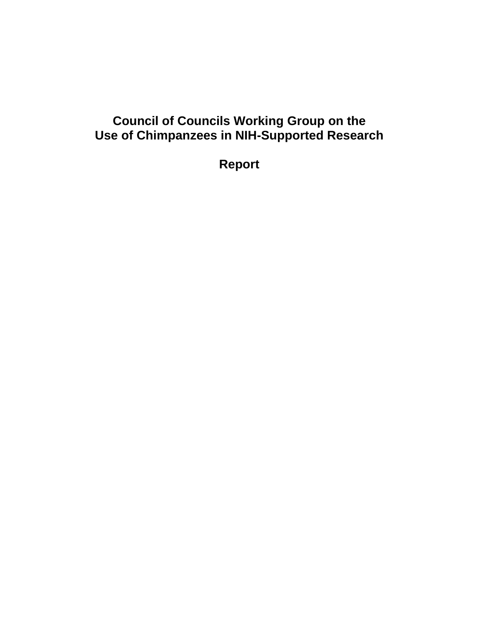# **Council of Councils Working Group on the Use of Chimpanzees in NIH-Supported Research**

**Report**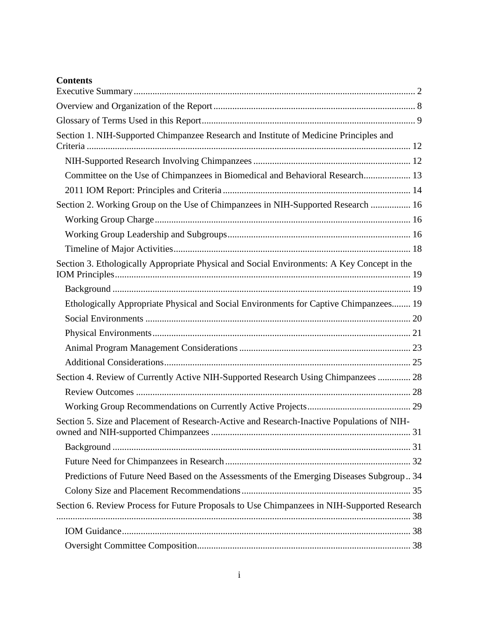## **Contents**

| Section 1. NIH-Supported Chimpanzee Research and Institute of Medicine Principles and       |  |
|---------------------------------------------------------------------------------------------|--|
|                                                                                             |  |
| Committee on the Use of Chimpanzees in Biomedical and Behavioral Research 13                |  |
|                                                                                             |  |
| Section 2. Working Group on the Use of Chimpanzees in NIH-Supported Research  16            |  |
|                                                                                             |  |
|                                                                                             |  |
|                                                                                             |  |
| Section 3. Ethologically Appropriate Physical and Social Environments: A Key Concept in the |  |
|                                                                                             |  |
| Ethologically Appropriate Physical and Social Environments for Captive Chimpanzees 19       |  |
|                                                                                             |  |
|                                                                                             |  |
|                                                                                             |  |
|                                                                                             |  |
| Section 4. Review of Currently Active NIH-Supported Research Using Chimpanzees  28          |  |
|                                                                                             |  |
|                                                                                             |  |
| Section 5. Size and Placement of Research-Active and Research-Inactive Populations of NIH-  |  |
|                                                                                             |  |
|                                                                                             |  |
| Predictions of Future Need Based on the Assessments of the Emerging Diseases Subgroup 34    |  |
|                                                                                             |  |
| Section 6. Review Process for Future Proposals to Use Chimpanzees in NIH-Supported Research |  |
|                                                                                             |  |
|                                                                                             |  |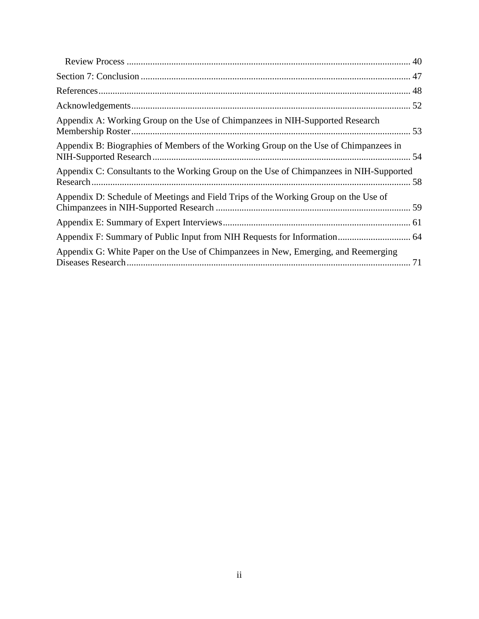| Appendix A: Working Group on the Use of Chimpanzees in NIH-Supported Research           |  |
|-----------------------------------------------------------------------------------------|--|
| Appendix B: Biographies of Members of the Working Group on the Use of Chimpanzees in    |  |
| Appendix C: Consultants to the Working Group on the Use of Chimpanzees in NIH-Supported |  |
| Appendix D: Schedule of Meetings and Field Trips of the Working Group on the Use of     |  |
|                                                                                         |  |
|                                                                                         |  |
| Appendix G: White Paper on the Use of Chimpanzees in New, Emerging, and Reemerging      |  |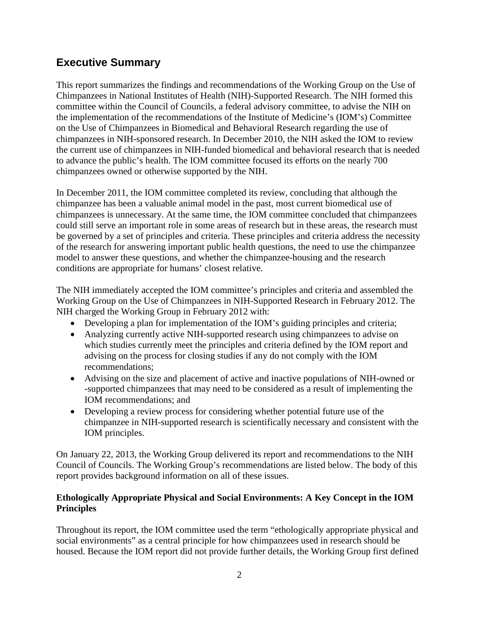## <span id="page-3-0"></span>**Executive Summary**

This report summarizes the findings and recommendations of the Working Group on the Use of Chimpanzees in National Institutes of Health (NIH)-Supported Research. The NIH formed this committee within the Council of Councils, a federal advisory committee, to advise the NIH on the implementation of the recommendations of the Institute of Medicine's (IOM's) Committee on the Use of Chimpanzees in Biomedical and Behavioral Research regarding the use of chimpanzees in NIH-sponsored research. In December 2010, the NIH asked the IOM to review the current use of chimpanzees in NIH-funded biomedical and behavioral research that is needed to advance the public's health. The IOM committee focused its efforts on the nearly 700 chimpanzees owned or otherwise supported by the NIH.

In December 2011, the IOM committee completed its review, concluding that although the chimpanzee has been a valuable animal model in the past, most current biomedical use of chimpanzees is unnecessary. At the same time, the IOM committee concluded that chimpanzees could still serve an important role in some areas of research but in these areas, the research must be governed by a set of principles and criteria. These principles and criteria address the necessity of the research for answering important public health questions, the need to use the chimpanzee model to answer these questions, and whether the chimpanzee-housing and the research conditions are appropriate for humans' closest relative.

The NIH immediately accepted the IOM committee's principles and criteria and assembled the Working Group on the Use of Chimpanzees in NIH-Supported Research in February 2012. The NIH charged the Working Group in February 2012 with:

- Developing a plan for implementation of the IOM's guiding principles and criteria;
- Analyzing currently active NIH-supported research using chimpanzees to advise on which studies currently meet the principles and criteria defined by the IOM report and advising on the process for closing studies if any do not comply with the IOM recommendations;
- Advising on the size and placement of active and inactive populations of NIH-owned or -supported chimpanzees that may need to be considered as a result of implementing the IOM recommendations; and
- Developing a review process for considering whether potential future use of the chimpanzee in NIH-supported research is scientifically necessary and consistent with the IOM principles.

On January 22, 2013, the Working Group delivered its report and recommendations to the NIH Council of Councils. The Working Group's recommendations are listed below. The body of this report provides background information on all of these issues.

### **Ethologically Appropriate Physical and Social Environments: A Key Concept in the IOM Principles**

Throughout its report, the IOM committee used the term "ethologically appropriate physical and social environments" as a central principle for how chimpanzees used in research should be housed. Because the IOM report did not provide further details, the Working Group first defined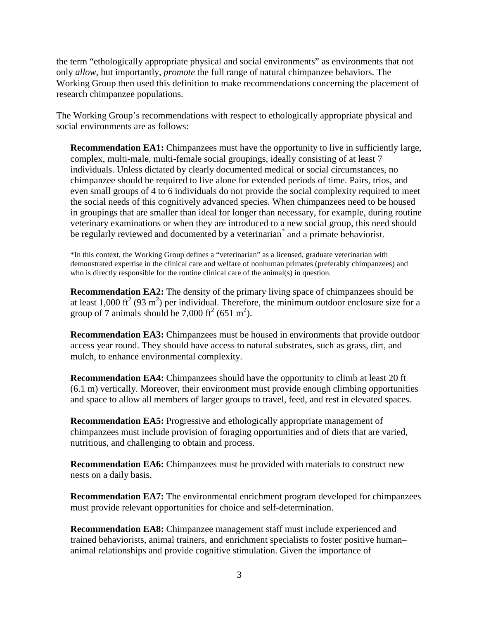the term "ethologically appropriate physical and social environments" as environments that not only *allow*, but importantly, *promote* the full range of natural chimpanzee behaviors. The Working Group then used this definition to make recommendations concerning the placement of research chimpanzee populations.

The Working Group's recommendations with respect to ethologically appropriate physical and social environments are as follows:

**Recommendation EA1:** Chimpanzees must have the opportunity to live in sufficiently large, complex, multi-male, multi-female social groupings, ideally consisting of at least 7 individuals. Unless dictated by clearly documented medical or social circumstances, no chimpanzee should be required to live alone for extended periods of time. Pairs, trios, and even small groups of 4 to 6 individuals do not provide the social complexity required to meet the social needs of this cognitively advanced species. When chimpanzees need to be housed in groupings that are smaller than ideal for longer than necessary, for example, during routine veterinary examinations or when they are introduced to a new social group, this need should be regularly reviewed and documented by a veterinarian<sup>\*</sup> and a primate behaviorist.

\*In this context, the Working Group defines a "veterinarian" as a licensed, graduate veterinarian with demonstrated expertise in the clinical care and welfare of nonhuman primates (preferably chimpanzees) and who is directly responsible for the routine clinical care of the animal(s) in question.

**Recommendation EA2:** The density of the primary living space of chimpanzees should be at least 1,000 ft<sup>2</sup> (93 m<sup>2</sup>) per individual. Therefore, the minimum outdoor enclosure size for a group of 7 animals should be  $7,000 \text{ ft}^2 (651 \text{ m}^2)$ .

**Recommendation EA3:** Chimpanzees must be housed in environments that provide outdoor access year round. They should have access to natural substrates, such as grass, dirt, and mulch, to enhance environmental complexity.

**Recommendation EA4:** Chimpanzees should have the opportunity to climb at least 20 ft (6.1 m) vertically. Moreover, their environment must provide enough climbing opportunities and space to allow all members of larger groups to travel, feed, and rest in elevated spaces.

**Recommendation EA5:** Progressive and ethologically appropriate management of chimpanzees must include provision of foraging opportunities and of diets that are varied, nutritious, and challenging to obtain and process.

**Recommendation EA6:** Chimpanzees must be provided with materials to construct new nests on a daily basis.

**Recommendation EA7:** The environmental enrichment program developed for chimpanzees must provide relevant opportunities for choice and self-determination.

**Recommendation EA8:** Chimpanzee management staff must include experienced and trained behaviorists, animal trainers, and enrichment specialists to foster positive human– animal relationships and provide cognitive stimulation. Given the importance of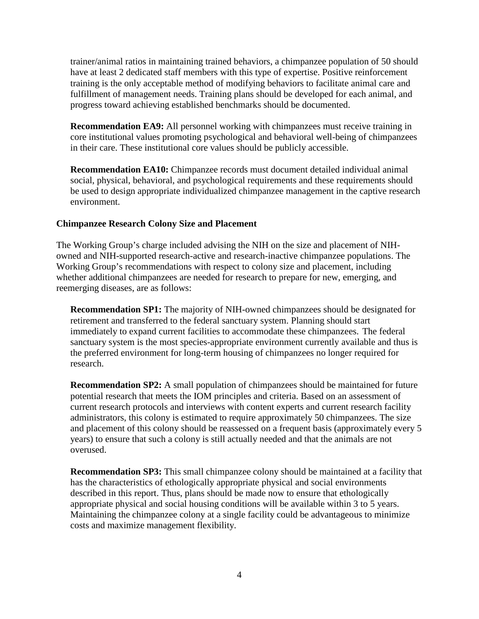trainer/animal ratios in maintaining trained behaviors, a chimpanzee population of 50 should have at least 2 dedicated staff members with this type of expertise. Positive reinforcement training is the only acceptable method of modifying behaviors to facilitate animal care and fulfillment of management needs. Training plans should be developed for each animal, and progress toward achieving established benchmarks should be documented.

**Recommendation EA9:** All personnel working with chimpanzees must receive training in core institutional values promoting psychological and behavioral well-being of chimpanzees in their care. These institutional core values should be publicly accessible.

**Recommendation EA10:** Chimpanzee records must document detailed individual animal social, physical, behavioral, and psychological requirements and these requirements should be used to design appropriate individualized chimpanzee management in the captive research environment.

#### **Chimpanzee Research Colony Size and Placement**

The Working Group's charge included advising the NIH on the size and placement of NIHowned and NIH-supported research-active and research-inactive chimpanzee populations. The Working Group's recommendations with respect to colony size and placement, including whether additional chimpanzees are needed for research to prepare for new, emerging, and reemerging diseases, are as follows:

**Recommendation SP1:** The majority of NIH-owned chimpanzees should be designated for retirement and transferred to the federal sanctuary system. Planning should start immediately to expand current facilities to accommodate these chimpanzees. The federal sanctuary system is the most species-appropriate environment currently available and thus is the preferred environment for long-term housing of chimpanzees no longer required for research.

**Recommendation SP2:** A small population of chimpanzees should be maintained for future potential research that meets the IOM principles and criteria. Based on an assessment of current research protocols and interviews with content experts and current research facility administrators, this colony is estimated to require approximately 50 chimpanzees. The size and placement of this colony should be reassessed on a frequent basis (approximately every 5 years) to ensure that such a colony is still actually needed and that the animals are not overused.

**Recommendation SP3:** This small chimpanzee colony should be maintained at a facility that has the characteristics of ethologically appropriate physical and social environments described in this report. Thus, plans should be made now to ensure that ethologically appropriate physical and social housing conditions will be available within 3 to 5 years. Maintaining the chimpanzee colony at a single facility could be advantageous to minimize costs and maximize management flexibility.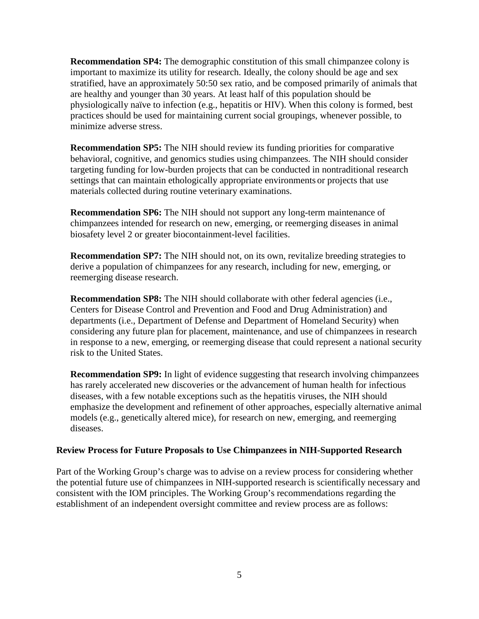**Recommendation SP4:** The demographic constitution of this small chimpanzee colony is important to maximize its utility for research. Ideally, the colony should be age and sex stratified, have an approximately 50:50 sex ratio, and be composed primarily of animals that are healthy and younger than 30 years. At least half of this population should be physiologically naïve to infection (e.g., hepatitis or HIV). When this colony is formed, best practices should be used for maintaining current social groupings, whenever possible, to minimize adverse stress.

**Recommendation SP5:** The NIH should review its funding priorities for comparative behavioral, cognitive, and genomics studies using chimpanzees. The NIH should consider targeting funding for low-burden projects that can be conducted in nontraditional research settings that can maintain ethologically appropriate environments or projects that use materials collected during routine veterinary examinations.

**Recommendation SP6:** The NIH should not support any long-term maintenance of chimpanzees intended for research on new, emerging, or reemerging diseases in animal biosafety level 2 or greater biocontainment-level facilities.

**Recommendation SP7:** The NIH should not, on its own, revitalize breeding strategies to derive a population of chimpanzees for any research, including for new, emerging, or reemerging disease research.

**Recommendation SP8:** The NIH should collaborate with other federal agencies (i.e., Centers for Disease Control and Prevention and Food and Drug Administration) and departments (i.e., Department of Defense and Department of Homeland Security) when considering any future plan for placement, maintenance, and use of chimpanzees in research in response to a new, emerging, or reemerging disease that could represent a national security risk to the United States.

**Recommendation SP9:** In light of evidence suggesting that research involving chimpanzees has rarely accelerated new discoveries or the advancement of human health for infectious diseases, with a few notable exceptions such as the hepatitis viruses, the NIH should emphasize the development and refinement of other approaches, especially alternative animal models (e.g., genetically altered mice), for research on new, emerging, and reemerging diseases.

#### **Review Process for Future Proposals to Use Chimpanzees in NIH-Supported Research**

Part of the Working Group's charge was to advise on a review process for considering whether the potential future use of chimpanzees in NIH-supported research is scientifically necessary and consistent with the IOM principles. The Working Group's recommendations regarding the establishment of an independent oversight committee and review process are as follows: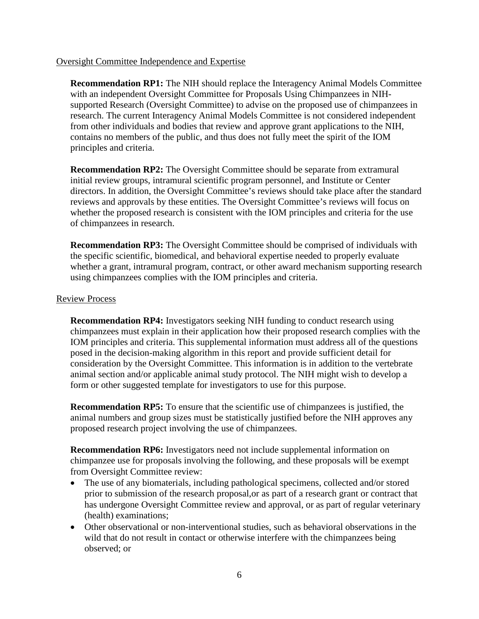#### Oversight Committee Independence and Expertise

**Recommendation RP1:** The NIH should replace the Interagency Animal Models Committee with an independent Oversight Committee for Proposals Using Chimpanzees in NIHsupported Research (Oversight Committee) to advise on the proposed use of chimpanzees in research. The current Interagency Animal Models Committee is not considered independent from other individuals and bodies that review and approve grant applications to the NIH, contains no members of the public, and thus does not fully meet the spirit of the IOM principles and criteria.

**Recommendation RP2:** The Oversight Committee should be separate from extramural initial review groups, intramural scientific program personnel, and Institute or Center directors. In addition, the Oversight Committee's reviews should take place after the standard reviews and approvals by these entities. The Oversight Committee's reviews will focus on whether the proposed research is consistent with the IOM principles and criteria for the use of chimpanzees in research.

**Recommendation RP3:** The Oversight Committee should be comprised of individuals with the specific scientific, biomedical, and behavioral expertise needed to properly evaluate whether a grant, intramural program, contract, or other award mechanism supporting research using chimpanzees complies with the IOM principles and criteria.

#### Review Process

**Recommendation RP4:** Investigators seeking NIH funding to conduct research using chimpanzees must explain in their application how their proposed research complies with the IOM principles and criteria. This supplemental information must address all of the questions posed in the decision-making algorithm in this report and provide sufficient detail for consideration by the Oversight Committee. This information is in addition to the vertebrate animal section and/or applicable animal study protocol. The NIH might wish to develop a form or other suggested template for investigators to use for this purpose.

**Recommendation RP5:** To ensure that the scientific use of chimpanzees is justified, the animal numbers and group sizes must be statistically justified before the NIH approves any proposed research project involving the use of chimpanzees.

**Recommendation RP6:** Investigators need not include supplemental information on chimpanzee use for proposals involving the following, and these proposals will be exempt from Oversight Committee review:

- The use of any biomaterials, including pathological specimens, collected and/or stored prior to submission of the research proposal,or as part of a research grant or contract that has undergone Oversight Committee review and approval, or as part of regular veterinary (health) examinations;
- Other observational or non-interventional studies, such as behavioral observations in the wild that do not result in contact or otherwise interfere with the chimpanzees being observed; or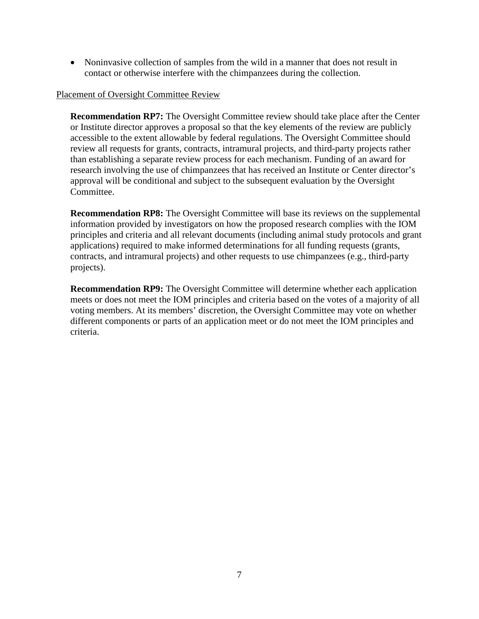• Noninvasive collection of samples from the wild in a manner that does not result in contact or otherwise interfere with the chimpanzees during the collection.

#### Placement of Oversight Committee Review

**Recommendation RP7:** The Oversight Committee review should take place after the Center or Institute director approves a proposal so that the key elements of the review are publicly accessible to the extent allowable by federal regulations. The Oversight Committee should review all requests for grants, contracts, intramural projects, and third-party projects rather than establishing a separate review process for each mechanism. Funding of an award for research involving the use of chimpanzees that has received an Institute or Center director's approval will be conditional and subject to the subsequent evaluation by the Oversight Committee.

**Recommendation RP8:** The Oversight Committee will base its reviews on the supplemental information provided by investigators on how the proposed research complies with the IOM principles and criteria and all relevant documents (including animal study protocols and grant applications) required to make informed determinations for all funding requests (grants, contracts, and intramural projects) and other requests to use chimpanzees (e.g., third-party projects).

**Recommendation RP9:** The Oversight Committee will determine whether each application meets or does not meet the IOM principles and criteria based on the votes of a majority of all voting members. At its members' discretion, the Oversight Committee may vote on whether different components or parts of an application meet or do not meet the IOM principles and criteria.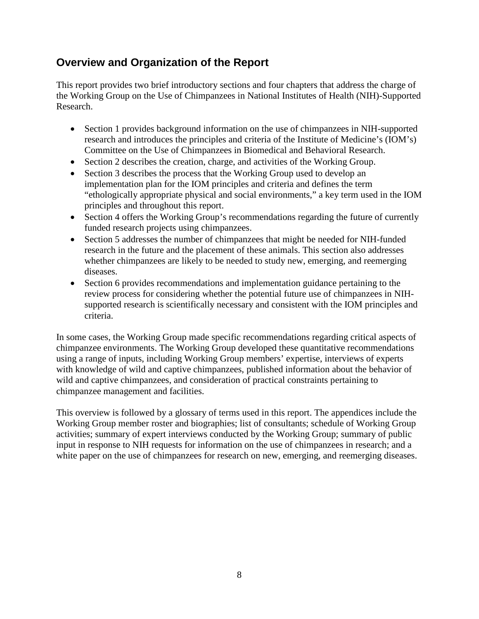## <span id="page-9-0"></span>**Overview and Organization of the Report**

This report provides two brief introductory sections and four chapters that address the charge of the Working Group on the Use of Chimpanzees in National Institutes of Health (NIH)-Supported Research.

- Section 1 provides background information on the use of chimpanzees in NIH-supported research and introduces the principles and criteria of the Institute of Medicine's (IOM's) Committee on the Use of Chimpanzees in Biomedical and Behavioral Research.
- Section 2 describes the creation, charge, and activities of the Working Group.
- Section 3 describes the process that the Working Group used to develop an implementation plan for the IOM principles and criteria and defines the term "ethologically appropriate physical and social environments," a key term used in the IOM principles and throughout this report.
- Section 4 offers the Working Group's recommendations regarding the future of currently funded research projects using chimpanzees.
- Section 5 addresses the number of chimpanzees that might be needed for NIH-funded research in the future and the placement of these animals. This section also addresses whether chimpanzees are likely to be needed to study new, emerging, and reemerging diseases.
- Section 6 provides recommendations and implementation guidance pertaining to the review process for considering whether the potential future use of chimpanzees in NIHsupported research is scientifically necessary and consistent with the IOM principles and criteria.

In some cases, the Working Group made specific recommendations regarding critical aspects of chimpanzee environments. The Working Group developed these quantitative recommendations using a range of inputs, including Working Group members' expertise, interviews of experts with knowledge of wild and captive chimpanzees, published information about the behavior of wild and captive chimpanzees, and consideration of practical constraints pertaining to chimpanzee management and facilities.

This overview is followed by a glossary of terms used in this report. The appendices include the Working Group member roster and biographies; list of consultants; schedule of Working Group activities; summary of expert interviews conducted by the Working Group; summary of public input in response to NIH requests for information on the use of chimpanzees in research; and a white paper on the use of chimpanzees for research on new, emerging, and reemerging diseases.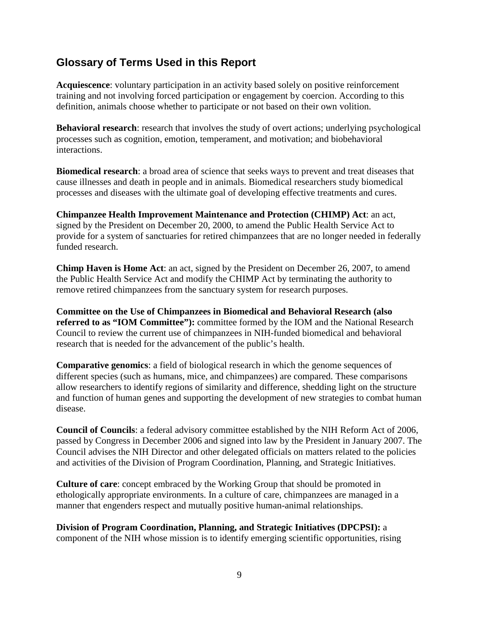## <span id="page-10-0"></span>**Glossary of Terms Used in this Report**

**Acquiescence**: voluntary participation in an activity based solely on positive reinforcement training and not involving forced participation or engagement by coercion. According to this definition, animals choose whether to participate or not based on their own volition.

**Behavioral research**: research that involves the study of overt actions; underlying psychological processes such as cognition, emotion, temperament, and motivation; and biobehavioral interactions.

**Biomedical research**: a broad area of science that seeks ways to prevent and treat diseases that cause illnesses and death in people and in animals. Biomedical researchers study biomedical processes and diseases with the ultimate goal of developing effective treatments and cures.

**Chimpanzee Health Improvement Maintenance and Protection (CHIMP) Act**: an act, signed by the President on December 20, 2000, to amend the Public Health Service Act to provide for a system of sanctuaries for retired chimpanzees that are no longer needed in federally funded research.

**Chimp Haven is Home Act**: an act, signed by the President on December 26, 2007, to amend the Public Health Service Act and modify the CHIMP Act by terminating the authority to remove retired chimpanzees from the sanctuary system for research purposes.

**Committee on the Use of Chimpanzees in Biomedical and Behavioral Research (also referred to as "IOM Committee"):** committee formed by the IOM and the National Research Council to review the current use of chimpanzees in NIH-funded biomedical and behavioral research that is needed for the advancement of the public's health.

**Comparative genomics**: a field of biological research in which the genome sequences of different species (such as humans, mice, and chimpanzees) are compared. These comparisons allow researchers to identify regions of similarity and difference, shedding light on the structure and function of human genes and supporting the development of new strategies to combat human disease.

**Council of Councils**: a federal advisory committee established by the NIH Reform Act of 2006, passed by Congress in December 2006 and signed into law by the President in January 2007. The Council advises the NIH Director and other delegated officials on matters related to the policies and activities of the Division of Program Coordination, Planning, and Strategic Initiatives.

**Culture of care**: concept embraced by the Working Group that should be promoted in ethologically appropriate environments. In a culture of care, chimpanzees are managed in a manner that engenders respect and mutually positive human-animal relationships.

**Division of Program Coordination, Planning, and Strategic Initiatives (DPCPSI):** a component of the NIH whose mission is to identify emerging scientific opportunities, rising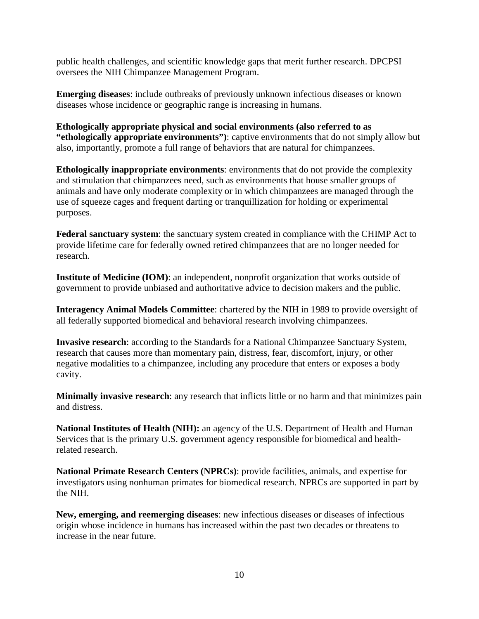public health challenges, and scientific knowledge gaps that merit further research. DPCPSI oversees the NIH Chimpanzee Management Program.

**Emerging diseases**: include outbreaks of previously unknown infectious diseases or known diseases whose incidence or geographic range is increasing in humans.

**Ethologically appropriate physical and social environments (also referred to as "ethologically appropriate environments")**: captive environments that do not simply allow but also, importantly, promote a full range of behaviors that are natural for chimpanzees.

**Ethologically inappropriate environments**: environments that do not provide the complexity and stimulation that chimpanzees need, such as environments that house smaller groups of animals and have only moderate complexity or in which chimpanzees are managed through the use of squeeze cages and frequent darting or tranquillization for holding or experimental purposes.

**Federal sanctuary system**: the sanctuary system created in compliance with the CHIMP Act to provide lifetime care for federally owned retired chimpanzees that are no longer needed for research.

**Institute of Medicine (IOM)**: an independent, nonprofit organization that works outside of government to provide unbiased and authoritative advice to decision makers and the public.

**Interagency Animal Models Committee**: chartered by the NIH in 1989 to provide oversight of all federally supported biomedical and behavioral research involving chimpanzees.

**Invasive research**: according to the Standards for a National Chimpanzee Sanctuary System, research that causes more than momentary pain, distress, fear, discomfort, injury, or other negative modalities to a chimpanzee, including any procedure that enters or exposes a body cavity.

**Minimally invasive research**: any research that inflicts little or no harm and that minimizes pain and distress.

**National Institutes of Health (NIH):** an agency of the U.S. Department of Health and Human Services that is the primary U.S. government agency responsible for biomedical and healthrelated research.

**National Primate Research Centers (NPRCs)**: provide facilities, animals, and expertise for investigators using nonhuman primates for biomedical research. NPRCs are supported in part by the NIH.

**New, emerging, and reemerging diseases**: new infectious diseases or diseases of infectious origin whose incidence in humans has increased within the past two decades or threatens to increase in the near future.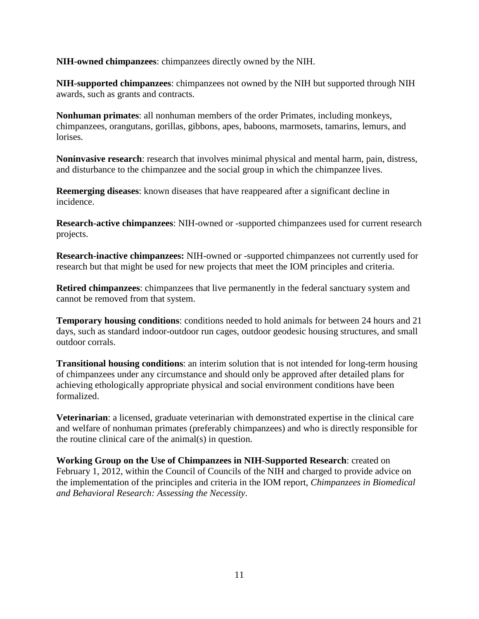**NIH-owned chimpanzees**: chimpanzees directly owned by the NIH.

**NIH-supported chimpanzees**: chimpanzees not owned by the NIH but supported through NIH awards, such as grants and contracts.

**Nonhuman primates**: all nonhuman members of the order Primates, including monkeys, chimpanzees, orangutans, gorillas, gibbons, apes, baboons, marmosets, tamarins, lemurs, and lorises.

**Noninvasive research**: research that involves minimal physical and mental harm, pain, distress, and disturbance to the chimpanzee and the social group in which the chimpanzee lives.

**Reemerging diseases**: known diseases that have reappeared after a significant decline in incidence.

**Research-active chimpanzees**: NIH-owned or -supported chimpanzees used for current research projects.

**Research-inactive chimpanzees:** NIH-owned or -supported chimpanzees not currently used for research but that might be used for new projects that meet the IOM principles and criteria.

**Retired chimpanzees**: chimpanzees that live permanently in the federal sanctuary system and cannot be removed from that system.

**Temporary housing conditions**: conditions needed to hold animals for between 24 hours and 21 days, such as standard indoor-outdoor run cages, outdoor geodesic housing structures, and small outdoor corrals.

**Transitional housing conditions**: an interim solution that is not intended for long-term housing of chimpanzees under any circumstance and should only be approved after detailed plans for achieving ethologically appropriate physical and social environment conditions have been formalized.

**Veterinarian**: a licensed, graduate veterinarian with demonstrated expertise in the clinical care and welfare of nonhuman primates (preferably chimpanzees) and who is directly responsible for the routine clinical care of the animal(s) in question.

**Working Group on the Use of Chimpanzees in NIH-Supported Research**: created on February 1, 2012, within the Council of Councils of the NIH and charged to provide advice on the implementation of the principles and criteria in the IOM report, *Chimpanzees in Biomedical and Behavioral Research: Assessing the Necessity*.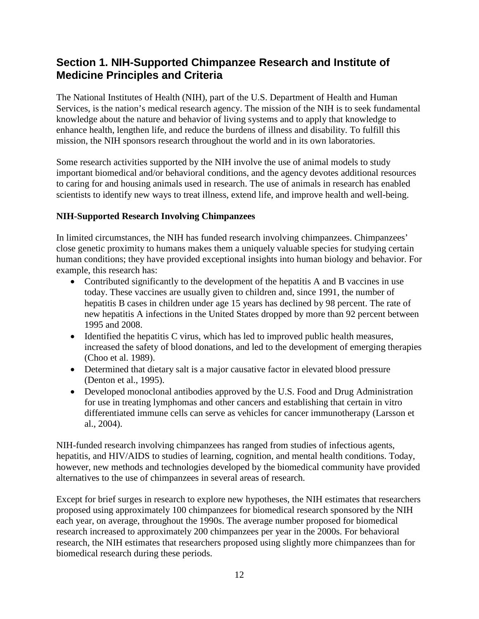## <span id="page-13-0"></span>**Section 1. NIH-Supported Chimpanzee Research and Institute of Medicine Principles and Criteria**

The National Institutes of Health (NIH), part of the U.S. Department of Health and Human Services, is the nation's medical research agency. The mission of the NIH is to seek fundamental knowledge about the nature and behavior of living systems and to apply that knowledge to enhance health, lengthen life, and reduce the burdens of illness and disability. To fulfill this mission, the NIH sponsors research throughout the world and in its own laboratories.

Some research activities supported by the NIH involve the use of animal models to study important biomedical and/or behavioral conditions, and the agency devotes additional resources to caring for and housing animals used in research. The use of animals in research has enabled scientists to identify new ways to treat illness, extend life, and improve health and well-being.

#### <span id="page-13-1"></span>**NIH-Supported Research Involving Chimpanzees**

In limited circumstances, the NIH has funded research involving chimpanzees. Chimpanzees' close genetic proximity to humans makes them a uniquely valuable species for studying certain human conditions; they have provided exceptional insights into human biology and behavior. For example, this research has:

- Contributed significantly to the development of the hepatitis A and B vaccines in use today. These vaccines are usually given to children and, since 1991, the number of hepatitis B cases in children under age 15 years has declined by 98 percent. The rate of new hepatitis A infections in the United States dropped by more than 92 percent between 1995 and 2008.
- Identified the hepatitis C virus, which has led to improved public health measures, increased the safety of blood donations, and led to the development of emerging therapies (Choo et al. 1989).
- Determined that dietary salt is a major causative factor in elevated blood pressure (Denton et al., 1995).
- Developed monoclonal antibodies approved by the U.S. Food and Drug Administration for use in treating lymphomas and other cancers and establishing that certain in vitro differentiated immune cells can serve as vehicles for cancer immunotherapy (Larsson et al., 2004).

NIH-funded research involving chimpanzees has ranged from studies of infectious agents, hepatitis, and HIV/AIDS to studies of learning, cognition, and mental health conditions. Today, however, new methods and technologies developed by the biomedical community have provided alternatives to the use of chimpanzees in several areas of research.

Except for brief surges in research to explore new hypotheses, the NIH estimates that researchers proposed using approximately 100 chimpanzees for biomedical research sponsored by the NIH each year, on average, throughout the 1990s. The average number proposed for biomedical research increased to approximately 200 chimpanzees per year in the 2000s. For behavioral research, the NIH estimates that researchers proposed using slightly more chimpanzees than for biomedical research during these periods.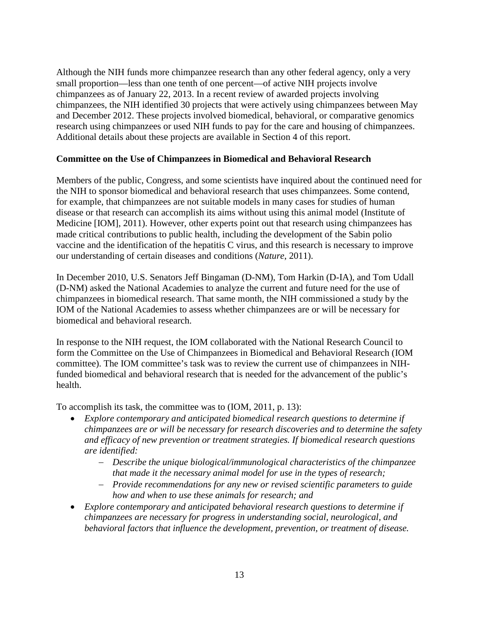Although the NIH funds more chimpanzee research than any other federal agency, only a very small proportion—less than one tenth of one percent—of active NIH projects involve chimpanzees as of January 22, 2013. In a recent review of awarded projects involving chimpanzees, the NIH identified 30 projects that were actively using chimpanzees between May and December 2012. These projects involved biomedical, behavioral, or comparative genomics research using chimpanzees or used NIH funds to pay for the care and housing of chimpanzees. Additional details about these projects are available in Section 4 of this report.

#### <span id="page-14-0"></span>**Committee on the Use of Chimpanzees in Biomedical and Behavioral Research**

Members of the public, Congress, and some scientists have inquired about the continued need for the NIH to sponsor biomedical and behavioral research that uses chimpanzees. Some contend, for example, that chimpanzees are not suitable models in many cases for studies of human disease or that research can accomplish its aims without using this animal model (Institute of Medicine [IOM], 2011). However, other experts point out that research using chimpanzees has made critical contributions to public health, including the development of the Sabin polio vaccine and the identification of the hepatitis C virus, and this research is necessary to improve our understanding of certain diseases and conditions (*Nature*, 2011).

In December 2010, U.S. Senators Jeff Bingaman (D-NM), Tom Harkin (D-IA), and Tom Udall (D-NM) asked the National Academies to analyze the current and future need for the use of chimpanzees in biomedical research. That same month, the NIH commissioned a study by the IOM of the National Academies to assess whether chimpanzees are or will be necessary for biomedical and behavioral research.

In response to the NIH request, the IOM collaborated with the National Research Council to form the Committee on the Use of Chimpanzees in Biomedical and Behavioral Research (IOM committee). The IOM committee's task was to review the current use of chimpanzees in NIHfunded biomedical and behavioral research that is needed for the advancement of the public's health.

To accomplish its task, the committee was to (IOM, 2011, p. 13):

- *Explore contemporary and anticipated biomedical research questions to determine if chimpanzees are or will be necessary for research discoveries and to determine the safety and efficacy of new prevention or treatment strategies. If biomedical research questions are identified:*
	- − *Describe the unique biological/immunological characteristics of the chimpanzee that made it the necessary animal model for use in the types of research;*
	- − *Provide recommendations for any new or revised scientific parameters to guide how and when to use these animals for research; and*
- *Explore contemporary and anticipated behavioral research questions to determine if chimpanzees are necessary for progress in understanding social, neurological, and behavioral factors that influence the development, prevention, or treatment of disease.*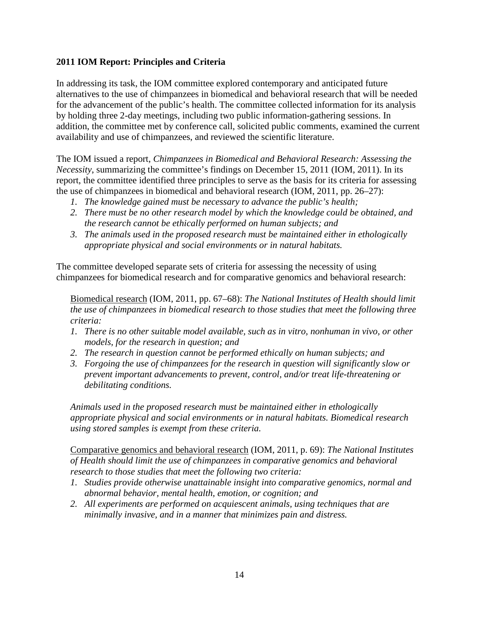#### <span id="page-15-0"></span>**2011 IOM Report: Principles and Criteria**

In addressing its task, the IOM committee explored contemporary and anticipated future alternatives to the use of chimpanzees in biomedical and behavioral research that will be needed for the advancement of the public's health. The committee collected information for its analysis by holding three 2-day meetings, including two public information-gathering sessions. In addition, the committee met by conference call, solicited public comments, examined the current availability and use of chimpanzees, and reviewed the scientific literature.

The IOM issued a report, *Chimpanzees in Biomedical and Behavioral Research: Assessing the Necessity*, summarizing the committee's findings on December 15, 2011 (IOM, 2011). In its report, the committee identified three principles to serve as the basis for its criteria for assessing the use of chimpanzees in biomedical and behavioral research (IOM, 2011, pp. 26–27):

- *1. The knowledge gained must be necessary to advance the public's health;*
- *2. There must be no other research model by which the knowledge could be obtained, and the research cannot be ethically performed on human subjects; and*
- *3. The animals used in the proposed research must be maintained either in ethologically appropriate physical and social environments or in natural habitats.*

The committee developed separate sets of criteria for assessing the necessity of using chimpanzees for biomedical research and for comparative genomics and behavioral research:

Biomedical research (IOM, 2011, pp. 67–68): *The National Institutes of Health should limit the use of chimpanzees in biomedical research to those studies that meet the following three criteria:*

- *1. There is no other suitable model available, such as in vitro, nonhuman in vivo, or other models, for the research in question; and*
- *2. The research in question cannot be performed ethically on human subjects; and*
- *3. Forgoing the use of chimpanzees for the research in question will significantly slow or prevent important advancements to prevent, control, and/or treat life-threatening or debilitating conditions.*

*Animals used in the proposed research must be maintained either in ethologically appropriate physical and social environments or in natural habitats. Biomedical research using stored samples is exempt from these criteria.* 

Comparative genomics and behavioral research (IOM, 2011, p. 69): *The National Institutes of Health should limit the use of chimpanzees in comparative genomics and behavioral research to those studies that meet the following two criteria:*

- *1. Studies provide otherwise unattainable insight into comparative genomics, normal and abnormal behavior, mental health, emotion, or cognition; and*
- *2. All experiments are performed on acquiescent animals, using techniques that are minimally invasive, and in a manner that minimizes pain and distress.*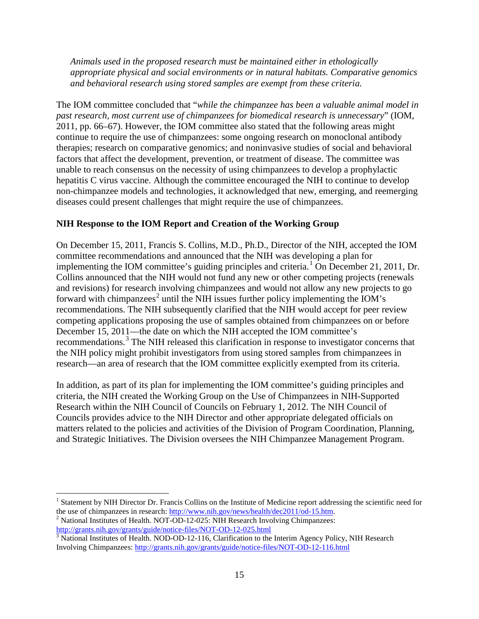*Animals used in the proposed research must be maintained either in ethologically appropriate physical and social environments or in natural habitats. Comparative genomics and behavioral research using stored samples are exempt from these criteria.* 

The IOM committee concluded that "*while the chimpanzee has been a valuable animal model in past research, most current use of chimpanzees for biomedical research is unnecessary*" (IOM, 2011, pp. 66–67). However, the IOM committee also stated that the following areas might continue to require the use of chimpanzees: some ongoing research on monoclonal antibody therapies; research on comparative genomics; and noninvasive studies of social and behavioral factors that affect the development, prevention, or treatment of disease. The committee was unable to reach consensus on the necessity of using chimpanzees to develop a prophylactic hepatitis C virus vaccine. Although the committee encouraged the NIH to continue to develop non-chimpanzee models and technologies, it acknowledged that new, emerging, and reemerging diseases could present challenges that might require the use of chimpanzees.

### **NIH Response to the IOM Report and Creation of the Working Group**

On December 15, 2011, Francis S. Collins, M.D., Ph.D., Director of the NIH, accepted the IOM committee recommendations and announced that the NIH was developing a plan for implementing the IOM committee's guiding principles and criteria.<sup>[1](#page-16-0)</sup> On December 21, 2011, Dr. Collins announced that the NIH would not fund any new or other competing projects (renewals and revisions) for research involving chimpanzees and would not allow any new projects to go forward with chimpanzees<sup>[2](#page-16-1)</sup> until the NIH issues further policy implementing the IOM's recommendations. The NIH subsequently clarified that the NIH would accept for peer review competing applications proposing the use of samples obtained from chimpanzees on or before December 15, 2011—the date on which the NIH accepted the IOM committee's recommendations.[3](#page-16-2) The NIH released this clarification in response to investigator concerns that the NIH policy might prohibit investigators from using stored samples from chimpanzees in research—an area of research that the IOM committee explicitly exempted from its criteria.

In addition, as part of its plan for implementing the IOM committee's guiding principles and criteria, the NIH created the Working Group on the Use of Chimpanzees in NIH-Supported Research within the NIH Council of Councils on February 1, 2012. The NIH Council of Councils provides advice to the NIH Director and other appropriate delegated officials on matters related to the policies and activities of the Division of Program Coordination, Planning, and Strategic Initiatives. The Division oversees the NIH Chimpanzee Management Program.

<span id="page-16-0"></span> $\overline{a}$ <sup>1</sup> Statement by NIH Director Dr. Francis Collins on the Institute of Medicine report addressing the scientific need for the use of chimpanzees in research:  $\frac{http://www.nih.gov/news/health/dec2011/od-15.htm}{}$ .

<span id="page-16-1"></span><sup>&</sup>lt;sup>2</sup> National Institutes of Health. NOT-OD-12-025: NIH Research Involving Chimpanzees:<br>http://grants.nih.gov/grants/guide/notice-files/NOT-OD-12-025.html

<span id="page-16-2"></span> $\frac{3}{3}$  National Institutes of Health. NOD-OD-12-116, Clarification to the Interim Agency Policy, NIH Research Involving Chimpanzees:<http://grants.nih.gov/grants/guide/notice-files/NOT-OD-12-116.html>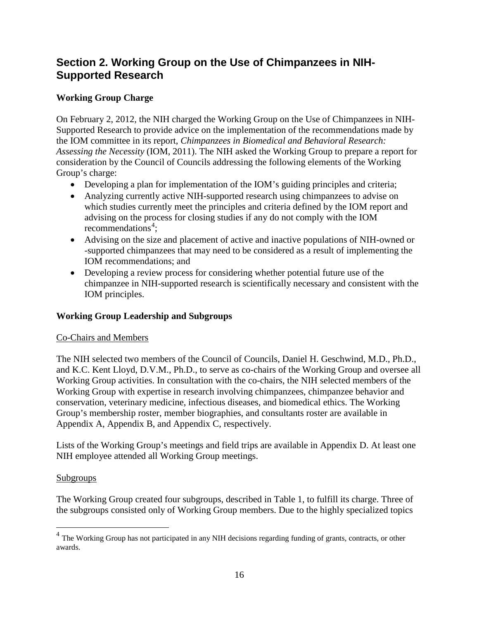## <span id="page-17-0"></span>**Section 2. Working Group on the Use of Chimpanzees in NIH-Supported Research**

### <span id="page-17-1"></span>**Working Group Charge**

On February 2, 2012, the NIH charged the Working Group on the Use of Chimpanzees in NIH-Supported Research to provide advice on the implementation of the recommendations made by the IOM committee in its report, *Chimpanzees in Biomedical and Behavioral Research: Assessing the Necessity* (IOM, 2011). The NIH asked the Working Group to prepare a report for consideration by the Council of Councils addressing the following elements of the Working Group's charge:

- Developing a plan for implementation of the IOM's guiding principles and criteria;
- Analyzing currently active NIH-supported research using chimpanzees to advise on which studies currently meet the principles and criteria defined by the IOM report and advising on the process for closing studies if any do not comply with the IOM recommendations<sup>[4](#page-17-3)</sup>;
- Advising on the size and placement of active and inactive populations of NIH-owned or -supported chimpanzees that may need to be considered as a result of implementing the IOM recommendations; and
- Developing a review process for considering whether potential future use of the chimpanzee in NIH-supported research is scientifically necessary and consistent with the IOM principles.

### <span id="page-17-2"></span>**Working Group Leadership and Subgroups**

### Co-Chairs and Members

The NIH selected two members of the Council of Councils, Daniel H. Geschwind, M.D., Ph.D., and K.C. Kent Lloyd, D.V.M., Ph.D., to serve as co-chairs of the Working Group and oversee all Working Group activities. In consultation with the co-chairs, the NIH selected members of the Working Group with expertise in research involving chimpanzees, chimpanzee behavior and conservation, veterinary medicine, infectious diseases, and biomedical ethics. The Working Group's membership roster, member biographies, and consultants roster are available in Appendix A, Appendix B, and Appendix C, respectively.

Lists of the Working Group's meetings and field trips are available in Appendix D. At least one NIH employee attended all Working Group meetings.

### Subgroups

 $\overline{a}$ 

The Working Group created four subgroups, described in Table 1, to fulfill its charge. Three of the subgroups consisted only of Working Group members. Due to the highly specialized topics

<span id="page-17-3"></span><sup>&</sup>lt;sup>4</sup> The Working Group has not participated in any NIH decisions regarding funding of grants, contracts, or other awards.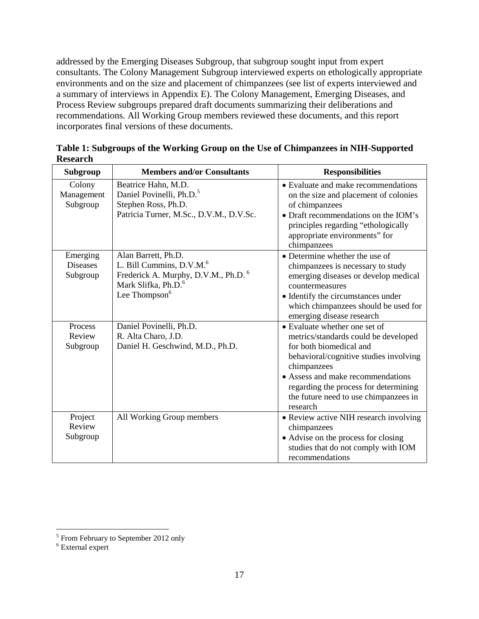addressed by the Emerging Diseases Subgroup, that subgroup sought input from expert consultants. The Colony Management Subgroup interviewed experts on ethologically appropriate environments and on the size and placement of chimpanzees (see list of experts interviewed and a summary of interviews in Appendix E). The Colony Management, Emerging Diseases, and Process Review subgroups prepared draft documents summarizing their deliberations and recommendations. All Working Group members reviewed these documents, and this report incorporates final versions of these documents.

| Subgroup                                | <b>Members and/or Consultants</b>                                                                                                                                              | <b>Responsibilities</b>                                                                                                                                                                                                                                                                      |
|-----------------------------------------|--------------------------------------------------------------------------------------------------------------------------------------------------------------------------------|----------------------------------------------------------------------------------------------------------------------------------------------------------------------------------------------------------------------------------------------------------------------------------------------|
| Colony<br>Management<br>Subgroup        | Beatrice Hahn, M.D.<br>Daniel Povinelli, Ph.D. <sup>5</sup><br>Stephen Ross, Ph.D.<br>Patricia Turner, M.Sc., D.V.M., D.V.Sc.                                                  | • Evaluate and make recommendations<br>on the size and placement of colonies<br>of chimpanzees<br>• Draft recommendations on the IOM's<br>principles regarding "ethologically<br>appropriate environments" for<br>chimpanzees                                                                |
| Emerging<br><b>Diseases</b><br>Subgroup | Alan Barrett, Ph.D.<br>L. Bill Cummins, D.V.M. <sup>6</sup><br>Frederick A. Murphy, D.V.M., Ph.D. <sup>6</sup><br>Mark Slifka, Ph.D. <sup>6</sup><br>Lee Thompson <sup>6</sup> | • Determine whether the use of<br>chimpanzees is necessary to study<br>emerging diseases or develop medical<br>countermeasures<br>• Identify the circumstances under<br>which chimpanzees should be used for<br>emerging disease research                                                    |
| Process<br>Review<br>Subgroup           | Daniel Povinelli, Ph.D.<br>R. Alta Charo, J.D.<br>Daniel H. Geschwind, M.D., Ph.D.                                                                                             | • Evaluate whether one set of<br>metrics/standards could be developed<br>for both biomedical and<br>behavioral/cognitive studies involving<br>chimpanzees<br>• Assess and make recommendations<br>regarding the process for determining<br>the future need to use chimpanzees in<br>research |
| Project<br>Review<br>Subgroup           | All Working Group members                                                                                                                                                      | • Review active NIH research involving<br>chimpanzees<br>• Advise on the process for closing<br>studies that do not comply with IOM<br>recommendations                                                                                                                                       |

**Table 1: Subgroups of the Working Group on the Use of Chimpanzees in NIH-Supported Research**

 $\overline{a}$ 

<span id="page-18-0"></span><sup>&</sup>lt;sup>5</sup> From February to September 2012 only

<span id="page-18-1"></span><sup>6</sup> External expert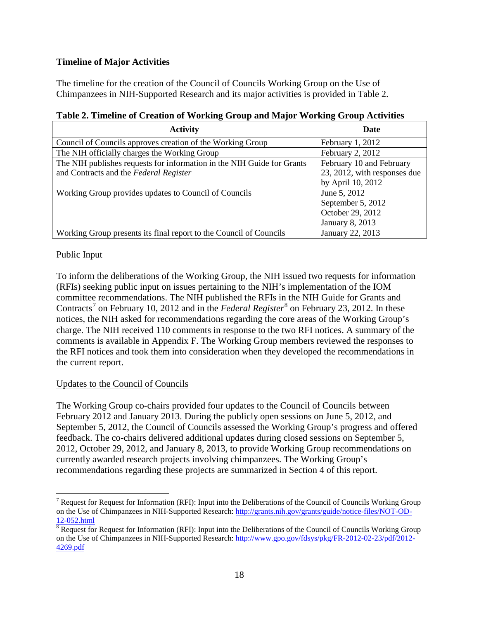#### <span id="page-19-0"></span>**Timeline of Major Activities**

The timeline for the creation of the Council of Councils Working Group on the Use of Chimpanzees in NIH-Supported Research and its major activities is provided in Table 2.

| <b>Activity</b>                                                        | Date                         |
|------------------------------------------------------------------------|------------------------------|
| Council of Councils approves creation of the Working Group             | February $1, 2012$           |
| The NIH officially charges the Working Group                           | February 2, 2012             |
| The NIH publishes requests for information in the NIH Guide for Grants | February 10 and February     |
| and Contracts and the Federal Register                                 | 23, 2012, with responses due |
|                                                                        | by April 10, 2012            |
| Working Group provides updates to Council of Councils                  | June 5, 2012                 |
|                                                                        | September 5, 2012            |
|                                                                        | October 29, 2012             |
|                                                                        | January 8, 2013              |
| Working Group presents its final report to the Council of Councils     | January 22, 2013             |

#### **Table 2. Timeline of Creation of Working Group and Major Working Group Activities**

#### Public Input

To inform the deliberations of the Working Group, the NIH issued two requests for information (RFIs) seeking public input on issues pertaining to the NIH's implementation of the IOM committee recommendations. The NIH published the RFIs in the NIH Guide for Grants and Contracts<sup>[7](#page-19-1)</sup> on February 10, 2012 and in the *Federal Register*<sup>[8](#page-19-2)</sup> on February 23, 2012. In these notices, the NIH asked for recommendations regarding the core areas of the Working Group's charge. The NIH received 110 comments in response to the two RFI notices. A summary of the comments is available in Appendix F. The Working Group members reviewed the responses to the RFI notices and took them into consideration when they developed the recommendations in the current report.

#### Updates to the Council of Councils

The Working Group co-chairs provided four updates to the Council of Councils between February 2012 and January 2013. During the publicly open sessions on June 5, 2012, and September 5, 2012, the Council of Councils assessed the Working Group's progress and offered feedback. The co-chairs delivered additional updates during closed sessions on September 5, 2012, October 29, 2012, and January 8, 2013, to provide Working Group recommendations on currently awarded research projects involving chimpanzees. The Working Group's recommendations regarding these projects are summarized in Section 4 of this report.

<span id="page-19-1"></span> $\overline{a}$  $<sup>7</sup>$  Request for Request for Information (RFI): Input into the Deliberations of the Council of Councils Working Group</sup> on the Use of Chimpanzees in NIH-Supported Research: http://grants.nih.gov/grants/guide/notice-files/NOT-OD-<br>12-052.html

<span id="page-19-2"></span> $8$  Request for Request for Information (RFI): Input into the Deliberations of the Council of Councils Working Group on the Use of Chimpanzees in NIH-Supported Research: [http://www.gpo.gov/fdsys/pkg/FR-2012-02-23/pdf/2012-](http://www.gpo.gov/fdsys/pkg/FR-2012-02-23/pdf/2012-4269.pdf) [4269.pdf](http://www.gpo.gov/fdsys/pkg/FR-2012-02-23/pdf/2012-4269.pdf)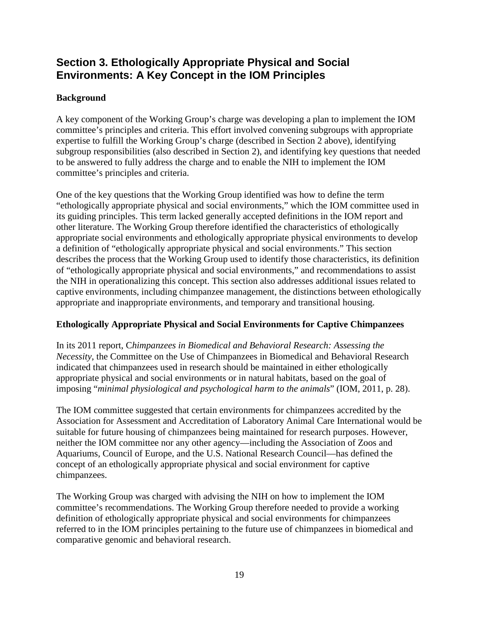## <span id="page-20-0"></span>**Section 3. Ethologically Appropriate Physical and Social Environments: A Key Concept in the IOM Principles**

### <span id="page-20-1"></span>**Background**

A key component of the Working Group's charge was developing a plan to implement the IOM committee's principles and criteria. This effort involved convening subgroups with appropriate expertise to fulfill the Working Group's charge (described in Section 2 above), identifying subgroup responsibilities (also described in Section 2), and identifying key questions that needed to be answered to fully address the charge and to enable the NIH to implement the IOM committee's principles and criteria.

One of the key questions that the Working Group identified was how to define the term "ethologically appropriate physical and social environments," which the IOM committee used in its guiding principles. This term lacked generally accepted definitions in the IOM report and other literature. The Working Group therefore identified the characteristics of ethologically appropriate social environments and ethologically appropriate physical environments to develop a definition of "ethologically appropriate physical and social environments." This section describes the process that the Working Group used to identify those characteristics, its definition of "ethologically appropriate physical and social environments," and recommendations to assist the NIH in operationalizing this concept. This section also addresses additional issues related to captive environments, including chimpanzee management, the distinctions between ethologically appropriate and inappropriate environments, and temporary and transitional housing.

#### <span id="page-20-2"></span>**Ethologically Appropriate Physical and Social Environments for Captive Chimpanzees**

In its 2011 report, C*himpanzees in Biomedical and Behavioral Research: Assessing the Necessity*, the Committee on the Use of Chimpanzees in Biomedical and Behavioral Research indicated that chimpanzees used in research should be maintained in either ethologically appropriate physical and social environments or in natural habitats, based on the goal of imposing "*minimal physiological and psychological harm to the animals*" (IOM, 2011, p. 28).

The IOM committee suggested that certain environments for chimpanzees accredited by the Association for Assessment and Accreditation of Laboratory Animal Care International would be suitable for future housing of chimpanzees being maintained for research purposes. However, neither the IOM committee nor any other agency—including the Association of Zoos and Aquariums, Council of Europe, and the U.S. National Research Council—has defined the concept of an ethologically appropriate physical and social environment for captive chimpanzees.

The Working Group was charged with advising the NIH on how to implement the IOM committee's recommendations. The Working Group therefore needed to provide a working definition of ethologically appropriate physical and social environments for chimpanzees referred to in the IOM principles pertaining to the future use of chimpanzees in biomedical and comparative genomic and behavioral research.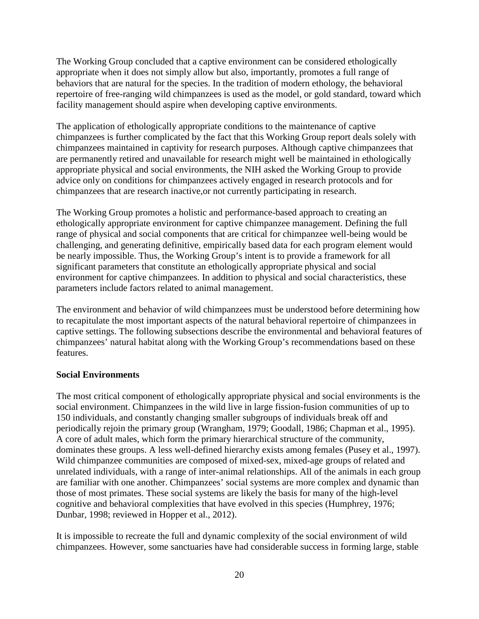The Working Group concluded that a captive environment can be considered ethologically appropriate when it does not simply allow but also, importantly, promotes a full range of behaviors that are natural for the species. In the tradition of modern ethology, the behavioral repertoire of free-ranging wild chimpanzees is used as the model, or gold standard, toward which facility management should aspire when developing captive environments.

The application of ethologically appropriate conditions to the maintenance of captive chimpanzees is further complicated by the fact that this Working Group report deals solely with chimpanzees maintained in captivity for research purposes. Although captive chimpanzees that are permanently retired and unavailable for research might well be maintained in ethologically appropriate physical and social environments, the NIH asked the Working Group to provide advice only on conditions for chimpanzees actively engaged in research protocols and for chimpanzees that are research inactive,or not currently participating in research.

The Working Group promotes a holistic and performance-based approach to creating an ethologically appropriate environment for captive chimpanzee management. Defining the full range of physical and social components that are critical for chimpanzee well-being would be challenging, and generating definitive, empirically based data for each program element would be nearly impossible. Thus, the Working Group's intent is to provide a framework for all significant parameters that constitute an ethologically appropriate physical and social environment for captive chimpanzees. In addition to physical and social characteristics, these parameters include factors related to animal management.

The environment and behavior of wild chimpanzees must be understood before determining how to recapitulate the most important aspects of the natural behavioral repertoire of chimpanzees in captive settings. The following subsections describe the environmental and behavioral features of chimpanzees' natural habitat along with the Working Group's recommendations based on these features.

#### <span id="page-21-0"></span>**Social Environments**

The most critical component of ethologically appropriate physical and social environments is the social environment. Chimpanzees in the wild live in large fission-fusion communities of up to 150 individuals, and constantly changing smaller subgroups of individuals break off and periodically rejoin the primary group (Wrangham, 1979; Goodall, 1986; Chapman et al., 1995). A core of adult males, which form the primary hierarchical structure of the community, dominates these groups. A less well-defined hierarchy exists among females (Pusey et al., 1997). Wild chimpanzee communities are composed of mixed-sex, mixed-age groups of related and unrelated individuals, with a range of inter-animal relationships. All of the animals in each group are familiar with one another. Chimpanzees' social systems are more complex and dynamic than those of most primates. These social systems are likely the basis for many of the high-level cognitive and behavioral complexities that have evolved in this species (Humphrey, 1976; Dunbar, 1998; reviewed in Hopper et al., 2012).

It is impossible to recreate the full and dynamic complexity of the social environment of wild chimpanzees. However, some sanctuaries have had considerable success in forming large, stable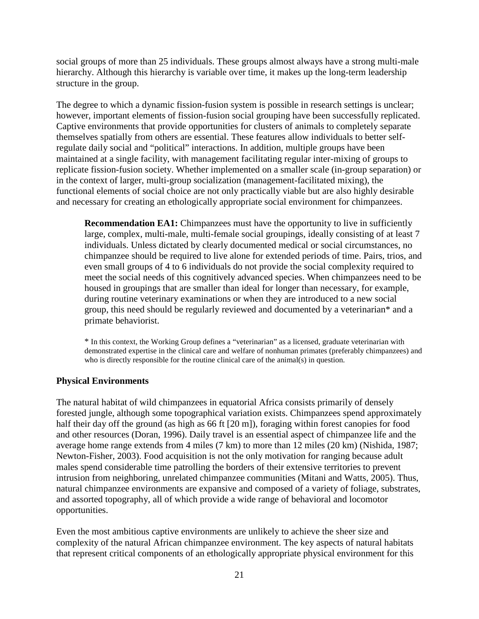social groups of more than 25 individuals. These groups almost always have a strong multi-male hierarchy. Although this hierarchy is variable over time, it makes up the long-term leadership structure in the group.

The degree to which a dynamic fission-fusion system is possible in research settings is unclear; however, important elements of fission-fusion social grouping have been successfully replicated. Captive environments that provide opportunities for clusters of animals to completely separate themselves spatially from others are essential. These features allow individuals to better selfregulate daily social and "political" interactions. In addition, multiple groups have been maintained at a single facility, with management facilitating regular inter-mixing of groups to replicate fission-fusion society. Whether implemented on a smaller scale (in-group separation) or in the context of larger, multi-group socialization (management-facilitated mixing), the functional elements of social choice are not only practically viable but are also highly desirable and necessary for creating an ethologically appropriate social environment for chimpanzees.

**Recommendation EA1:** Chimpanzees must have the opportunity to live in sufficiently large, complex, multi-male, multi-female social groupings, ideally consisting of at least 7 individuals. Unless dictated by clearly documented medical or social circumstances, no chimpanzee should be required to live alone for extended periods of time. Pairs, trios, and even small groups of 4 to 6 individuals do not provide the social complexity required to meet the social needs of this cognitively advanced species. When chimpanzees need to be housed in groupings that are smaller than ideal for longer than necessary, for example, during routine veterinary examinations or when they are introduced to a new social group, this need should be regularly reviewed and documented by a veterinarian\* and a primate behaviorist.

\* In this context, the Working Group defines a "veterinarian" as a licensed, graduate veterinarian with demonstrated expertise in the clinical care and welfare of nonhuman primates (preferably chimpanzees) and who is directly responsible for the routine clinical care of the animal(s) in question.

#### <span id="page-22-0"></span>**Physical Environments**

The natural habitat of wild chimpanzees in equatorial Africa consists primarily of densely forested jungle, although some topographical variation exists. Chimpanzees spend approximately half their day off the ground (as high as 66 ft [20 m]), foraging within forest canopies for food and other resources (Doran, 1996). Daily travel is an essential aspect of chimpanzee life and the average home range extends from 4 miles (7 km) to more than 12 miles (20 km) (Nishida, 1987; Newton-Fisher, 2003). Food acquisition is not the only motivation for ranging because adult males spend considerable time patrolling the borders of their extensive territories to prevent intrusion from neighboring, unrelated chimpanzee communities (Mitani and Watts, 2005). Thus, natural chimpanzee environments are expansive and composed of a variety of foliage, substrates, and assorted topography, all of which provide a wide range of behavioral and locomotor opportunities.

Even the most ambitious captive environments are unlikely to achieve the sheer size and complexity of the natural African chimpanzee environment. The key aspects of natural habitats that represent critical components of an ethologically appropriate physical environment for this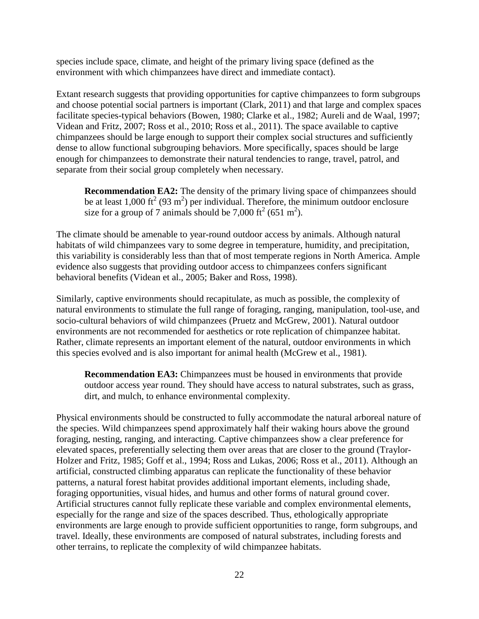species include space, climate, and height of the primary living space (defined as the environment with which chimpanzees have direct and immediate contact).

Extant research suggests that providing opportunities for captive chimpanzees to form subgroups and choose potential social partners is important (Clark, 2011) and that large and complex spaces facilitate species-typical behaviors (Bowen, 1980; Clarke et al., 1982; Aureli and de Waal, 1997; Videan and Fritz, 2007; Ross et al., 2010; Ross et al., 2011). The space available to captive chimpanzees should be large enough to support their complex social structures and sufficiently dense to allow functional subgrouping behaviors. More specifically, spaces should be large enough for chimpanzees to demonstrate their natural tendencies to range, travel, patrol, and separate from their social group completely when necessary.

**Recommendation EA2:** The density of the primary living space of chimpanzees should be at least 1,000 ft<sup>2</sup> (93 m<sup>2</sup>) per individual. Therefore, the minimum outdoor enclosure size for a group of 7 animals should be 7,000 ft<sup>2</sup> (651 m<sup>2</sup>).

The climate should be amenable to year-round outdoor access by animals. Although natural habitats of wild chimpanzees vary to some degree in temperature, humidity, and precipitation, this variability is considerably less than that of most temperate regions in North America. Ample evidence also suggests that providing outdoor access to chimpanzees confers significant behavioral benefits (Videan et al., 2005; Baker and Ross, 1998).

Similarly, captive environments should recapitulate, as much as possible, the complexity of natural environments to stimulate the full range of foraging, ranging, manipulation, tool-use, and socio-cultural behaviors of wild chimpanzees (Pruetz and McGrew, 2001). Natural outdoor environments are not recommended for aesthetics or rote replication of chimpanzee habitat. Rather, climate represents an important element of the natural, outdoor environments in which this species evolved and is also important for animal health (McGrew et al., 1981).

**Recommendation EA3:** Chimpanzees must be housed in environments that provide outdoor access year round. They should have access to natural substrates, such as grass, dirt, and mulch, to enhance environmental complexity.

Physical environments should be constructed to fully accommodate the natural arboreal nature of the species. Wild chimpanzees spend approximately half their waking hours above the ground foraging, nesting, ranging, and interacting. Captive chimpanzees show a clear preference for elevated spaces, preferentially selecting them over areas that are closer to the ground (Traylor-Holzer and Fritz, 1985; Goff et al., 1994; Ross and Lukas, 2006; Ross et al., 2011). Although an artificial, constructed climbing apparatus can replicate the functionality of these behavior patterns, a natural forest habitat provides additional important elements, including shade, foraging opportunities, visual hides, and humus and other forms of natural ground cover. Artificial structures cannot fully replicate these variable and complex environmental elements, especially for the range and size of the spaces described. Thus, ethologically appropriate environments are large enough to provide sufficient opportunities to range, form subgroups, and travel. Ideally, these environments are composed of natural substrates, including forests and other terrains, to replicate the complexity of wild chimpanzee habitats.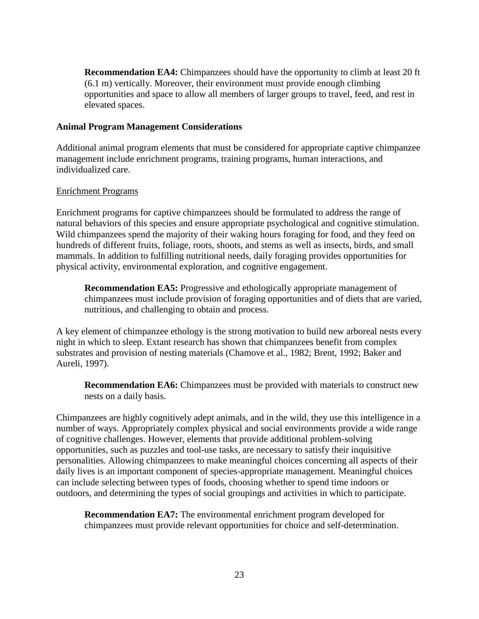**Recommendation EA4:** Chimpanzees should have the opportunity to climb at least 20 ft (6.1 m) vertically. Moreover, their environment must provide enough climbing opportunities and space to allow all members of larger groups to travel, feed, and rest in elevated spaces.

#### <span id="page-24-0"></span>**Animal Program Management Considerations**

Additional animal program elements that must be considered for appropriate captive chimpanzee management include enrichment programs, training programs, human interactions, and individualized care.

#### Enrichment Programs

Enrichment programs for captive chimpanzees should be formulated to address the range of natural behaviors of this species and ensure appropriate psychological and cognitive stimulation. Wild chimpanzees spend the majority of their waking hours foraging for food, and they feed on hundreds of different fruits, foliage, roots, shoots, and stems as well as insects, birds, and small mammals. In addition to fulfilling nutritional needs, daily foraging provides opportunities for physical activity, environmental exploration, and cognitive engagement.

**Recommendation EA5:** Progressive and ethologically appropriate management of chimpanzees must include provision of foraging opportunities and of diets that are varied, nutritious, and challenging to obtain and process.

A key element of chimpanzee ethology is the strong motivation to build new arboreal nests every night in which to sleep. Extant research has shown that chimpanzees benefit from complex substrates and provision of nesting materials (Chamove et al., 1982; Brent, 1992; Baker and Aureli, 1997).

**Recommendation EA6:** Chimpanzees must be provided with materials to construct new nests on a daily basis.

Chimpanzees are highly cognitively adept animals, and in the wild, they use this intelligence in a number of ways. Appropriately complex physical and social environments provide a wide range of cognitive challenges. However, elements that provide additional problem-solving opportunities, such as puzzles and tool-use tasks, are necessary to satisfy their inquisitive personalities. Allowing chimpanzees to make meaningful choices concerning all aspects of their daily lives is an important component of species-appropriate management. Meaningful choices can include selecting between types of foods, choosing whether to spend time indoors or outdoors, and determining the types of social groupings and activities in which to participate.

**Recommendation EA7:** The environmental enrichment program developed for chimpanzees must provide relevant opportunities for choice and self-determination.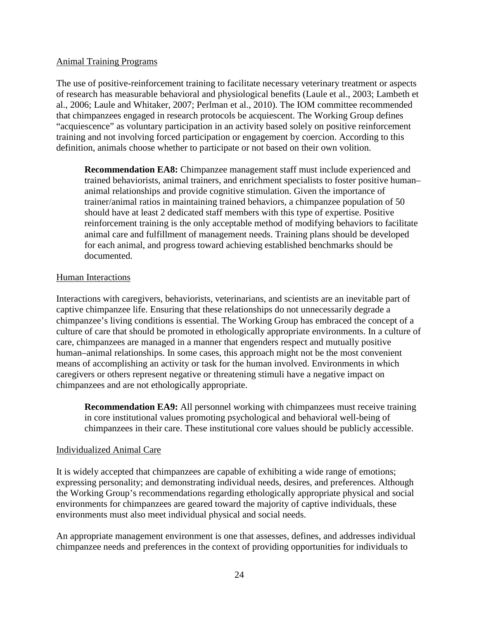#### Animal Training Programs

The use of positive-reinforcement training to facilitate necessary veterinary treatment or aspects of research has measurable behavioral and physiological benefits (Laule et al., 2003; Lambeth et al., 2006; Laule and Whitaker, 2007; Perlman et al., 2010). The IOM committee recommended that chimpanzees engaged in research protocols be acquiescent. The Working Group defines "acquiescence" as voluntary participation in an activity based solely on positive reinforcement training and not involving forced participation or engagement by coercion. According to this definition, animals choose whether to participate or not based on their own volition.

**Recommendation EA8:** Chimpanzee management staff must include experienced and trained behaviorists, animal trainers, and enrichment specialists to foster positive human– animal relationships and provide cognitive stimulation. Given the importance of trainer/animal ratios in maintaining trained behaviors, a chimpanzee population of 50 should have at least 2 dedicated staff members with this type of expertise. Positive reinforcement training is the only acceptable method of modifying behaviors to facilitate animal care and fulfillment of management needs. Training plans should be developed for each animal, and progress toward achieving established benchmarks should be documented.

#### Human Interactions

Interactions with caregivers, behaviorists, veterinarians, and scientists are an inevitable part of captive chimpanzee life. Ensuring that these relationships do not unnecessarily degrade a chimpanzee's living conditions is essential. The Working Group has embraced the concept of a culture of care that should be promoted in ethologically appropriate environments. In a culture of care, chimpanzees are managed in a manner that engenders respect and mutually positive human–animal relationships. In some cases, this approach might not be the most convenient means of accomplishing an activity or task for the human involved. Environments in which caregivers or others represent negative or threatening stimuli have a negative impact on chimpanzees and are not ethologically appropriate.

**Recommendation EA9:** All personnel working with chimpanzees must receive training in core institutional values promoting psychological and behavioral well-being of chimpanzees in their care. These institutional core values should be publicly accessible.

#### Individualized Animal Care

It is widely accepted that chimpanzees are capable of exhibiting a wide range of emotions; expressing personality; and demonstrating individual needs, desires, and preferences. Although the Working Group's recommendations regarding ethologically appropriate physical and social environments for chimpanzees are geared toward the majority of captive individuals, these environments must also meet individual physical and social needs.

An appropriate management environment is one that assesses, defines, and addresses individual chimpanzee needs and preferences in the context of providing opportunities for individuals to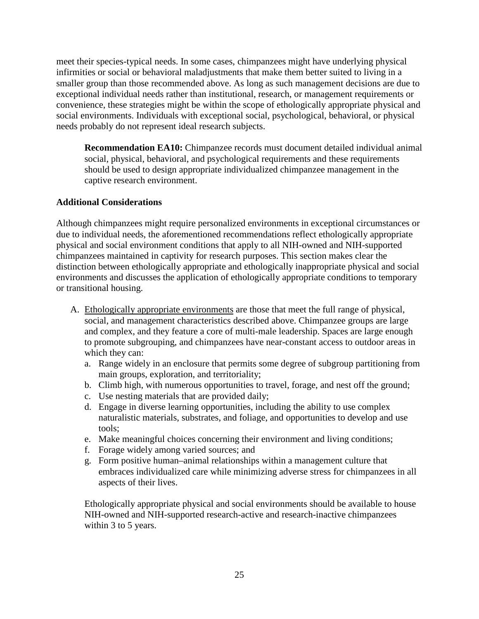meet their species-typical needs. In some cases, chimpanzees might have underlying physical infirmities or social or behavioral maladjustments that make them better suited to living in a smaller group than those recommended above. As long as such management decisions are due to exceptional individual needs rather than institutional, research, or management requirements or convenience, these strategies might be within the scope of ethologically appropriate physical and social environments. Individuals with exceptional social, psychological, behavioral, or physical needs probably do not represent ideal research subjects.

**Recommendation EA10:** Chimpanzee records must document detailed individual animal social, physical, behavioral, and psychological requirements and these requirements should be used to design appropriate individualized chimpanzee management in the captive research environment.

#### <span id="page-26-0"></span>**Additional Considerations**

Although chimpanzees might require personalized environments in exceptional circumstances or due to individual needs, the aforementioned recommendations reflect ethologically appropriate physical and social environment conditions that apply to all NIH-owned and NIH-supported chimpanzees maintained in captivity for research purposes. This section makes clear the distinction between ethologically appropriate and ethologically inappropriate physical and social environments and discusses the application of ethologically appropriate conditions to temporary or transitional housing.

- A. Ethologically appropriate environments are those that meet the full range of physical, social, and management characteristics described above. Chimpanzee groups are large and complex, and they feature a core of multi-male leadership. Spaces are large enough to promote subgrouping, and chimpanzees have near-constant access to outdoor areas in which they can:
	- a. Range widely in an enclosure that permits some degree of subgroup partitioning from main groups, exploration, and territoriality;
	- b. Climb high, with numerous opportunities to travel, forage, and nest off the ground;
	- c. Use nesting materials that are provided daily;
	- d. Engage in diverse learning opportunities, including the ability to use complex naturalistic materials, substrates, and foliage, and opportunities to develop and use tools;
	- e. Make meaningful choices concerning their environment and living conditions;
	- f. Forage widely among varied sources; and
	- g. Form positive human–animal relationships within a management culture that embraces individualized care while minimizing adverse stress for chimpanzees in all aspects of their lives.

Ethologically appropriate physical and social environments should be available to house NIH-owned and NIH-supported research-active and research-inactive chimpanzees within 3 to 5 years.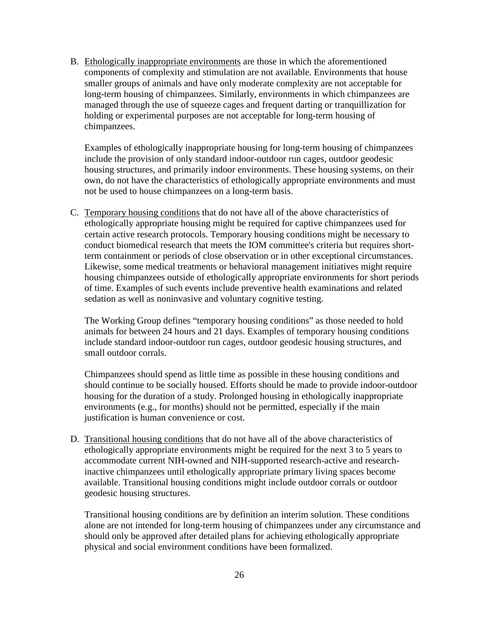B. Ethologically inappropriate environments are those in which the aforementioned components of complexity and stimulation are not available. Environments that house smaller groups of animals and have only moderate complexity are not acceptable for long-term housing of chimpanzees. Similarly, environments in which chimpanzees are managed through the use of squeeze cages and frequent darting or tranquillization for holding or experimental purposes are not acceptable for long-term housing of chimpanzees.

Examples of ethologically inappropriate housing for long-term housing of chimpanzees include the provision of only standard indoor-outdoor run cages, outdoor geodesic housing structures, and primarily indoor environments. These housing systems, on their own, do not have the characteristics of ethologically appropriate environments and must not be used to house chimpanzees on a long-term basis.

C. Temporary housing conditions that do not have all of the above characteristics of ethologically appropriate housing might be required for captive chimpanzees used for certain active research protocols. Temporary housing conditions might be necessary to conduct biomedical research that meets the IOM committee's criteria but requires shortterm containment or periods of close observation or in other exceptional circumstances. Likewise, some medical treatments or behavioral management initiatives might require housing chimpanzees outside of ethologically appropriate environments for short periods of time. Examples of such events include preventive health examinations and related sedation as well as noninvasive and voluntary cognitive testing.

The Working Group defines "temporary housing conditions" as those needed to hold animals for between 24 hours and 21 days. Examples of temporary housing conditions include standard indoor-outdoor run cages, outdoor geodesic housing structures, and small outdoor corrals.

Chimpanzees should spend as little time as possible in these housing conditions and should continue to be socially housed. Efforts should be made to provide indoor-outdoor housing for the duration of a study. Prolonged housing in ethologically inappropriate environments (e.g., for months) should not be permitted, especially if the main justification is human convenience or cost.

D. Transitional housing conditions that do not have all of the above characteristics of ethologically appropriate environments might be required for the next 3 to 5 years to accommodate current NIH-owned and NIH-supported research-active and researchinactive chimpanzees until ethologically appropriate primary living spaces become available. Transitional housing conditions might include outdoor corrals or outdoor geodesic housing structures.

Transitional housing conditions are by definition an interim solution. These conditions alone are not intended for long-term housing of chimpanzees under any circumstance and should only be approved after detailed plans for achieving ethologically appropriate physical and social environment conditions have been formalized.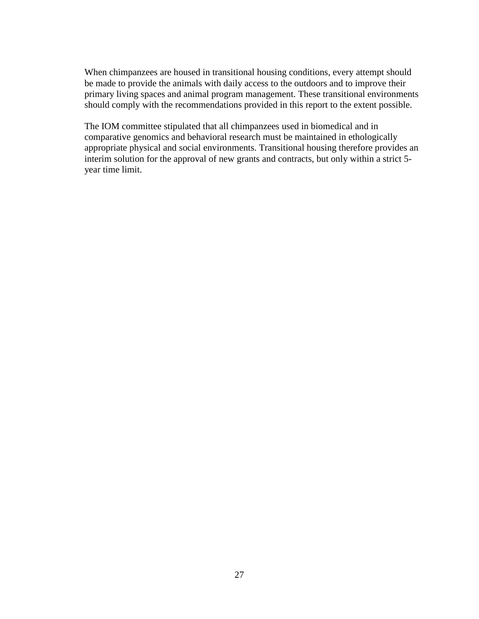When chimpanzees are housed in transitional housing conditions, every attempt should be made to provide the animals with daily access to the outdoors and to improve their primary living spaces and animal program management. These transitional environments should comply with the recommendations provided in this report to the extent possible.

The IOM committee stipulated that all chimpanzees used in biomedical and in comparative genomics and behavioral research must be maintained in ethologically appropriate physical and social environments. Transitional housing therefore provides an interim solution for the approval of new grants and contracts, but only within a strict 5 year time limit.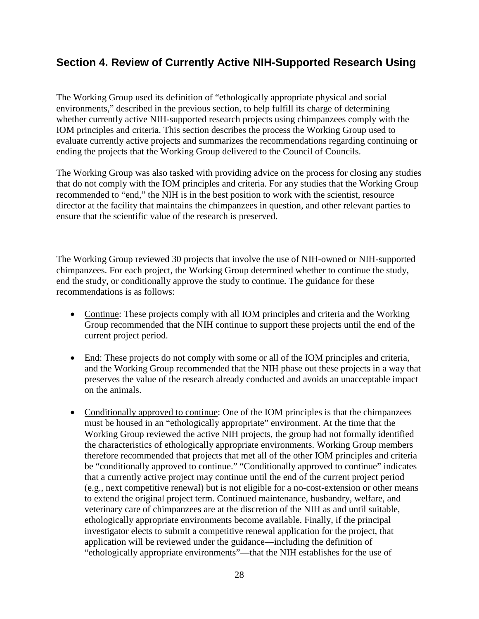## <span id="page-29-0"></span>**Section 4. Review of Currently Active NIH-Supported Research Using**

The Working Group used its definition of "ethologically appropriate physical and social environments," described in the previous section, to help fulfill its charge of determining whether currently active NIH-supported research projects using chimpanzees comply with the IOM principles and criteria. This section describes the process the Working Group used to evaluate currently active projects and summarizes the recommendations regarding continuing or ending the projects that the Working Group delivered to the Council of Councils.

The Working Group was also tasked with providing advice on the process for closing any studies that do not comply with the IOM principles and criteria. For any studies that the Working Group recommended to "end," the NIH is in the best position to work with the scientist, resource director at the facility that maintains the chimpanzees in question, and other relevant parties to ensure that the scientific value of the research is preserved.

<span id="page-29-1"></span>The Working Group reviewed 30 projects that involve the use of NIH-owned or NIH-supported chimpanzees. For each project, the Working Group determined whether to continue the study, end the study, or conditionally approve the study to continue. The guidance for these recommendations is as follows:

- Continue: These projects comply with all IOM principles and criteria and the Working Group recommended that the NIH continue to support these projects until the end of the current project period.
- End: These projects do not comply with some or all of the IOM principles and criteria, and the Working Group recommended that the NIH phase out these projects in a way that preserves the value of the research already conducted and avoids an unacceptable impact on the animals.
- Conditionally approved to continue: One of the IOM principles is that the chimpanzees must be housed in an "ethologically appropriate" environment. At the time that the Working Group reviewed the active NIH projects, the group had not formally identified the characteristics of ethologically appropriate environments. Working Group members therefore recommended that projects that met all of the other IOM principles and criteria be "conditionally approved to continue." "Conditionally approved to continue" indicates that a currently active project may continue until the end of the current project period (e.g., next competitive renewal) but is not eligible for a no-cost-extension or other means to extend the original project term. Continued maintenance, husbandry, welfare, and veterinary care of chimpanzees are at the discretion of the NIH as and until suitable, ethologically appropriate environments become available. Finally, if the principal investigator elects to submit a competitive renewal application for the project, that application will be reviewed under the guidance—including the definition of "ethologically appropriate environments"—that the NIH establishes for the use of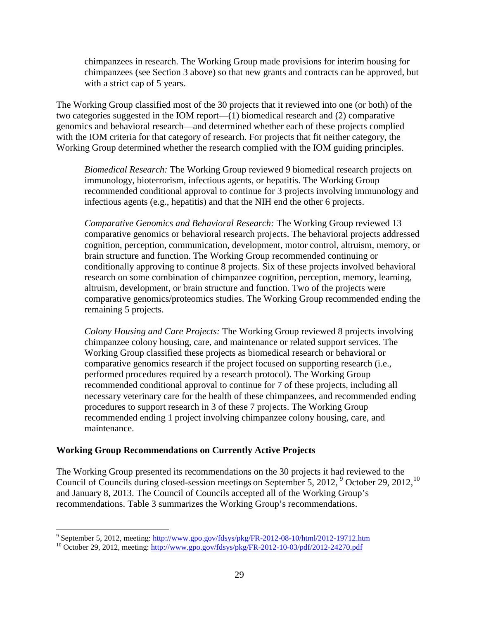chimpanzees in research. The Working Group made provisions for interim housing for chimpanzees (see Section 3 above) so that new grants and contracts can be approved, but with a strict cap of 5 years.

The Working Group classified most of the 30 projects that it reviewed into one (or both) of the two categories suggested in the IOM report—(1) biomedical research and (2) comparative genomics and behavioral research—and determined whether each of these projects complied with the IOM criteria for that category of research. For projects that fit neither category, the Working Group determined whether the research complied with the IOM guiding principles.

*Biomedical Research:* The Working Group reviewed 9 biomedical research projects on immunology, bioterrorism, infectious agents, or hepatitis. The Working Group recommended conditional approval to continue for 3 projects involving immunology and infectious agents (e.g., hepatitis) and that the NIH end the other 6 projects.

*Comparative Genomics and Behavioral Research:* The Working Group reviewed 13 comparative genomics or behavioral research projects. The behavioral projects addressed cognition, perception, communication, development, motor control, altruism, memory, or brain structure and function. The Working Group recommended continuing or conditionally approving to continue 8 projects. Six of these projects involved behavioral research on some combination of chimpanzee cognition, perception, memory, learning, altruism, development, or brain structure and function. Two of the projects were comparative genomics/proteomics studies. The Working Group recommended ending the remaining 5 projects.

*Colony Housing and Care Projects:* The Working Group reviewed 8 projects involving chimpanzee colony housing, care, and maintenance or related support services. The Working Group classified these projects as biomedical research or behavioral or comparative genomics research if the project focused on supporting research (i.e., performed procedures required by a research protocol). The Working Group recommended conditional approval to continue for 7 of these projects, including all necessary veterinary care for the health of these chimpanzees, and recommended ending procedures to support research in 3 of these 7 projects. The Working Group recommended ending 1 project involving chimpanzee colony housing, care, and maintenance.

#### <span id="page-30-0"></span>**Working Group Recommendations on Currently Active Projects**

 $\overline{a}$ 

The Working Group presented its recommendations on the 30 projects it had reviewed to the Council of Councils during closed-session meetings on September 5, 2012, <sup>[9](#page-30-1)</sup> October 29, 2012, <sup>[10](#page-30-2)</sup> and January 8, 2013. The Council of Councils accepted all of the Working Group's recommendations. Table 3 summarizes the Working Group's recommendations.

<span id="page-30-1"></span> $9^9$  September 5, 2012, meeting:

<span id="page-30-2"></span> $heta_{\text{10}}$  October 29, 2012, meeting:<http://www.gpo.gov/fdsys/pkg/FR-2012-10-03/pdf/2012-24270.pdf>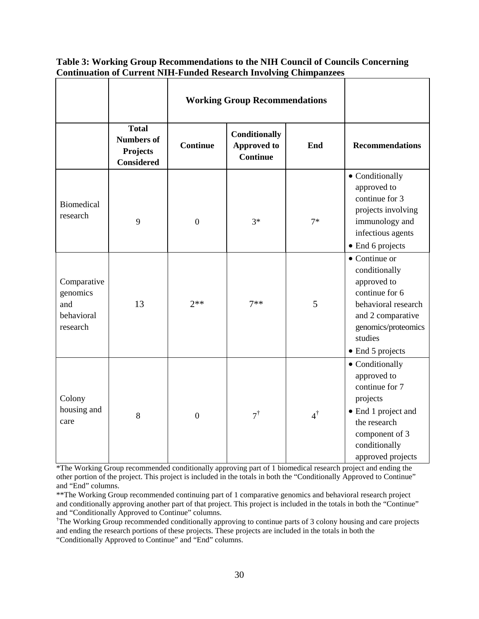|                                                          |                                                                           | <b>Working Group Recommendations</b> |                                                               |               |                                                                                                                                                                   |
|----------------------------------------------------------|---------------------------------------------------------------------------|--------------------------------------|---------------------------------------------------------------|---------------|-------------------------------------------------------------------------------------------------------------------------------------------------------------------|
|                                                          | <b>Total</b><br><b>Numbers of</b><br><b>Projects</b><br><b>Considered</b> | <b>Continue</b>                      | <b>Conditionally</b><br><b>Approved to</b><br><b>Continue</b> | End           | <b>Recommendations</b>                                                                                                                                            |
| <b>Biomedical</b><br>research                            | 9                                                                         | $\boldsymbol{0}$                     | $3*$                                                          | $7*$          | • Conditionally<br>approved to<br>continue for 3<br>projects involving<br>immunology and<br>infectious agents<br>• End 6 projects                                 |
| Comparative<br>genomics<br>and<br>behavioral<br>research | 13                                                                        | $2**$                                | $7**$                                                         | 5             | • Continue or<br>conditionally<br>approved to<br>continue for 6<br>behavioral research<br>and 2 comparative<br>genomics/proteomics<br>studies<br>• End 5 projects |
| Colony<br>housing and<br>care                            | 8                                                                         | $\overline{0}$                       | $7^{\dagger}$                                                 | $4^{\dagger}$ | • Conditionally<br>approved to<br>continue for 7<br>projects<br>• End 1 project and<br>the research<br>component of 3<br>conditionally<br>approved projects       |

**Table 3: Working Group Recommendations to the NIH Council of Councils Concerning Continuation of Current NIH-Funded Research Involving Chimpanzees**

\*The Working Group recommended conditionally approving part of 1 biomedical research project and ending the other portion of the project. This project is included in the totals in both the "Conditionally Approved to Continue" and "End" columns.

\*\*The Working Group recommended continuing part of 1 comparative genomics and behavioral research project and conditionally approving another part of that project. This project is included in the totals in both the "Continue" and "Conditionally Approved to Continue" columns.

† The Working Group recommended conditionally approving to continue parts of 3 colony housing and care projects and ending the research portions of these projects. These projects are included in the totals in both the "Conditionally Approved to Continue" and "End" columns.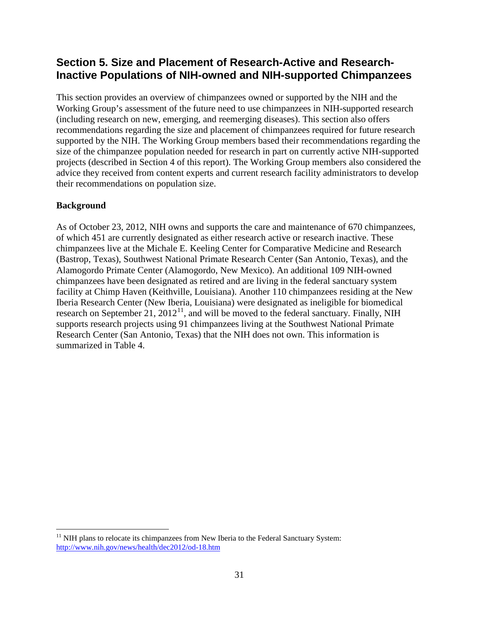## <span id="page-32-0"></span>**Section 5. Size and Placement of Research-Active and Research-Inactive Populations of NIH-owned and NIH-supported Chimpanzees**

This section provides an overview of chimpanzees owned or supported by the NIH and the Working Group's assessment of the future need to use chimpanzees in NIH-supported research (including research on new, emerging, and reemerging diseases). This section also offers recommendations regarding the size and placement of chimpanzees required for future research supported by the NIH. The Working Group members based their recommendations regarding the size of the chimpanzee population needed for research in part on currently active NIH-supported projects (described in Section 4 of this report). The Working Group members also considered the advice they received from content experts and current research facility administrators to develop their recommendations on population size.

#### <span id="page-32-1"></span>**Background**

 $\overline{a}$ 

As of October 23, 2012, NIH owns and supports the care and maintenance of 670 chimpanzees, of which 451 are currently designated as either research active or research inactive. These chimpanzees live at the Michale E. Keeling Center for Comparative Medicine and Research (Bastrop, Texas), Southwest National Primate Research Center (San Antonio, Texas), and the Alamogordo Primate Center (Alamogordo, New Mexico). An additional 109 NIH-owned chimpanzees have been designated as retired and are living in the federal sanctuary system facility at Chimp Haven (Keithville, Louisiana). Another 110 chimpanzees residing at the New Iberia Research Center (New Iberia, Louisiana) were designated as ineligible for biomedical research on September 21, 2012<sup>11</sup>, and will be moved to the federal sanctuary. Finally, NIH supports research projects using 91 chimpanzees living at the Southwest National Primate Research Center (San Antonio, Texas) that the NIH does not own. This information is summarized in Table 4.

<span id="page-32-2"></span> $11$  NIH plans to relocate its chimpanzees from New Iberia to the Federal Sanctuary System: <http://www.nih.gov/news/health/dec2012/od-18.htm>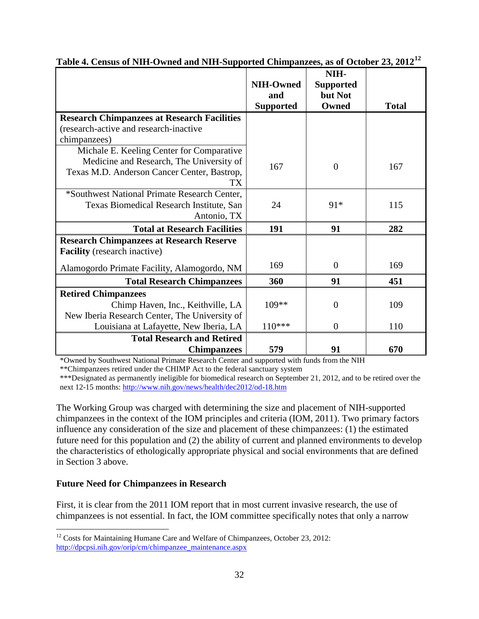|                                                                                                                                            | <b>NIH-Owned</b><br>and<br><b>Supported</b> | NIH-<br><b>Supported</b><br>but Not<br>Owned | <b>Total</b> |
|--------------------------------------------------------------------------------------------------------------------------------------------|---------------------------------------------|----------------------------------------------|--------------|
| <b>Research Chimpanzees at Research Facilities</b>                                                                                         |                                             |                                              |              |
| (research-active and research-inactive                                                                                                     |                                             |                                              |              |
| chimpanzees)                                                                                                                               |                                             |                                              |              |
| Michale E. Keeling Center for Comparative<br>Medicine and Research, The University of<br>Texas M.D. Anderson Cancer Center, Bastrop,<br>TX | 167                                         | $\overline{0}$                               | 167          |
| *Southwest National Primate Research Center,<br>Texas Biomedical Research Institute, San<br>Antonio, TX                                    | 24                                          | 91*                                          | 115          |
| <b>Total at Research Facilities</b>                                                                                                        | 191                                         | 91                                           | 282          |
| <b>Research Chimpanzees at Research Reserve</b><br><b>Facility</b> (research inactive)                                                     |                                             |                                              |              |
| Alamogordo Primate Facility, Alamogordo, NM                                                                                                | 169                                         | $\Omega$                                     | 169          |
| <b>Total Research Chimpanzees</b>                                                                                                          | 360                                         | 91                                           | 451          |
| <b>Retired Chimpanzees</b>                                                                                                                 |                                             |                                              |              |
| Chimp Haven, Inc., Keithville, LA                                                                                                          | $109**$                                     | $\overline{0}$                               | 109          |
| New Iberia Research Center, The University of                                                                                              |                                             |                                              |              |
| Louisiana at Lafayette, New Iberia, LA                                                                                                     | $110***$                                    | $\overline{0}$                               | 110          |
| <b>Total Research and Retired</b><br><b>Chimpanzees</b>                                                                                    | 579                                         | 91                                           | 670          |

| Table 4. Census of NIH-Owned and NIH-Supported Chimpanzees, as of October 23, 2012 <sup>12</sup> |  |  |  |  |  |  |  |  |  |
|--------------------------------------------------------------------------------------------------|--|--|--|--|--|--|--|--|--|
|--------------------------------------------------------------------------------------------------|--|--|--|--|--|--|--|--|--|

\*Owned by Southwest National Primate Research Center and supported with funds from the NIH

\*\*Chimpanzees retired under the CHIMP Act to the federal sanctuary system

\*\*\*Designated as permanently ineligible for biomedical research on September 21, 2012, and to be retired over the next 12-15 months:<http://www.nih.gov/news/health/dec2012/od-18.htm>

The Working Group was charged with determining the size and placement of NIH-supported chimpanzees in the context of the IOM principles and criteria (IOM, 2011). Two primary factors influence any consideration of the size and placement of these chimpanzees: (1) the estimated future need for this population and (2) the ability of current and planned environments to develop the characteristics of ethologically appropriate physical and social environments that are defined in Section 3 above.

#### <span id="page-33-0"></span>**Future Need for Chimpanzees in Research**

First, it is clear from the 2011 IOM report that in most current invasive research, the use of chimpanzees is not essential. In fact, the IOM committee specifically notes that only a narrow

<span id="page-33-1"></span> $\overline{a}$  $12$  Costs for Maintaining Humane Care and Welfare of Chimpanzees, October 23, 2012: [http://dpcpsi.nih.gov/orip/cm/chimpanzee\\_maintenance.aspx](http://dpcpsi.nih.gov/orip/cm/chimpanzee_maintenance.aspx)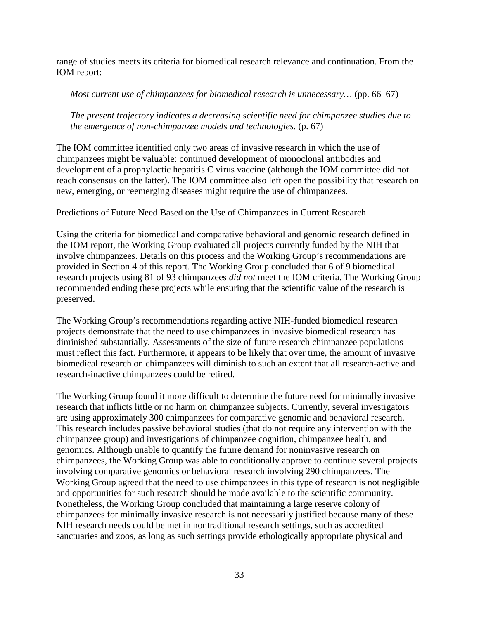range of studies meets its criteria for biomedical research relevance and continuation. From the IOM report:

*Most current use of chimpanzees for biomedical research is unnecessary…* (pp. 66–67)

*The present trajectory indicates a decreasing scientific need for chimpanzee studies due to the emergence of non-chimpanzee models and technologies.* (p. 67)

The IOM committee identified only two areas of invasive research in which the use of chimpanzees might be valuable: continued development of monoclonal antibodies and development of a prophylactic hepatitis C virus vaccine (although the IOM committee did not reach consensus on the latter). The IOM committee also left open the possibility that research on new, emerging, or reemerging diseases might require the use of chimpanzees.

#### Predictions of Future Need Based on the Use of Chimpanzees in Current Research

Using the criteria for biomedical and comparative behavioral and genomic research defined in the IOM report, the Working Group evaluated all projects currently funded by the NIH that involve chimpanzees. Details on this process and the Working Group's recommendations are provided in Section 4 of this report. The Working Group concluded that 6 of 9 biomedical research projects using 81 of 93 chimpanzees *did not* meet the IOM criteria. The Working Group recommended ending these projects while ensuring that the scientific value of the research is preserved.

The Working Group's recommendations regarding active NIH-funded biomedical research projects demonstrate that the need to use chimpanzees in invasive biomedical research has diminished substantially. Assessments of the size of future research chimpanzee populations must reflect this fact. Furthermore, it appears to be likely that over time, the amount of invasive biomedical research on chimpanzees will diminish to such an extent that all research-active and research-inactive chimpanzees could be retired.

The Working Group found it more difficult to determine the future need for minimally invasive research that inflicts little or no harm on chimpanzee subjects. Currently, several investigators are using approximately 300 chimpanzees for comparative genomic and behavioral research. This research includes passive behavioral studies (that do not require any intervention with the chimpanzee group) and investigations of chimpanzee cognition, chimpanzee health, and genomics. Although unable to quantify the future demand for noninvasive research on chimpanzees, the Working Group was able to conditionally approve to continue several projects involving comparative genomics or behavioral research involving 290 chimpanzees. The Working Group agreed that the need to use chimpanzees in this type of research is not negligible and opportunities for such research should be made available to the scientific community. Nonetheless, the Working Group concluded that maintaining a large reserve colony of chimpanzees for minimally invasive research is not necessarily justified because many of these NIH research needs could be met in nontraditional research settings, such as accredited sanctuaries and zoos, as long as such settings provide ethologically appropriate physical and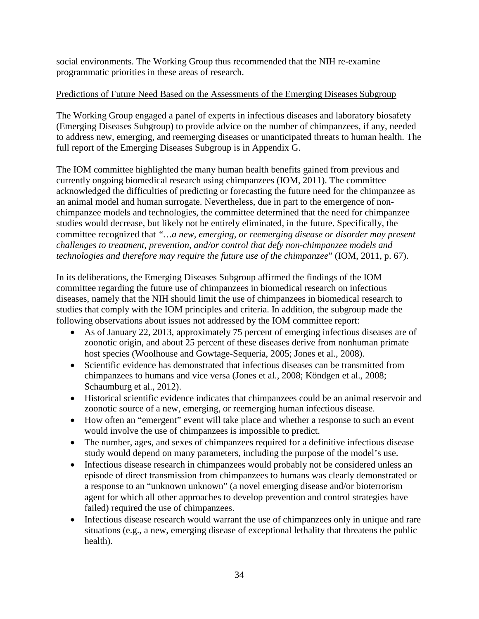social environments. The Working Group thus recommended that the NIH re-examine programmatic priorities in these areas of research.

### <span id="page-35-0"></span>Predictions of Future Need Based on the Assessments of the Emerging Diseases Subgroup

The Working Group engaged a panel of experts in infectious diseases and laboratory biosafety (Emerging Diseases Subgroup) to provide advice on the number of chimpanzees, if any, needed to address new, emerging, and reemerging diseases or unanticipated threats to human health. The full report of the Emerging Diseases Subgroup is in Appendix G.

The IOM committee highlighted the many human health benefits gained from previous and currently ongoing biomedical research using chimpanzees (IOM, 2011). The committee acknowledged the difficulties of predicting or forecasting the future need for the chimpanzee as an animal model and human surrogate. Nevertheless, due in part to the emergence of nonchimpanzee models and technologies, the committee determined that the need for chimpanzee studies would decrease, but likely not be entirely eliminated, in the future. Specifically, the committee recognized that *"…a new, emerging, or reemerging disease or disorder may present challenges to treatment, prevention, and/or control that defy non-chimpanzee models and technologies and therefore may require the future use of the chimpanzee*" (IOM, 2011, p. 67).

In its deliberations, the Emerging Diseases Subgroup affirmed the findings of the IOM committee regarding the future use of chimpanzees in biomedical research on infectious diseases, namely that the NIH should limit the use of chimpanzees in biomedical research to studies that comply with the IOM principles and criteria. In addition, the subgroup made the following observations about issues not addressed by the IOM committee report:

- As of January 22, 2013, approximately 75 percent of emerging infectious diseases are of zoonotic origin, and about 25 percent of these diseases derive from nonhuman primate host species (Woolhouse and Gowtage-Sequeria, 2005; Jones et al., 2008).
- Scientific evidence has demonstrated that infectious diseases can be transmitted from chimpanzees to humans and vice versa (Jones et al., 2008; Köndgen et al., 2008; Schaumburg et al., 2012).
- Historical scientific evidence indicates that chimpanzees could be an animal reservoir and zoonotic source of a new, emerging, or reemerging human infectious disease.
- How often an "emergent" event will take place and whether a response to such an event would involve the use of chimpanzees is impossible to predict.
- The number, ages, and sexes of chimpanzees required for a definitive infectious disease study would depend on many parameters, including the purpose of the model's use.
- Infectious disease research in chimpanzees would probably not be considered unless an episode of direct transmission from chimpanzees to humans was clearly demonstrated or a response to an "unknown unknown" (a novel emerging disease and/or bioterrorism agent for which all other approaches to develop prevention and control strategies have failed) required the use of chimpanzees.
- Infectious disease research would warrant the use of chimpanzees only in unique and rare situations (e.g., a new, emerging disease of exceptional lethality that threatens the public health).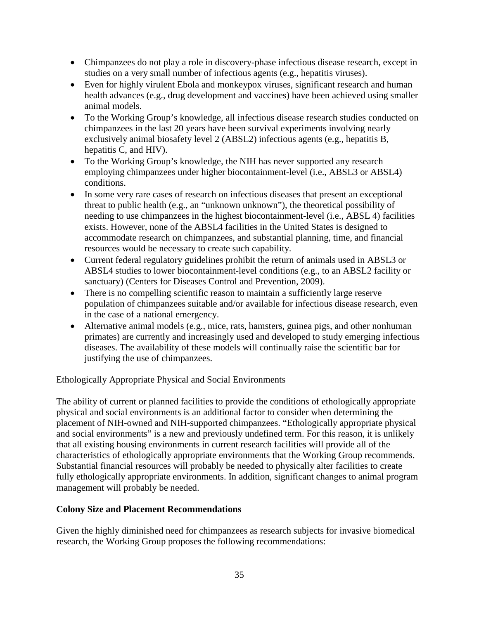- Chimpanzees do not play a role in discovery-phase infectious disease research, except in studies on a very small number of infectious agents (e.g., hepatitis viruses).
- Even for highly virulent Ebola and monkeypox viruses, significant research and human health advances (e.g., drug development and vaccines) have been achieved using smaller animal models.
- To the Working Group's knowledge, all infectious disease research studies conducted on chimpanzees in the last 20 years have been survival experiments involving nearly exclusively animal biosafety level 2 (ABSL2) infectious agents (e.g., hepatitis B, hepatitis C, and HIV).
- To the Working Group's knowledge, the NIH has never supported any research employing chimpanzees under higher biocontainment-level (i.e., ABSL3 or ABSL4) conditions.
- In some very rare cases of research on infectious diseases that present an exceptional threat to public health (e.g., an "unknown unknown"), the theoretical possibility of needing to use chimpanzees in the highest biocontainment-level (i.e., ABSL 4) facilities exists. However, none of the ABSL4 facilities in the United States is designed to accommodate research on chimpanzees, and substantial planning, time, and financial resources would be necessary to create such capability.
- Current federal regulatory guidelines prohibit the return of animals used in ABSL3 or ABSL4 studies to lower biocontainment-level conditions (e.g., to an ABSL2 facility or sanctuary) (Centers for Diseases Control and Prevention, 2009).
- There is no compelling scientific reason to maintain a sufficiently large reserve population of chimpanzees suitable and/or available for infectious disease research, even in the case of a national emergency.
- Alternative animal models (e.g., mice, rats, hamsters, guinea pigs, and other nonhuman primates) are currently and increasingly used and developed to study emerging infectious diseases. The availability of these models will continually raise the scientific bar for justifying the use of chimpanzees.

# Ethologically Appropriate Physical and Social Environments

The ability of current or planned facilities to provide the conditions of ethologically appropriate physical and social environments is an additional factor to consider when determining the placement of NIH-owned and NIH-supported chimpanzees. "Ethologically appropriate physical and social environments" is a new and previously undefined term. For this reason, it is unlikely that all existing housing environments in current research facilities will provide all of the characteristics of ethologically appropriate environments that the Working Group recommends. Substantial financial resources will probably be needed to physically alter facilities to create fully ethologically appropriate environments. In addition, significant changes to animal program management will probably be needed.

# **Colony Size and Placement Recommendations**

Given the highly diminished need for chimpanzees as research subjects for invasive biomedical research, the Working Group proposes the following recommendations: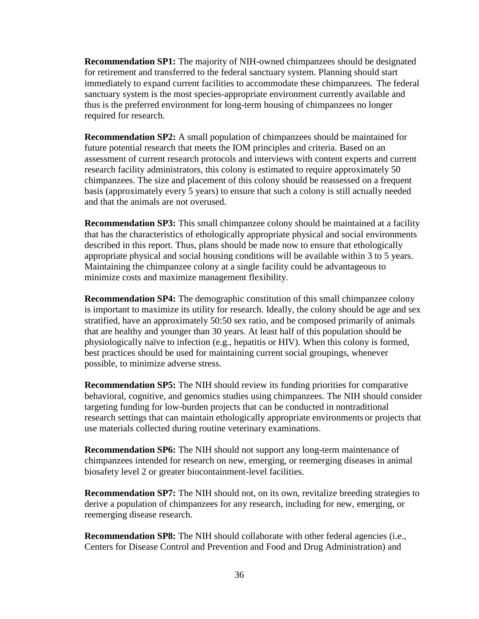**Recommendation SP1:** The majority of NIH-owned chimpanzees should be designated for retirement and transferred to the federal sanctuary system. Planning should start immediately to expand current facilities to accommodate these chimpanzees. The federal sanctuary system is the most species-appropriate environment currently available and thus is the preferred environment for long-term housing of chimpanzees no longer required for research.

**Recommendation SP2:** A small population of chimpanzees should be maintained for future potential research that meets the IOM principles and criteria. Based on an assessment of current research protocols and interviews with content experts and current research facility administrators, this colony is estimated to require approximately 50 chimpanzees. The size and placement of this colony should be reassessed on a frequent basis (approximately every 5 years) to ensure that such a colony is still actually needed and that the animals are not overused.

**Recommendation SP3:** This small chimpanzee colony should be maintained at a facility that has the characteristics of ethologically appropriate physical and social environments described in this report. Thus, plans should be made now to ensure that ethologically appropriate physical and social housing conditions will be available within 3 to 5 years. Maintaining the chimpanzee colony at a single facility could be advantageous to minimize costs and maximize management flexibility.

**Recommendation SP4:** The demographic constitution of this small chimpanzee colony is important to maximize its utility for research. Ideally, the colony should be age and sex stratified, have an approximately 50:50 sex ratio, and be composed primarily of animals that are healthy and younger than 30 years. At least half of this population should be physiologically naïve to infection (e.g., hepatitis or HIV). When this colony is formed, best practices should be used for maintaining current social groupings, whenever possible, to minimize adverse stress.

**Recommendation SP5:** The NIH should review its funding priorities for comparative behavioral, cognitive, and genomics studies using chimpanzees. The NIH should consider targeting funding for low-burden projects that can be conducted in nontraditional research settings that can maintain ethologically appropriate environments or projects that use materials collected during routine veterinary examinations.

**Recommendation SP6:** The NIH should not support any long-term maintenance of chimpanzees intended for research on new, emerging, or reemerging diseases in animal biosafety level 2 or greater biocontainment-level facilities.

**Recommendation SP7:** The NIH should not, on its own, revitalize breeding strategies to derive a population of chimpanzees for any research, including for new, emerging, or reemerging disease research.

**Recommendation SP8:** The NIH should collaborate with other federal agencies (i.e., Centers for Disease Control and Prevention and Food and Drug Administration) and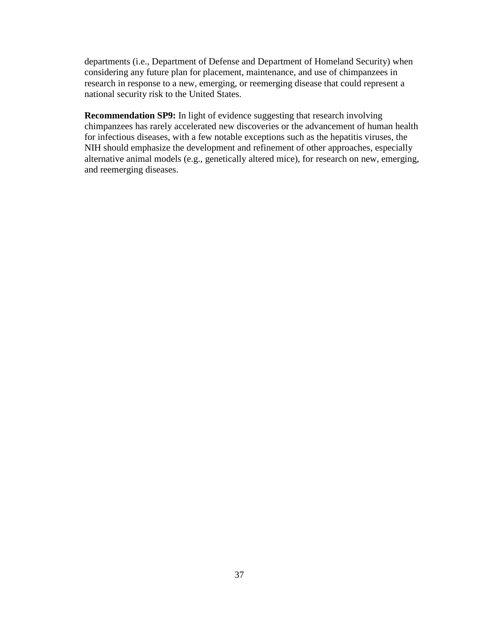departments (i.e., Department of Defense and Department of Homeland Security) when considering any future plan for placement, maintenance, and use of chimpanzees in research in response to a new, emerging, or reemerging disease that could represent a national security risk to the United States.

**Recommendation SP9:** In light of evidence suggesting that research involving chimpanzees has rarely accelerated new discoveries or the advancement of human health for infectious diseases, with a few notable exceptions such as the hepatitis viruses, the NIH should emphasize the development and refinement of other approaches, especially alternative animal models (e.g., genetically altered mice), for research on new, emerging, and reemerging diseases.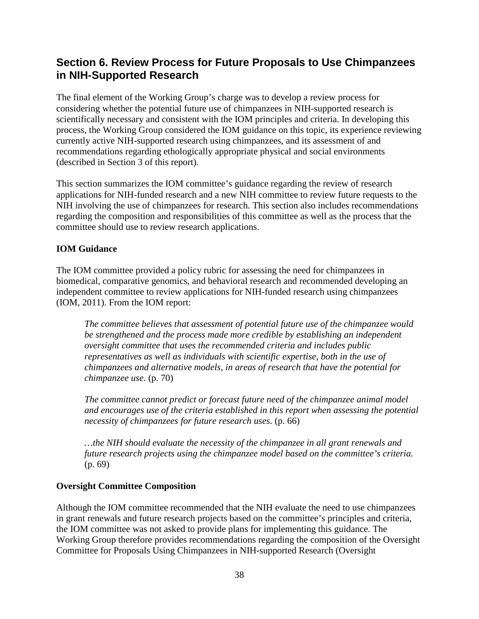# **Section 6. Review Process for Future Proposals to Use Chimpanzees in NIH-Supported Research**

The final element of the Working Group's charge was to develop a review process for considering whether the potential future use of chimpanzees in NIH-supported research is scientifically necessary and consistent with the IOM principles and criteria. In developing this process, the Working Group considered the IOM guidance on this topic, its experience reviewing currently active NIH-supported research using chimpanzees, and its assessment of and recommendations regarding ethologically appropriate physical and social environments (described in Section 3 of this report).

This section summarizes the IOM committee's guidance regarding the review of research applications for NIH-funded research and a new NIH committee to review future requests to the NIH involving the use of chimpanzees for research. This section also includes recommendations regarding the composition and responsibilities of this committee as well as the process that the committee should use to review research applications.

# **IOM Guidance**

The IOM committee provided a policy rubric for assessing the need for chimpanzees in biomedical, comparative genomics, and behavioral research and recommended developing an independent committee to review applications for NIH-funded research using chimpanzees (IOM, 2011). From the IOM report:

*The committee believes that assessment of potential future use of the chimpanzee would be strengthened and the process made more credible by establishing an independent oversight committee that uses the recommended criteria and includes public representatives as well as individuals with scientific expertise, both in the use of chimpanzees and alternative models, in areas of research that have the potential for chimpanzee use*. (p. 70)

*The committee cannot predict or forecast future need of the chimpanzee animal model and encourages use of the criteria established in this report when assessing the potential necessity of chimpanzees for future research uses*. (p. 66)

*…the NIH should evaluate the necessity of the chimpanzee in all grant renewals and future research projects using the chimpanzee model based on the committee's criteria.*  (p. 69)

### **Oversight Committee Composition**

Although the IOM committee recommended that the NIH evaluate the need to use chimpanzees in grant renewals and future research projects based on the committee's principles and criteria, the IOM committee was not asked to provide plans for implementing this guidance. The Working Group therefore provides recommendations regarding the composition of the Oversight Committee for Proposals Using Chimpanzees in NIH-supported Research (Oversight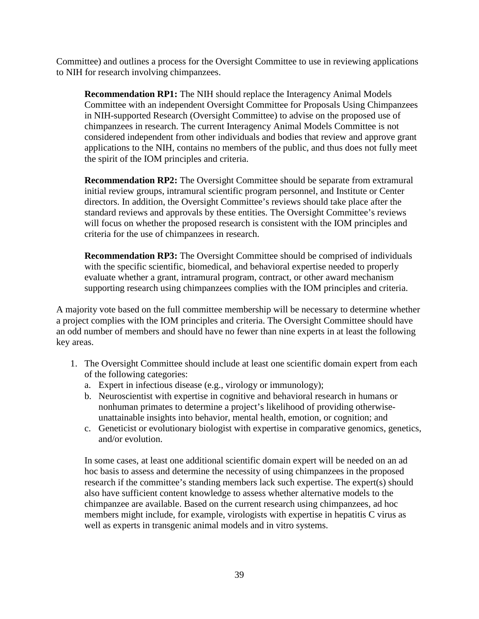Committee) and outlines a process for the Oversight Committee to use in reviewing applications to NIH for research involving chimpanzees.

**Recommendation RP1:** The NIH should replace the Interagency Animal Models Committee with an independent Oversight Committee for Proposals Using Chimpanzees in NIH-supported Research (Oversight Committee) to advise on the proposed use of chimpanzees in research. The current Interagency Animal Models Committee is not considered independent from other individuals and bodies that review and approve grant applications to the NIH, contains no members of the public, and thus does not fully meet the spirit of the IOM principles and criteria.

**Recommendation RP2:** The Oversight Committee should be separate from extramural initial review groups, intramural scientific program personnel, and Institute or Center directors. In addition, the Oversight Committee's reviews should take place after the standard reviews and approvals by these entities. The Oversight Committee's reviews will focus on whether the proposed research is consistent with the IOM principles and criteria for the use of chimpanzees in research.

**Recommendation RP3:** The Oversight Committee should be comprised of individuals with the specific scientific, biomedical, and behavioral expertise needed to properly evaluate whether a grant, intramural program, contract, or other award mechanism supporting research using chimpanzees complies with the IOM principles and criteria.

A majority vote based on the full committee membership will be necessary to determine whether a project complies with the IOM principles and criteria. The Oversight Committee should have an odd number of members and should have no fewer than nine experts in at least the following key areas.

- 1. The Oversight Committee should include at least one scientific domain expert from each of the following categories:
	- a. Expert in infectious disease (e.g., virology or immunology);
	- b. Neuroscientist with expertise in cognitive and behavioral research in humans or nonhuman primates to determine a project's likelihood of providing otherwiseunattainable insights into behavior, mental health, emotion, or cognition; and
	- c. Geneticist or evolutionary biologist with expertise in comparative genomics, genetics, and/or evolution.

In some cases, at least one additional scientific domain expert will be needed on an ad hoc basis to assess and determine the necessity of using chimpanzees in the proposed research if the committee's standing members lack such expertise. The expert(s) should also have sufficient content knowledge to assess whether alternative models to the chimpanzee are available. Based on the current research using chimpanzees, ad hoc members might include, for example, virologists with expertise in hepatitis C virus as well as experts in transgenic animal models and in vitro systems.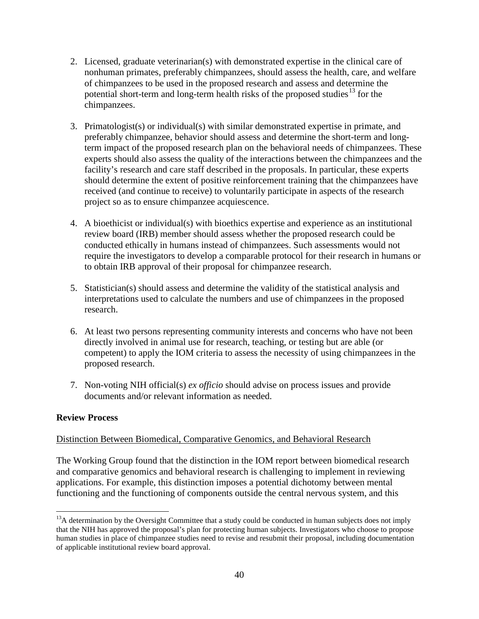- 2. Licensed, graduate veterinarian(s) with demonstrated expertise in the clinical care of nonhuman primates, preferably chimpanzees, should assess the health, care, and welfare of chimpanzees to be used in the proposed research and assess and determine the potential short-term and long-term health risks of the proposed studies<sup>[13](#page-41-0)</sup> for the chimpanzees.
- 3. Primatologist(s) or individual(s) with similar demonstrated expertise in primate, and preferably chimpanzee, behavior should assess and determine the short-term and longterm impact of the proposed research plan on the behavioral needs of chimpanzees. These experts should also assess the quality of the interactions between the chimpanzees and the facility's research and care staff described in the proposals. In particular, these experts should determine the extent of positive reinforcement training that the chimpanzees have received (and continue to receive) to voluntarily participate in aspects of the research project so as to ensure chimpanzee acquiescence.
- 4. A bioethicist or individual(s) with bioethics expertise and experience as an institutional review board (IRB) member should assess whether the proposed research could be conducted ethically in humans instead of chimpanzees. Such assessments would not require the investigators to develop a comparable protocol for their research in humans or to obtain IRB approval of their proposal for chimpanzee research.
- 5. Statistician(s) should assess and determine the validity of the statistical analysis and interpretations used to calculate the numbers and use of chimpanzees in the proposed research.
- 6. At least two persons representing community interests and concerns who have not been directly involved in animal use for research, teaching, or testing but are able (or competent) to apply the IOM criteria to assess the necessity of using chimpanzees in the proposed research.
- 7. Non-voting NIH official(s) *ex officio* should advise on process issues and provide documents and/or relevant information as needed.

# **Review Process**

### Distinction Between Biomedical, Comparative Genomics, and Behavioral Research

The Working Group found that the distinction in the IOM report between biomedical research and comparative genomics and behavioral research is challenging to implement in reviewing applications. For example, this distinction imposes a potential dichotomy between mental functioning and the functioning of components outside the central nervous system, and this

<span id="page-41-0"></span><sup>&</sup>lt;sup>13</sup>A determination by the Oversight Committee that a study could be conducted in human subjects does not imply that the NIH has approved the proposal's plan for protecting human subjects. Investigators who choose to propose human studies in place of chimpanzee studies need to revise and resubmit their proposal, including documentation of applicable institutional review board approval.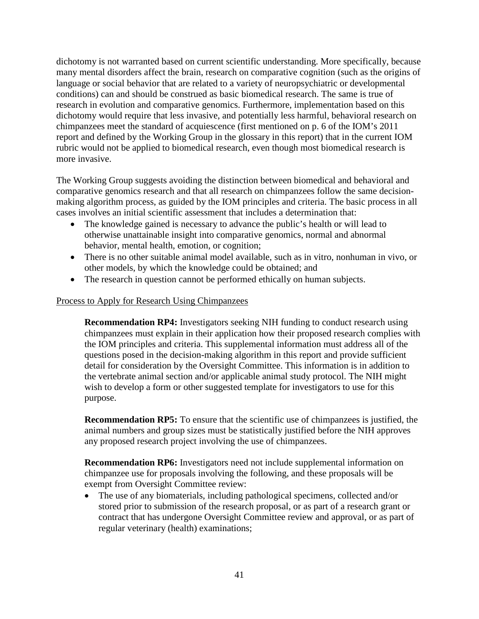dichotomy is not warranted based on current scientific understanding. More specifically, because many mental disorders affect the brain, research on comparative cognition (such as the origins of language or social behavior that are related to a variety of neuropsychiatric or developmental conditions) can and should be construed as basic biomedical research. The same is true of research in evolution and comparative genomics. Furthermore, implementation based on this dichotomy would require that less invasive, and potentially less harmful, behavioral research on chimpanzees meet the standard of acquiescence (first mentioned on p. 6 of the IOM's 2011 report and defined by the Working Group in the glossary in this report) that in the current IOM rubric would not be applied to biomedical research, even though most biomedical research is more invasive.

The Working Group suggests avoiding the distinction between biomedical and behavioral and comparative genomics research and that all research on chimpanzees follow the same decisionmaking algorithm process, as guided by the IOM principles and criteria. The basic process in all cases involves an initial scientific assessment that includes a determination that:

- The knowledge gained is necessary to advance the public's health or will lead to otherwise unattainable insight into comparative genomics, normal and abnormal behavior, mental health, emotion, or cognition;
- There is no other suitable animal model available, such as in vitro, nonhuman in vivo, or other models, by which the knowledge could be obtained; and
- The research in question cannot be performed ethically on human subjects.

### Process to Apply for Research Using Chimpanzees

**Recommendation RP4:** Investigators seeking NIH funding to conduct research using chimpanzees must explain in their application how their proposed research complies with the IOM principles and criteria. This supplemental information must address all of the questions posed in the decision-making algorithm in this report and provide sufficient detail for consideration by the Oversight Committee. This information is in addition to the vertebrate animal section and/or applicable animal study protocol. The NIH might wish to develop a form or other suggested template for investigators to use for this purpose.

**Recommendation RP5:** To ensure that the scientific use of chimpanzees is justified, the animal numbers and group sizes must be statistically justified before the NIH approves any proposed research project involving the use of chimpanzees.

**Recommendation RP6:** Investigators need not include supplemental information on chimpanzee use for proposals involving the following, and these proposals will be exempt from Oversight Committee review:

• The use of any biomaterials, including pathological specimens, collected and/or stored prior to submission of the research proposal, or as part of a research grant or contract that has undergone Oversight Committee review and approval, or as part of regular veterinary (health) examinations;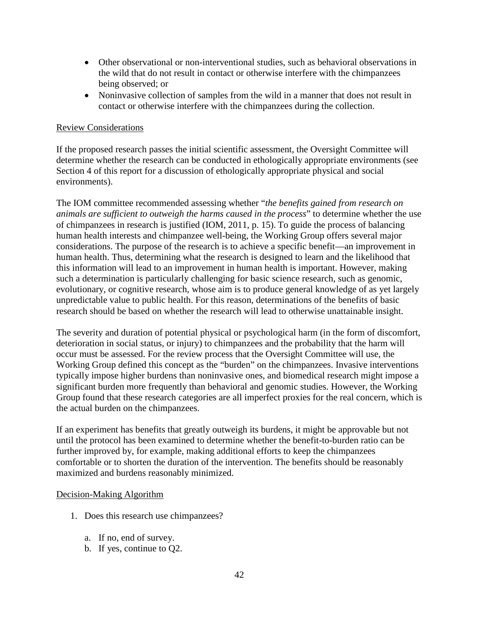- Other observational or non-interventional studies, such as behavioral observations in the wild that do not result in contact or otherwise interfere with the chimpanzees being observed; or
- Noninvasive collection of samples from the wild in a manner that does not result in contact or otherwise interfere with the chimpanzees during the collection.

### Review Considerations

If the proposed research passes the initial scientific assessment, the Oversight Committee will determine whether the research can be conducted in ethologically appropriate environments (see Section 4 of this report for a discussion of ethologically appropriate physical and social environments).

The IOM committee recommended assessing whether "*the benefits gained from research on animals are sufficient to outweigh the harms caused in the process*" to determine whether the use of chimpanzees in research is justified (IOM, 2011, p. 15). To guide the process of balancing human health interests and chimpanzee well-being, the Working Group offers several major considerations. The purpose of the research is to achieve a specific benefit—an improvement in human health. Thus, determining what the research is designed to learn and the likelihood that this information will lead to an improvement in human health is important. However, making such a determination is particularly challenging for basic science research, such as genomic, evolutionary, or cognitive research, whose aim is to produce general knowledge of as yet largely unpredictable value to public health. For this reason, determinations of the benefits of basic research should be based on whether the research will lead to otherwise unattainable insight.

The severity and duration of potential physical or psychological harm (in the form of discomfort, deterioration in social status, or injury) to chimpanzees and the probability that the harm will occur must be assessed. For the review process that the Oversight Committee will use, the Working Group defined this concept as the "burden" on the chimpanzees. Invasive interventions typically impose higher burdens than noninvasive ones, and biomedical research might impose a significant burden more frequently than behavioral and genomic studies. However, the Working Group found that these research categories are all imperfect proxies for the real concern, which is the actual burden on the chimpanzees.

If an experiment has benefits that greatly outweigh its burdens, it might be approvable but not until the protocol has been examined to determine whether the benefit-to-burden ratio can be further improved by, for example, making additional efforts to keep the chimpanzees comfortable or to shorten the duration of the intervention. The benefits should be reasonably maximized and burdens reasonably minimized.

#### Decision-Making Algorithm

- 1. Does this research use chimpanzees?
	- a. If no, end of survey.
	- b. If yes, continue to Q2.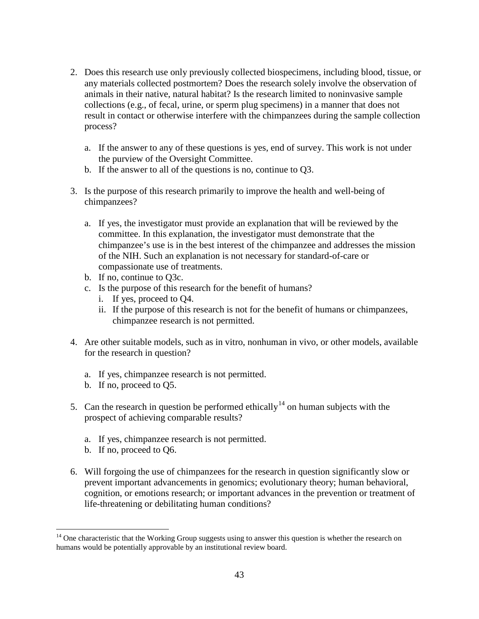- 2. Does this research use only previously collected biospecimens, including blood, tissue, or any materials collected postmortem? Does the research solely involve the observation of animals in their native, natural habitat? Is the research limited to noninvasive sample collections (e.g., of fecal, urine, or sperm plug specimens) in a manner that does not result in contact or otherwise interfere with the chimpanzees during the sample collection process?
	- a. If the answer to any of these questions is yes, end of survey. This work is not under the purview of the Oversight Committee.
	- b. If the answer to all of the questions is no, continue to Q3.
- 3. Is the purpose of this research primarily to improve the health and well-being of chimpanzees?
	- a. If yes, the investigator must provide an explanation that will be reviewed by the committee. In this explanation, the investigator must demonstrate that the chimpanzee's use is in the best interest of the chimpanzee and addresses the mission of the NIH. Such an explanation is not necessary for standard-of-care or compassionate use of treatments.
	- b. If no, continue to Q3c.
	- c. Is the purpose of this research for the benefit of humans?
		- i. If yes, proceed to Q4.
		- ii. If the purpose of this research is not for the benefit of humans or chimpanzees, chimpanzee research is not permitted.
- 4. Are other suitable models, such as in vitro, nonhuman in vivo, or other models, available for the research in question?
	- a. If yes, chimpanzee research is not permitted.
	- b. If no, proceed to Q5.
- 5. Can the research in question be performed ethically<sup>[14](#page-44-0)</sup> on human subjects with the prospect of achieving comparable results?
	- a. If yes, chimpanzee research is not permitted.
	- b. If no, proceed to Q6.
- 6. Will forgoing the use of chimpanzees for the research in question significantly slow or prevent important advancements in genomics; evolutionary theory; human behavioral, cognition, or emotions research; or important advances in the prevention or treatment of life-threatening or debilitating human conditions?

<span id="page-44-0"></span> $14$  One characteristic that the Working Group suggests using to answer this question is whether the research on humans would be potentially approvable by an institutional review board.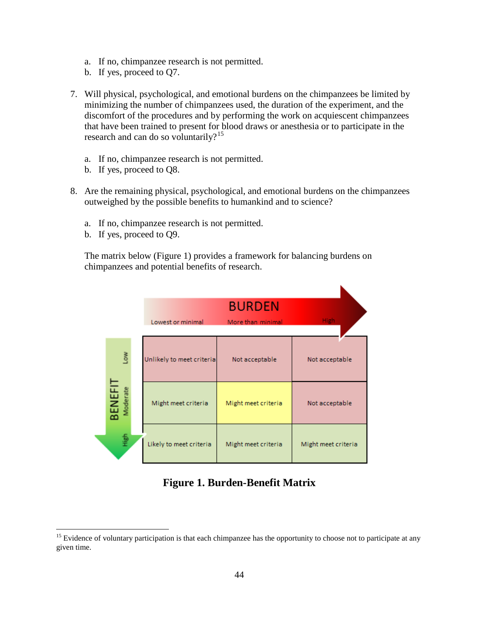- a. If no, chimpanzee research is not permitted.
- b. If yes, proceed to Q7.
- 7. Will physical, psychological, and emotional burdens on the chimpanzees be limited by minimizing the number of chimpanzees used, the duration of the experiment, and the discomfort of the procedures and by performing the work on acquiescent chimpanzees that have been trained to present for blood draws or anesthesia or to participate in the research and can do so voluntarily?<sup>[15](#page-45-0)</sup>
	- a. If no, chimpanzee research is not permitted.
	- b. If yes, proceed to Q8.
- 8. Are the remaining physical, psychological, and emotional burdens on the chimpanzees outweighed by the possible benefits to humankind and to science?
	- a. If no, chimpanzee research is not permitted.
	- b. If yes, proceed to Q9.

The matrix below (Figure 1) provides a framework for balancing burdens on chimpanzees and potential benefits of research.

|  |                            | Lowest or minimal         | <b>BURDEN</b><br>More than minimal | High                |
|--|----------------------------|---------------------------|------------------------------------|---------------------|
|  | Low                        | Unlikely to meet criteria | Not acceptable                     | Not acceptable      |
|  | <b>BENEFIT</b><br>Moderate | Might meet criteria       | Might meet criteria                | Not acceptable      |
|  | 复于                         | Likely to meet criteria   | Might meet criteria                | Might meet criteria |

# **Figure 1. Burden-Benefit Matrix**

<span id="page-45-0"></span> $15$  Evidence of voluntary participation is that each chimpanzee has the opportunity to choose not to participate at any given time.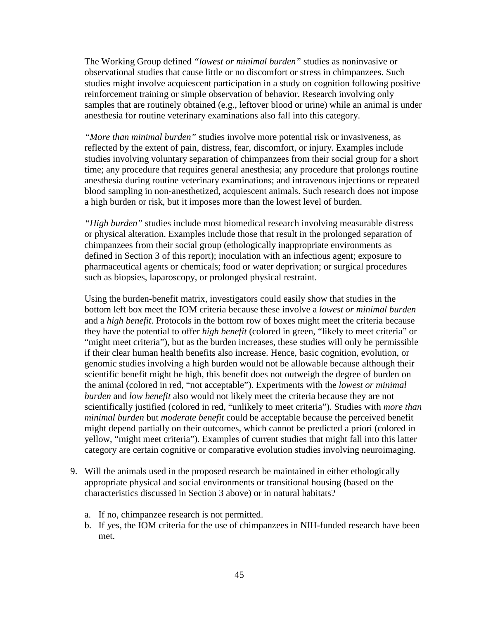The Working Group defined *"lowest or minimal burden"* studies as noninvasive or observational studies that cause little or no discomfort or stress in chimpanzees. Such studies might involve acquiescent participation in a study on cognition following positive reinforcement training or simple observation of behavior. Research involving only samples that are routinely obtained (e.g., leftover blood or urine) while an animal is under anesthesia for routine veterinary examinations also fall into this category.

*"More than minimal burden"* studies involve more potential risk or invasiveness, as reflected by the extent of pain, distress, fear, discomfort, or injury. Examples include studies involving voluntary separation of chimpanzees from their social group for a short time; any procedure that requires general anesthesia; any procedure that prolongs routine anesthesia during routine veterinary examinations; and intravenous injections or repeated blood sampling in non-anesthetized, acquiescent animals. Such research does not impose a high burden or risk, but it imposes more than the lowest level of burden.

*"High burden"* studies include most biomedical research involving measurable distress or physical alteration. Examples include those that result in the prolonged separation of chimpanzees from their social group (ethologically inappropriate environments as defined in Section 3 of this report); inoculation with an infectious agent; exposure to pharmaceutical agents or chemicals; food or water deprivation; or surgical procedures such as biopsies, laparoscopy, or prolonged physical restraint.

Using the burden-benefit matrix, investigators could easily show that studies in the bottom left box meet the IOM criteria because these involve a *lowest or minimal burden* and a *high benefit*. Protocols in the bottom row of boxes might meet the criteria because they have the potential to offer *high benefit* (colored in green, "likely to meet criteria" or "might meet criteria"), but as the burden increases, these studies will only be permissible if their clear human health benefits also increase. Hence, basic cognition, evolution, or genomic studies involving a high burden would not be allowable because although their scientific benefit might be high, this benefit does not outweigh the degree of burden on the animal (colored in red, "not acceptable"). Experiments with the *lowest or minimal burden* and *low benefit* also would not likely meet the criteria because they are not scientifically justified (colored in red, "unlikely to meet criteria"). Studies with *more than minimal burden* but *moderate benefit* could be acceptable because the perceived benefit might depend partially on their outcomes, which cannot be predicted a priori (colored in yellow, "might meet criteria"). Examples of current studies that might fall into this latter category are certain cognitive or comparative evolution studies involving neuroimaging.

- 9. Will the animals used in the proposed research be maintained in either ethologically appropriate physical and social environments or transitional housing (based on the characteristics discussed in Section 3 above) or in natural habitats?
	- a. If no, chimpanzee research is not permitted.
	- b. If yes, the IOM criteria for the use of chimpanzees in NIH-funded research have been met.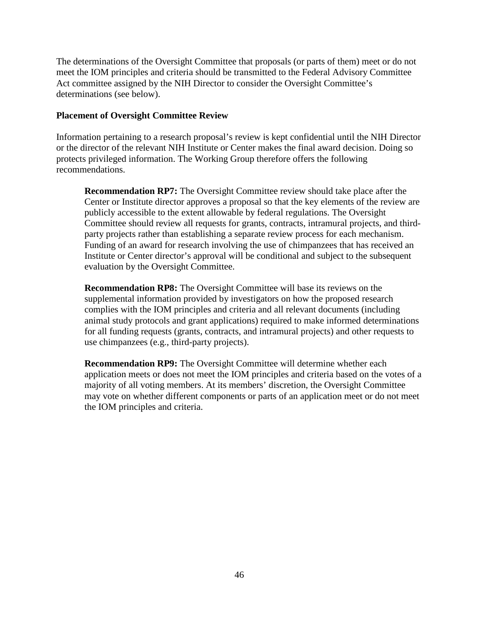The determinations of the Oversight Committee that proposals (or parts of them) meet or do not meet the IOM principles and criteria should be transmitted to the Federal Advisory Committee Act committee assigned by the NIH Director to consider the Oversight Committee's determinations (see below).

### **Placement of Oversight Committee Review**

Information pertaining to a research proposal's review is kept confidential until the NIH Director or the director of the relevant NIH Institute or Center makes the final award decision. Doing so protects privileged information. The Working Group therefore offers the following recommendations.

**Recommendation RP7:** The Oversight Committee review should take place after the Center or Institute director approves a proposal so that the key elements of the review are publicly accessible to the extent allowable by federal regulations. The Oversight Committee should review all requests for grants, contracts, intramural projects, and thirdparty projects rather than establishing a separate review process for each mechanism. Funding of an award for research involving the use of chimpanzees that has received an Institute or Center director's approval will be conditional and subject to the subsequent evaluation by the Oversight Committee.

**Recommendation RP8:** The Oversight Committee will base its reviews on the supplemental information provided by investigators on how the proposed research complies with the IOM principles and criteria and all relevant documents (including animal study protocols and grant applications) required to make informed determinations for all funding requests (grants, contracts, and intramural projects) and other requests to use chimpanzees (e.g., third-party projects).

**Recommendation RP9:** The Oversight Committee will determine whether each application meets or does not meet the IOM principles and criteria based on the votes of a majority of all voting members. At its members' discretion, the Oversight Committee may vote on whether different components or parts of an application meet or do not meet the IOM principles and criteria.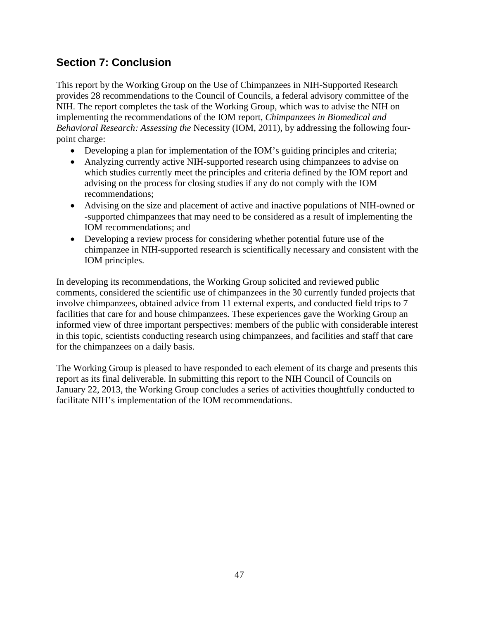# **Section 7: Conclusion**

This report by the Working Group on the Use of Chimpanzees in NIH-Supported Research provides 28 recommendations to the Council of Councils, a federal advisory committee of the NIH. The report completes the task of the Working Group, which was to advise the NIH on implementing the recommendations of the IOM report, *Chimpanzees in Biomedical and Behavioral Research: Assessing the* Necessity (IOM, 2011), by addressing the following fourpoint charge:

- Developing a plan for implementation of the IOM's guiding principles and criteria;
- Analyzing currently active NIH-supported research using chimpanzees to advise on which studies currently meet the principles and criteria defined by the IOM report and advising on the process for closing studies if any do not comply with the IOM recommendations;
- Advising on the size and placement of active and inactive populations of NIH-owned or -supported chimpanzees that may need to be considered as a result of implementing the IOM recommendations; and
- Developing a review process for considering whether potential future use of the chimpanzee in NIH-supported research is scientifically necessary and consistent with the IOM principles.

In developing its recommendations, the Working Group solicited and reviewed public comments, considered the scientific use of chimpanzees in the 30 currently funded projects that involve chimpanzees, obtained advice from 11 external experts, and conducted field trips to 7 facilities that care for and house chimpanzees. These experiences gave the Working Group an informed view of three important perspectives: members of the public with considerable interest in this topic, scientists conducting research using chimpanzees, and facilities and staff that care for the chimpanzees on a daily basis.

The Working Group is pleased to have responded to each element of its charge and presents this report as its final deliverable. In submitting this report to the NIH Council of Councils on January 22, 2013, the Working Group concludes a series of activities thoughtfully conducted to facilitate NIH's implementation of the IOM recommendations.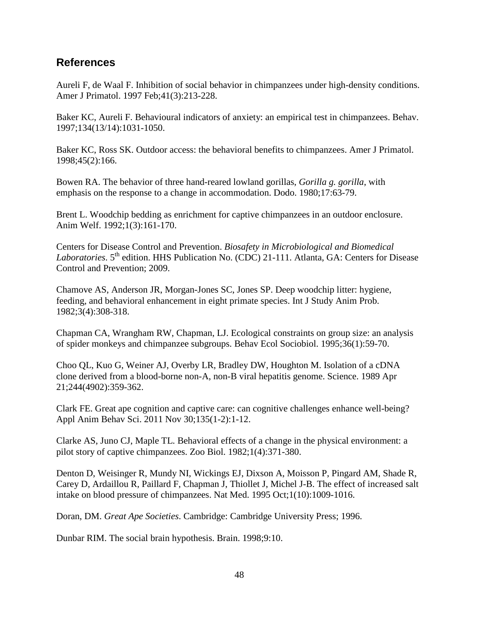# **References**

Aureli F, de Waal F. Inhibition of social behavior in chimpanzees under high-density conditions. Amer J Primatol. 1997 Feb;41(3):213-228.

Baker KC, Aureli F. Behavioural indicators of anxiety: an empirical test in chimpanzees. Behav. 1997;134(13/14):1031-1050.

Baker KC, Ross SK. Outdoor access: the behavioral benefits to chimpanzees. Amer J Primatol. 1998;45(2):166.

Bowen RA. The behavior of three hand-reared lowland gorillas, *Gorilla g. gorilla*, with emphasis on the response to a change in accommodation. Dodo. 1980;17:63-79.

Brent L. Woodchip bedding as enrichment for captive chimpanzees in an outdoor enclosure. Anim Welf. 1992;1(3):161-170.

Centers for Disease Control and Prevention. *Biosafety in Microbiological and Biomedical*  Laboratories. 5<sup>th</sup> edition. HHS Publication No. (CDC) 21-111. Atlanta, GA: Centers for Disease Control and Prevention; 2009.

Chamove AS, Anderson JR, Morgan-Jones SC, Jones SP. Deep woodchip litter: hygiene, feeding, and behavioral enhancement in eight primate species. Int J Study Anim Prob. 1982;3(4):308-318.

Chapman CA, Wrangham RW, Chapman, LJ. Ecological constraints on group size: an analysis of spider monkeys and chimpanzee subgroups. Behav Ecol Sociobiol. 1995;36(1):59-70.

Choo QL, Kuo G, Weiner AJ, Overby LR, Bradley DW, Houghton M. Isolation of a cDNA clone derived from a blood-borne non-A, non-B viral hepatitis genome. Science. 1989 Apr 21;244(4902):359-362.

Clark FE. Great ape cognition and captive care: can cognitive challenges enhance well-being? Appl Anim Behav Sci. 2011 Nov 30;135(1-2):1-12.

Clarke AS, Juno CJ, Maple TL. Behavioral effects of a change in the physical environment: a pilot story of captive chimpanzees. Zoo Biol. 1982;1(4):371-380.

Denton D, Weisinger R, Mundy NI, Wickings EJ, Dixson A, Moisson P, Pingard AM, Shade R, Carey D, Ardaillou R, Paillard F, Chapman J, Thiollet J, Michel J-B. [The effect of increased salt](http://www.ncbi.nlm.nih.gov/pubmed/7489355)  [intake on blood pressure of chimpanzees.](http://www.ncbi.nlm.nih.gov/pubmed/7489355) Nat Med. 1995 Oct;1(10):1009-1016.

Doran, DM. *Great Ape Societies*. Cambridge: Cambridge University Press; 1996.

Dunbar RIM. The social brain hypothesis. Brain. 1998;9:10.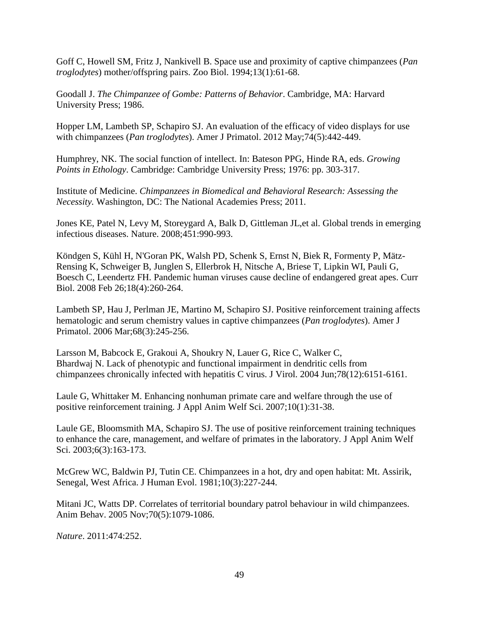Goff C, Howell SM, Fritz J, Nankivell B. Space use and proximity of captive chimpanzees (*Pan troglodytes*) mother/offspring pairs. Zoo Biol. 1994;13(1):61-68.

Goodall J. *The Chimpanzee of Gombe: Patterns of Behavior*. Cambridge, MA: Harvard University Press; 1986.

Hopper LM, Lambeth SP, Schapiro SJ. An evaluation of the efficacy of video displays for use with chimpanzees (*Pan troglodytes*). Amer J Primatol. 2012 May;74(5):442-449.

Humphrey, NK. The social function of intellect. In: Bateson PPG, Hinde RA, eds. *Growing Points in Ethology*. Cambridge: Cambridge University Press; 1976: pp. 303-317.

Institute of Medicine. *Chimpanzees in Biomedical and Behavioral Research: Assessing the Necessity.* Washington, DC: The National Academies Press; 2011.

Jones KE, Patel N, Levy M, Storeygard A, Balk D, Gittleman JL,et al. Global trends in emerging infectious diseases. Nature. 2008;451:990-993.

Köndgen S, Kühl H, N'Goran PK, Walsh PD, Schenk S, Ernst N, Biek R, Formenty P, Mätz-Rensing K, Schweiger B, Junglen S, Ellerbrok H, Nitsche A, Briese T, Lipkin WI, Pauli G, Boesch C, Leendertz FH. Pandemic human viruses cause decline of endangered great apes. Curr Biol. 2008 Feb 26;18(4):260-264.

Lambeth SP, Hau J, Perlman JE, Martino M, Schapiro SJ. Positive reinforcement training affects hematologic and serum chemistry values in captive chimpanzees (*Pan troglodytes*). Amer J Primatol. 2006 Mar;68(3):245-256.

Larsson M, Babcock E, Grakoui A, Shoukry N, Lauer G, Rice C, Walker C, Bhardwaj N. Lack of phenotypic and functional impairment in dendritic cells from chimpanzees chronically infected with hepatitis C virus. J Virol. 2004 Jun;78(12):6151-6161.

Laule G, Whittaker M. Enhancing nonhuman primate care and welfare through the use of positive reinforcement training. J Appl Anim Welf Sci. 2007;10(1):31-38.

Laule GE, Bloomsmith MA, Schapiro SJ. The use of positive reinforcement training techniques to enhance the care, management, and welfare of primates in the laboratory. J Appl Anim Welf Sci. 2003:6(3):163-173.

McGrew WC, Baldwin PJ, Tutin CE. Chimpanzees in a hot, dry and open habitat: Mt. Assirik, Senegal, West Africa. J Human Evol. 1981;10(3):227-244.

Mitani JC, Watts DP. Correlates of territorial boundary patrol behaviour in wild chimpanzees. Anim Behav. 2005 Nov;70(5):1079-1086.

*Nature*. 2011:474:252.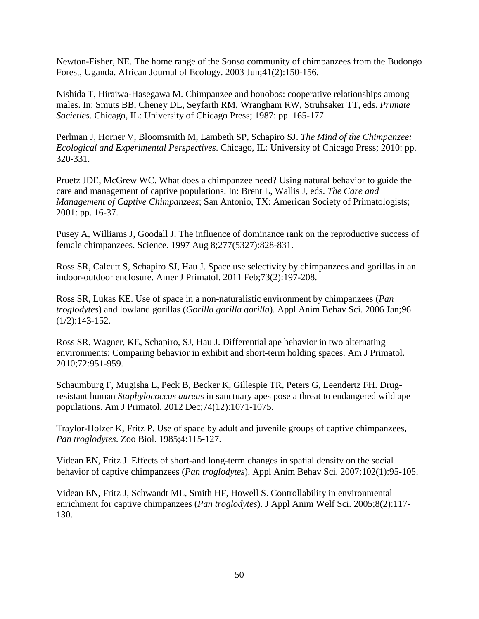Newton-Fisher, NE. The home range of the Sonso community of chimpanzees from the Budongo Forest, Uganda. African Journal of Ecology. 2003 Jun;41(2):150-156.

Nishida T, Hiraiwa-Hasegawa M. Chimpanzee and bonobos: cooperative relationships among males. In: Smuts BB, Cheney DL, Seyfarth RM, Wrangham RW, Struhsaker TT, eds. *Primate Societies*. Chicago, IL: University of Chicago Press; 1987: pp. 165-177.

Perlman J, Horner V, Bloomsmith M, Lambeth SP, Schapiro SJ. *The Mind of the Chimpanzee: Ecological and Experimental Perspectives*. Chicago, IL: University of Chicago Press; 2010: pp. 320-331.

Pruetz JDE, McGrew WC. What does a chimpanzee need? Using natural behavior to guide the care and management of captive populations. In: Brent L, Wallis J, eds. *The Care and Management of Captive Chimpanzees*; San Antonio, TX: American Society of Primatologists; 2001: pp. 16-37.

Pusey A, Williams J, Goodall J. The influence of dominance rank on the reproductive success of female chimpanzees. Science. 1997 Aug 8;277(5327):828-831.

Ross SR, Calcutt S, Schapiro SJ, Hau J. Space use selectivity by chimpanzees and gorillas in an indoor-outdoor enclosure. Amer J Primatol. 2011 Feb;73(2):197-208.

Ross SR, Lukas KE. Use of space in a non-naturalistic environment by chimpanzees (*Pan troglodytes*) and lowland gorillas (*Gorilla gorilla gorilla*). Appl Anim Behav Sci. 2006 Jan;96 (1/2):143-152.

Ross SR, Wagner, KE, Schapiro, SJ, Hau J. Differential ape behavior in two alternating environments: Comparing behavior in exhibit and short-term holding spaces. Am J Primatol. 2010;72:951-959.

Schaumburg F, Mugisha L, Peck B, Becker K, Gillespie TR, Peters G, Leendertz FH. Drugresistant human *Staphylococcus aureu*s in sanctuary apes pose a threat to endangered wild ape populations. Am J Primatol. 2012 Dec;74(12):1071-1075.

Traylor-Holzer K, Fritz P. Use of space by adult and juvenile groups of captive chimpanzees, *Pan troglodytes*. Zoo Biol. 1985;4:115-127.

Videan EN, Fritz J. Effects of short-and long-term changes in spatial density on the social behavior of captive chimpanzees (*Pan troglodytes*). Appl Anim Behav Sci. 2007;102(1):95-105.

Videan EN, Fritz J, Schwandt ML, Smith HF, Howell S. Controllability in environmental enrichment for captive chimpanzees (*Pan troglodytes*). J Appl Anim Welf Sci. 2005;8(2):117- 130.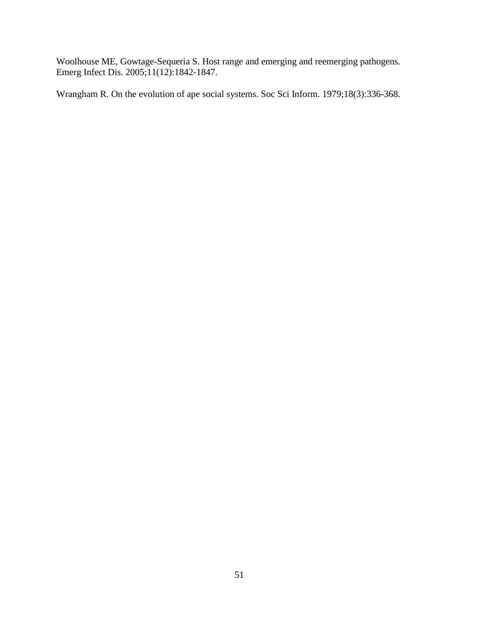Woolhouse ME, Gowtage-Sequeria S. Host range and emerging and reemerging pathogens. Emerg Infect Dis. 2005;11(12):1842-1847.

Wrangham R. On the evolution of ape social systems. Soc Sci Inform. 1979;18(3):336-368.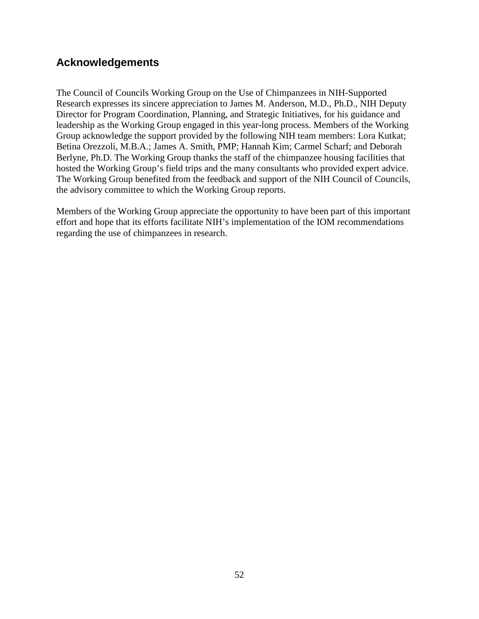# **Acknowledgements**

The Council of Councils Working Group on the Use of Chimpanzees in NIH-Supported Research expresses its sincere appreciation to James M. Anderson, M.D., Ph.D., NIH Deputy Director for Program Coordination, Planning, and Strategic Initiatives, for his guidance and leadership as the Working Group engaged in this year-long process. Members of the Working Group acknowledge the support provided by the following NIH team members: Lora Kutkat; Betina Orezzoli, M.B.A.; James A. Smith, PMP; Hannah Kim; Carmel Scharf; and Deborah Berlyne, Ph.D. The Working Group thanks the staff of the chimpanzee housing facilities that hosted the Working Group's field trips and the many consultants who provided expert advice. The Working Group benefited from the feedback and support of the NIH Council of Councils, the advisory committee to which the Working Group reports.

Members of the Working Group appreciate the opportunity to have been part of this important effort and hope that its efforts facilitate NIH's implementation of the IOM recommendations regarding the use of chimpanzees in research.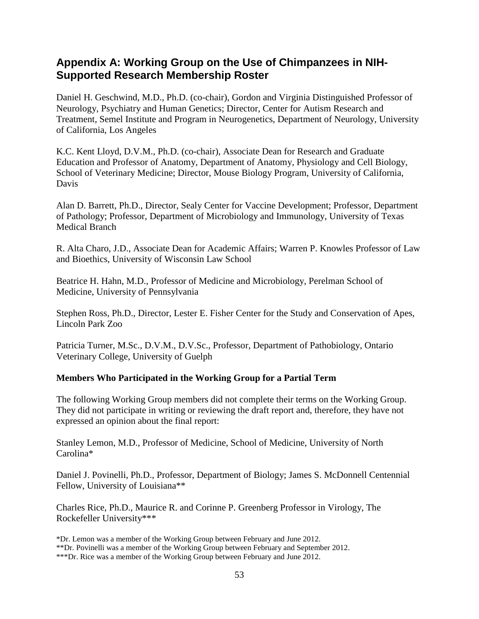# **Appendix A: Working Group on the Use of Chimpanzees in NIH-Supported Research Membership Roster**

Daniel H. Geschwind, M.D., Ph.D. (co-chair), Gordon and Virginia Distinguished Professor of Neurology, Psychiatry and Human Genetics; Director, Center for Autism Research and Treatment, Semel Institute and Program in Neurogenetics, Department of Neurology, University of California, Los Angeles

K.C. Kent Lloyd, D.V.M., Ph.D. (co-chair), Associate Dean for Research and Graduate Education and Professor of Anatomy, Department of Anatomy, Physiology and Cell Biology, School of Veterinary Medicine; Director, Mouse Biology Program, University of California, Davis

Alan D. Barrett, Ph.D., Director, Sealy Center for Vaccine Development; Professor, Department of Pathology; Professor, Department of Microbiology and Immunology, University of Texas Medical Branch

R. Alta Charo, J.D., Associate Dean for Academic Affairs; Warren P. Knowles Professor of Law and Bioethics, University of Wisconsin Law School

Beatrice H. Hahn, M.D., Professor of Medicine and Microbiology, Perelman School of Medicine, University of Pennsylvania

Stephen Ross, Ph.D., Director, Lester E. Fisher Center for the Study and Conservation of Apes, Lincoln Park Zoo

Patricia Turner, M.Sc., D.V.M., D.V.Sc., Professor, Department of Pathobiology, Ontario Veterinary College, University of Guelph

# **Members Who Participated in the Working Group for a Partial Term**

The following Working Group members did not complete their terms on the Working Group. They did not participate in writing or reviewing the draft report and, therefore, they have not expressed an opinion about the final report:

Stanley Lemon, M.D., Professor of Medicine, School of Medicine, University of North Carolina\*

Daniel J. Povinelli, Ph.D., Professor, Department of Biology; James S. McDonnell Centennial Fellow, University of Louisiana\*\*

Charles Rice, Ph.D., Maurice R. and Corinne P. Greenberg Professor in Virology, The Rockefeller University\*\*\*

<sup>\*</sup>Dr. Lemon was a member of the Working Group between February and June 2012. \*\*Dr. Povinelli was a member of the Working Group between February and September 2012.

<sup>\*\*\*</sup>Dr. Rice was a member of the Working Group between February and June 2012.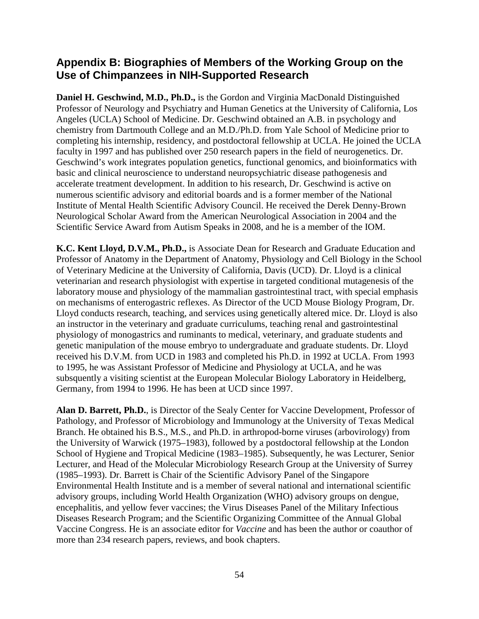# **Appendix B: Biographies of Members of the Working Group on the Use of Chimpanzees in NIH-Supported Research**

**Daniel H. Geschwind, M.D., Ph.D.,** is the Gordon and Virginia MacDonald Distinguished Professor of Neurology and Psychiatry and Human Genetics at the University of California, Los Angeles (UCLA) School of Medicine. Dr. Geschwind obtained an A.B. in psychology and chemistry from Dartmouth College and an M.D./Ph.D. from Yale School of Medicine prior to completing his internship, residency, and postdoctoral fellowship at UCLA. He joined the UCLA faculty in 1997 and has published over 250 research papers in the field of neurogenetics. Dr. Geschwind's work integrates population genetics, functional genomics, and bioinformatics with basic and clinical neuroscience to understand neuropsychiatric disease pathogenesis and accelerate treatment development. In addition to his research, Dr. Geschwind is active on numerous scientific advisory and editorial boards and is a former member of the National Institute of Mental Health Scientific Advisory Council. He received the Derek Denny-Brown Neurological Scholar Award from the American Neurological Association in 2004 and the Scientific Service Award from Autism Speaks in 2008, and he is a member of the IOM.

**K.C. Kent Lloyd, D.V.M., Ph.D.,** is Associate Dean for Research and Graduate Education and Professor of Anatomy in the Department of Anatomy, Physiology and Cell Biology in the School of Veterinary Medicine at the University of California, Davis (UCD). Dr. Lloyd is a clinical veterinarian and research physiologist with expertise in targeted conditional mutagenesis of the laboratory mouse and physiology of the mammalian gastrointestinal tract, with special emphasis on mechanisms of enterogastric reflexes. As Director of the UCD Mouse Biology Program, Dr. Lloyd conducts research, teaching, and services using genetically altered mice. Dr. Lloyd is also an instructor in the veterinary and graduate curriculums, teaching renal and gastrointestinal physiology of monogastrics and ruminants to medical, veterinary, and graduate students and genetic manipulation of the mouse embryo to undergraduate and graduate students. Dr. Lloyd received his D.V.M. from UCD in 1983 and completed his Ph.D. in 1992 at UCLA. From 1993 to 1995, he was Assistant Professor of Medicine and Physiology at UCLA, and he was subsquently a visiting scientist at the European Molecular Biology Laboratory in Heidelberg, Germany, from 1994 to 1996. He has been at UCD since 1997.

**Alan D. Barrett, Ph.D.**, is Director of the Sealy Center for Vaccine Development, Professor of Pathology, and Professor of Microbiology and Immunology at the University of Texas Medical Branch. He obtained his B.S., M.S., and Ph.D. in arthropod-borne viruses (arbovirology) from the University of Warwick (1975–1983), followed by a postdoctoral fellowship at the London School of Hygiene and Tropical Medicine (1983–1985). Subsequently, he was Lecturer, Senior Lecturer, and Head of the Molecular Microbiology Research Group at the University of Surrey (1985–1993). Dr. Barrett is Chair of the Scientific Advisory Panel of the Singapore Environmental Health Institute and is a member of several national and international scientific advisory groups, including World Health Organization (WHO) advisory groups on dengue, encephalitis, and yellow fever vaccines; the Virus Diseases Panel of the Military Infectious Diseases Research Program; and the Scientific Organizing Committee of the Annual Global Vaccine Congress. He is an associate editor for *Vaccine* and has been the author or coauthor of more than 234 research papers, reviews, and book chapters.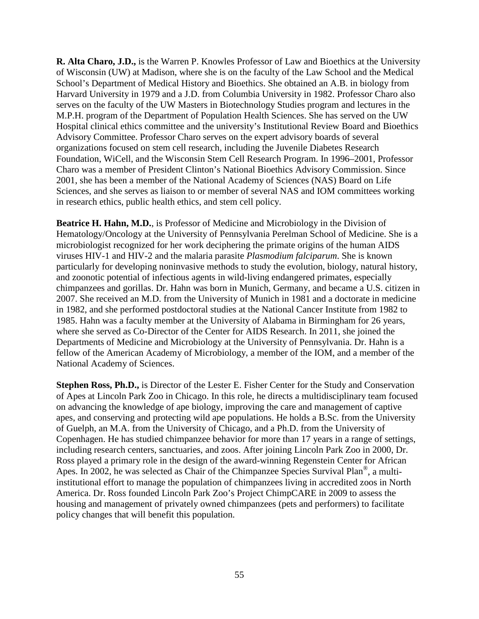**R. Alta Charo, J.D.,** is the Warren P. Knowles Professor of Law and Bioethics at the University of Wisconsin (UW) at Madison, where she is on the faculty of the Law School and the Medical School's Department of Medical History and Bioethics. She obtained an A.B. in biology from Harvard University in 1979 and a J.D. from Columbia University in 1982. Professor Charo also serves on the faculty of the UW Masters in Biotechnology Studies program and lectures in the M.P.H. program of the Department of Population Health Sciences. She has served on the UW Hospital clinical ethics committee and the university's Institutional Review Board and Bioethics Advisory Committee. Professor Charo serves on the expert advisory boards of several organizations focused on stem cell research, including the Juvenile Diabetes Research Foundation, WiCell, and the Wisconsin Stem Cell Research Program. In 1996–2001, Professor Charo was a member of President Clinton's National Bioethics Advisory Commission. Since 2001, she has been a member of the National Academy of Sciences (NAS) Board on Life Sciences, and she serves as liaison to or member of several NAS and IOM committees working in research ethics, public health ethics, and stem cell policy.

**Beatrice H. Hahn, M.D.**, is Professor of Medicine and Microbiology in the Division of Hematology/Oncology at the University of Pennsylvania Perelman School of Medicine. She is a microbiologist recognized for her work deciphering the primate origins of the human AIDS viruses HIV-1 and HIV-2 and the malaria parasite *Plasmodium falciparum*. She is known particularly for developing noninvasive methods to study the evolution, biology, natural history, and zoonotic potential of infectious agents in wild-living endangered primates, especially chimpanzees and gorillas. Dr. Hahn was born in Munich, Germany, and became a U.S. citizen in 2007. She received an M.D. from the University of Munich in 1981 and a doctorate in medicine in 1982, and she performed postdoctoral studies at the National Cancer Institute from 1982 to 1985. Hahn was a faculty member at the University of Alabama in Birmingham for 26 years, where she served as Co-Director of the Center for AIDS Research. In 2011, she joined the Departments of Medicine and Microbiology at the University of Pennsylvania. Dr. Hahn is a fellow of the American Academy of Microbiology, a member of the IOM, and a member of the National Academy of Sciences.

**Stephen Ross, Ph.D.,** is Director of the Lester E. Fisher Center for the Study and Conservation of Apes at Lincoln Park Zoo in Chicago. In this role, he directs a multidisciplinary team focused on advancing the knowledge of ape biology, improving the care and management of captive apes, and conserving and protecting wild ape populations. He holds a B.Sc. from the University of Guelph, an M.A. from the University of Chicago, and a Ph.D. from the University of Copenhagen. He has studied chimpanzee behavior for more than 17 years in a range of settings, including research centers, sanctuaries, and zoos. After joining Lincoln Park Zoo in 2000, Dr. Ross played a primary role in the design of the award-winning Regenstein Center for African Apes. In 2002, he was selected as Chair of the Chimpanzee Species Survival Plan®, a multiinstitutional effort to manage the population of chimpanzees living in accredited zoos in North America. Dr. Ross founded Lincoln Park Zoo's Project ChimpCARE in 2009 to assess the housing and management of privately owned chimpanzees (pets and performers) to facilitate policy changes that will benefit this population.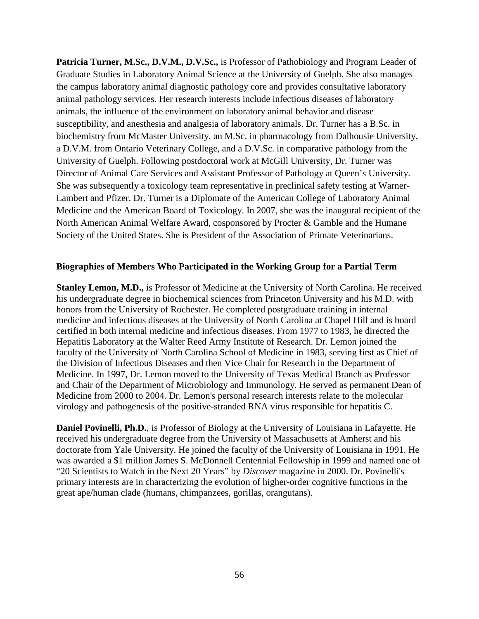**Patricia Turner, M.Sc., D.V.M., D.V.Sc.,** is Professor of Pathobiology and Program Leader of Graduate Studies in Laboratory Animal Science at the University of Guelph. She also manages the campus laboratory animal diagnostic pathology core and provides consultative laboratory animal pathology services. Her research interests include infectious diseases of laboratory animals, the influence of the environment on laboratory animal behavior and disease susceptibility, and anesthesia and analgesia of laboratory animals. Dr. Turner has a B.Sc. in biochemistry from McMaster University, an M.Sc. in pharmacology from Dalhousie University, a D.V.M. from Ontario Veterinary College, and a D.V.Sc. in comparative pathology from the University of Guelph. Following postdoctoral work at McGill University, Dr. Turner was Director of Animal Care Services and Assistant Professor of Pathology at Queen's University. She was subsequently a toxicology team representative in preclinical safety testing at Warner-Lambert and Pfizer. Dr. Turner is a Diplomate of the American College of Laboratory Animal Medicine and the American Board of Toxicology. In 2007, she was the inaugural recipient of the North American Animal Welfare Award, cosponsored by Procter & Gamble and the Humane Society of the United States. She is President of the Association of Primate Veterinarians.

#### **Biographies of Members Who Participated in the Working Group for a Partial Term**

**Stanley Lemon, M.D.,** is Professor of Medicine at the University of North Carolina. He received his undergraduate degree in biochemical sciences from Princeton University and his M.D. with honors from the University of Rochester. He completed postgraduate training in internal medicine and infectious diseases at the University of North Carolina at Chapel Hill and is board certified in both internal medicine and infectious diseases. From 1977 to 1983, he directed the Hepatitis Laboratory at the Walter Reed Army Institute of Research. Dr. Lemon joined the faculty of the University of North Carolina School of Medicine in 1983, serving first as Chief of the Division of Infectious Diseases and then Vice Chair for Research in the Department of Medicine. In 1997, Dr. Lemon moved to the University of Texas Medical Branch as Professor and Chair of the Department of Microbiology and Immunology. He served as permanent Dean of Medicine from 2000 to 2004. Dr. Lemon's personal research interests relate to the molecular virology and pathogenesis of the positive-stranded RNA virus responsible for hepatitis C.

**Daniel Povinelli, Ph.D.**, is Professor of Biology at the University of Louisiana in Lafayette. He received his undergraduate degree from the University of Massachusetts at Amherst and his doctorate from Yale University. He joined the faculty of the University of Louisiana in 1991. He was awarded a \$1 million James S. McDonnell Centennial Fellowship in 1999 and named one of "20 Scientists to Watch in the Next 20 Years" by *Discover* magazine in 2000. Dr. Povinelli's primary interests are in characterizing the evolution of higher-order cognitive functions in the great ape/human clade (humans, chimpanzees, gorillas, orangutans).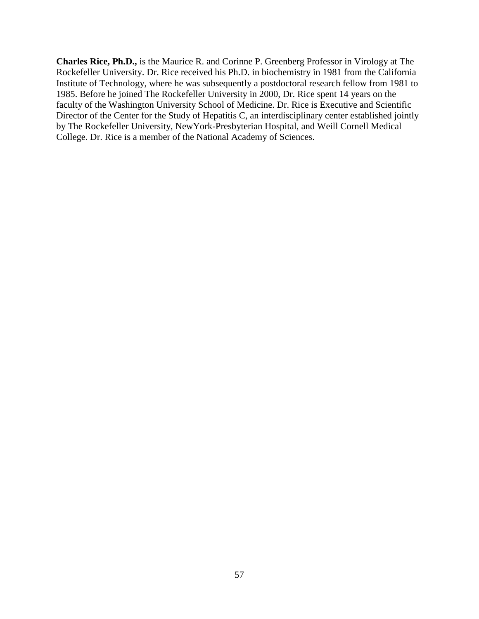**Charles Rice, Ph.D.,** is the Maurice R. and Corinne P. Greenberg Professor in Virology at The Rockefeller University. Dr. Rice received his Ph.D. in biochemistry in 1981 from the California Institute of Technology, where he was subsequently a postdoctoral research fellow from 1981 to 1985. Before he joined The Rockefeller University in 2000, Dr. Rice spent 14 years on the faculty of the Washington University School of Medicine. Dr. Rice is Executive and Scientific Director of the Center for the Study of Hepatitis C, an interdisciplinary center established jointly by The Rockefeller University, NewYork-Presbyterian Hospital, and Weill Cornell Medical College. Dr. Rice is a member of the National Academy of Sciences.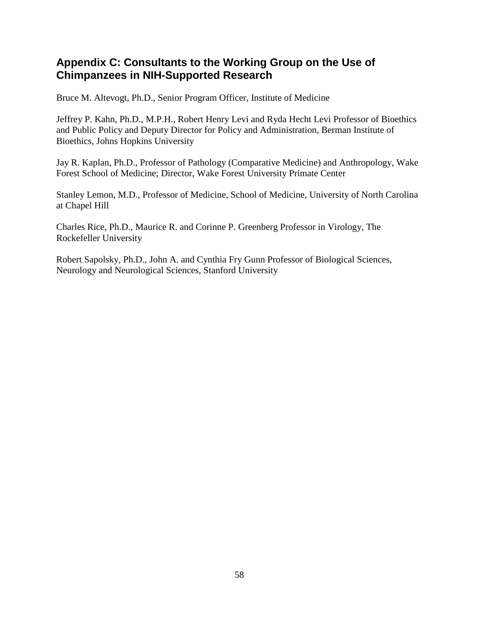# **Appendix C: Consultants to the Working Group on the Use of Chimpanzees in NIH-Supported Research**

Bruce M. Altevogt, Ph.D., Senior Program Officer, Institute of Medicine

Jeffrey P. Kahn, Ph.D., M.P.H., Robert Henry Levi and Ryda Hecht Levi Professor of Bioethics and Public Policy and Deputy Director for Policy and Administration, Berman Institute of Bioethics, Johns Hopkins University

Jay R. Kaplan, Ph.D., Professor of Pathology (Comparative Medicine) and Anthropology, Wake Forest School of Medicine; Director, Wake Forest University Primate Center

Stanley Lemon, M.D., Professor of Medicine, School of Medicine, University of North Carolina at Chapel Hill

Charles Rice, Ph.D., Maurice R. and Corinne P. Greenberg Professor in Virology, The Rockefeller University

Robert Sapolsky, Ph.D., John A. and Cynthia Fry Gunn Professor of Biological Sciences, Neurology and Neurological Sciences, Stanford University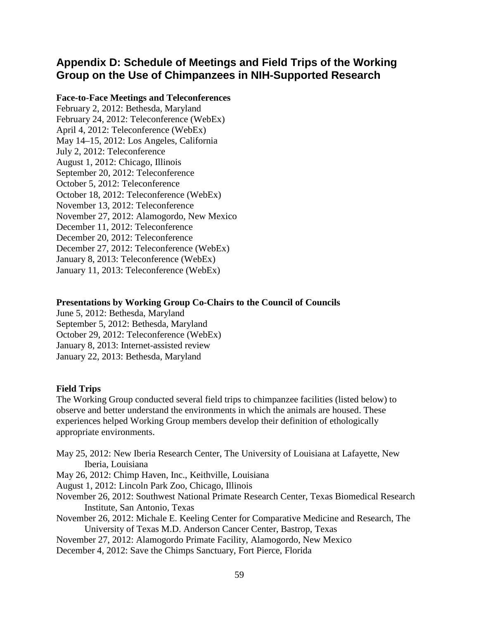# **Appendix D: Schedule of Meetings and Field Trips of the Working Group on the Use of Chimpanzees in NIH-Supported Research**

#### **Face-to-Face Meetings and Teleconferences**

February 2, 2012: Bethesda, Maryland February 24, 2012: Teleconference (WebEx) April 4, 2012: Teleconference (WebEx) May 14–15, 2012: Los Angeles, California July 2, 2012: Teleconference August 1, 2012: Chicago, Illinois September 20, 2012: Teleconference October 5, 2012: Teleconference October 18, 2012: Teleconference (WebEx) November 13, 2012: Teleconference November 27, 2012: Alamogordo, New Mexico December 11, 2012: Teleconference December 20, 2012: Teleconference December 27, 2012: Teleconference (WebEx) January 8, 2013: Teleconference (WebEx) January 11, 2013: Teleconference (WebEx)

#### **Presentations by Working Group Co-Chairs to the Council of Councils**

June 5, 2012: Bethesda, Maryland September 5, 2012: Bethesda, Maryland October 29, 2012: Teleconference (WebEx) January 8, 2013: Internet-assisted review January 22, 2013: Bethesda, Maryland

### **Field Trips**

The Working Group conducted several field trips to chimpanzee facilities (listed below) to observe and better understand the environments in which the animals are housed. These experiences helped Working Group members develop their definition of ethologically appropriate environments.

- May 25, 2012: New Iberia Research Center, The University of Louisiana at Lafayette, New Iberia, Louisiana
- May 26, 2012: Chimp Haven, Inc., Keithville, Louisiana
- August 1, 2012: Lincoln Park Zoo, Chicago, Illinois
- November 26, 2012: Southwest National Primate Research Center, Texas Biomedical Research Institute, San Antonio, Texas
- November 26, 2012: Michale E. Keeling Center for Comparative Medicine and Research, The University of Texas M.D. Anderson Cancer Center, Bastrop, Texas
- November 27, 2012: Alamogordo Primate Facility, Alamogordo, New Mexico
- December 4, 2012: Save the Chimps Sanctuary, Fort Pierce, Florida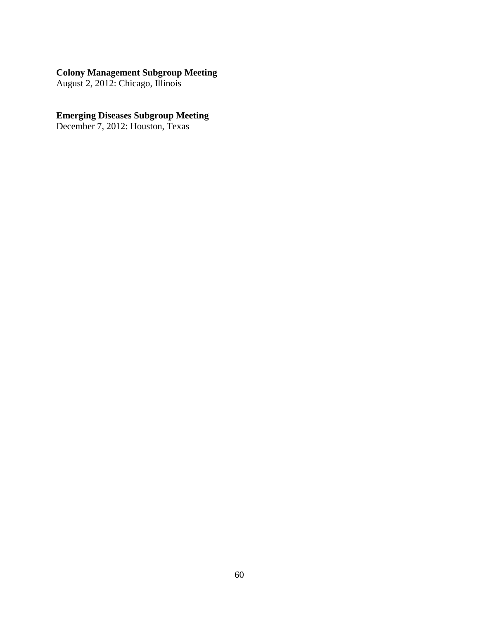#### **Colony Management Subgroup Meeting**

August 2, 2012: Chicago, Illinois

#### **Emerging Diseases Subgroup Meeting**

December 7, 2012: Houston, Texas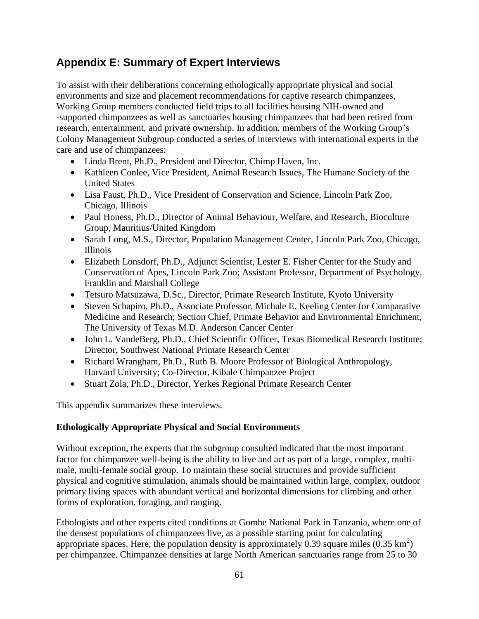# **Appendix E: Summary of Expert Interviews**

To assist with their deliberations concerning ethologically appropriate physical and social environments and size and placement recommendations for captive research chimpanzees, Working Group members conducted field trips to all facilities housing NIH-owned and -supported chimpanzees as well as sanctuaries housing chimpanzees that had been retired from research, entertainment, and private ownership. In addition, members of the Working Group's Colony Management Subgroup conducted a series of interviews with international experts in the care and use of chimpanzees:

- Linda Brent, Ph.D., President and Director, Chimp Haven, Inc.
- Kathleen Conlee, Vice President, Animal Research Issues, The Humane Society of the United States
- Lisa Faust, Ph.D., Vice President of Conservation and Science, Lincoln Park Zoo, Chicago, Illinois
- Paul Honess, Ph.D., Director of Animal Behaviour, Welfare, and Research, Bioculture Group, Mauritius/United Kingdom
- Sarah Long, M.S., Director, Population Management Center, Lincoln Park Zoo, Chicago, Illinois
- Elizabeth Lonsdorf, Ph.D., Adjunct Scientist, Lester E. Fisher Center for the Study and Conservation of Apes, Lincoln Park Zoo; Assistant Professor, Department of Psychology, Franklin and Marshall College
- Tetsuro Matsuzawa, D.Sc., Director, Primate Research Institute, Kyoto University
- Steven Schapiro, Ph.D., Associate Professor, Michale E. Keeling Center for Comparative Medicine and Research; Section Chief, Primate Behavior and Environmental Enrichment, The University of Texas M.D. Anderson Cancer Center
- John L. VandeBerg, Ph.D., Chief Scientific Officer, Texas Biomedical Research Institute; Director, Southwest National Primate Research Center
- Richard Wrangham, Ph.D., Ruth B. Moore Professor of Biological Anthropology, Harvard University; Co-Director, Kibale Chimpanzee Project
- Stuart Zola, Ph.D., Director, Yerkes Regional Primate Research Center

This appendix summarizes these interviews.

# **Ethologically Appropriate Physical and Social Environments**

Without exception, the experts that the subgroup consulted indicated that the most important factor for chimpanzee well-being is the ability to live and act as part of a large, complex, multimale, multi-female social group. To maintain these social structures and provide sufficient physical and cognitive stimulation, animals should be maintained within large, complex, outdoor primary living spaces with abundant vertical and horizontal dimensions for climbing and other forms of exploration, foraging, and ranging.

Ethologists and other experts cited conditions at Gombe National Park in Tanzania, where one of the densest populations of chimpanzees live, as a possible starting point for calculating appropriate spaces. Here, the population density is approximately 0.39 square miles  $(0.35 \text{ km}^2)$ per chimpanzee. Chimpanzee densities at large North American sanctuaries range from 25 to 30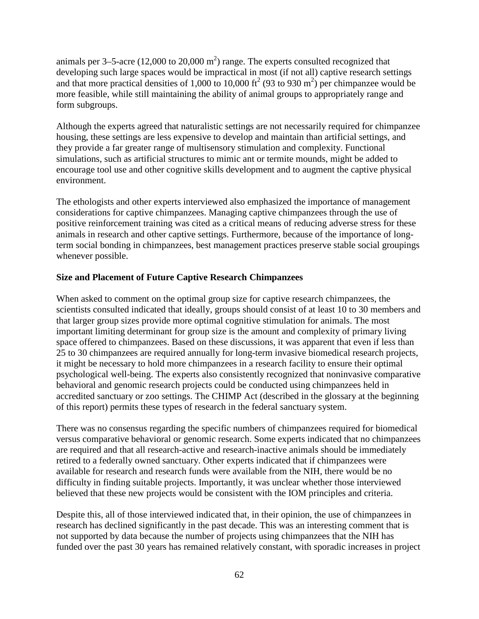animals per 3–5-acre (12,000 to 20,000 m<sup>2</sup>) range. The experts consulted recognized that developing such large spaces would be impractical in most (if not all) captive research settings and that more practical densities of 1,000 to 10,000 ft<sup>2</sup> (93 to 930 m<sup>2</sup>) per chimpanzee would be more feasible, while still maintaining the ability of animal groups to appropriately range and form subgroups.

Although the experts agreed that naturalistic settings are not necessarily required for chimpanzee housing, these settings are less expensive to develop and maintain than artificial settings, and they provide a far greater range of multisensory stimulation and complexity. Functional simulations, such as artificial structures to mimic ant or termite mounds, might be added to encourage tool use and other cognitive skills development and to augment the captive physical environment.

The ethologists and other experts interviewed also emphasized the importance of management considerations for captive chimpanzees. Managing captive chimpanzees through the use of positive reinforcement training was cited as a critical means of reducing adverse stress for these animals in research and other captive settings. Furthermore, because of the importance of longterm social bonding in chimpanzees, best management practices preserve stable social groupings whenever possible.

### **Size and Placement of Future Captive Research Chimpanzees**

When asked to comment on the optimal group size for captive research chimpanzees, the scientists consulted indicated that ideally, groups should consist of at least 10 to 30 members and that larger group sizes provide more optimal cognitive stimulation for animals. The most important limiting determinant for group size is the amount and complexity of primary living space offered to chimpanzees. Based on these discussions, it was apparent that even if less than 25 to 30 chimpanzees are required annually for long-term invasive biomedical research projects, it might be necessary to hold more chimpanzees in a research facility to ensure their optimal psychological well-being. The experts also consistently recognized that noninvasive comparative behavioral and genomic research projects could be conducted using chimpanzees held in accredited sanctuary or zoo settings. The CHIMP Act (described in the glossary at the beginning of this report) permits these types of research in the federal sanctuary system.

There was no consensus regarding the specific numbers of chimpanzees required for biomedical versus comparative behavioral or genomic research. Some experts indicated that no chimpanzees are required and that all research-active and research-inactive animals should be immediately retired to a federally owned sanctuary. Other experts indicated that if chimpanzees were available for research and research funds were available from the NIH, there would be no difficulty in finding suitable projects. Importantly, it was unclear whether those interviewed believed that these new projects would be consistent with the IOM principles and criteria.

Despite this, all of those interviewed indicated that, in their opinion, the use of chimpanzees in research has declined significantly in the past decade. This was an interesting comment that is not supported by data because the number of projects using chimpanzees that the NIH has funded over the past 30 years has remained relatively constant, with sporadic increases in project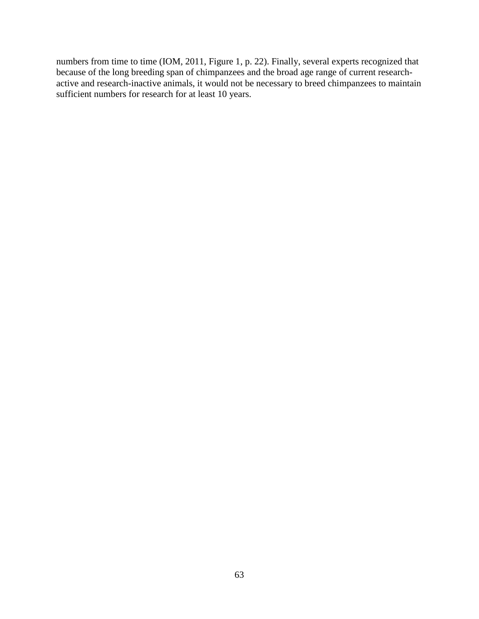numbers from time to time (IOM, 2011, Figure 1, p. 22). Finally, several experts recognized that because of the long breeding span of chimpanzees and the broad age range of current researchactive and research-inactive animals, it would not be necessary to breed chimpanzees to maintain sufficient numbers for research for at least 10 years.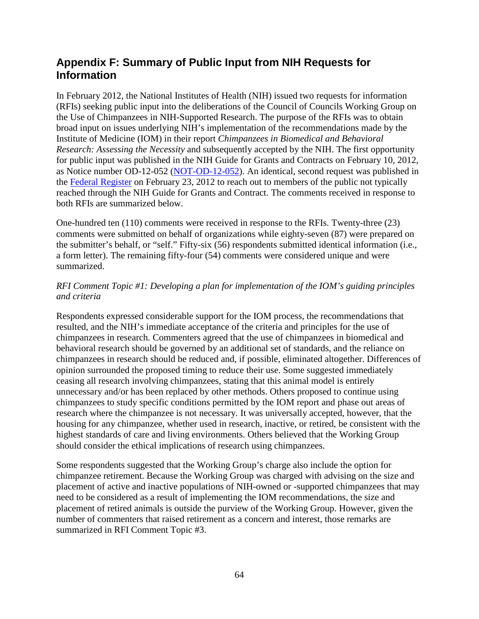# **Appendix F: Summary of Public Input from NIH Requests for Information**

In February 2012, the National Institutes of Health (NIH) issued two requests for information (RFIs) seeking public input into the deliberations of the Council of Councils Working Group on the Use of Chimpanzees in NIH-Supported Research. The purpose of the RFIs was to obtain broad input on issues underlying NIH's implementation of the recommendations made by the Institute of Medicine (IOM) in their report *Chimpanzees in Biomedical and Behavioral Research: Assessing the Necessity* and subsequently accepted by the NIH. The first opportunity for public input was published in the NIH Guide for Grants and Contracts on February 10, 2012, as Notice number OD-12-052 [\(NOT-OD-12-052\)](http://grants.nih.gov/grants/guide/notice-files/NOT-OD-12-052.html). An identical, second request was published in the [Federal Register](http://www.gpo.gov/fdsys/pkg/FR-2012-02-23/pdf/2012-4269.pdf) on February 23, 2012 to reach out to members of the public not typically reached through the NIH Guide for Grants and Contract. The comments received in response to both RFIs are summarized below.

One-hundred ten (110) comments were received in response to the RFIs. Twenty-three (23) comments were submitted on behalf of organizations while eighty-seven (87) were prepared on the submitter's behalf, or "self." Fifty-six (56) respondents submitted identical information (i.e., a form letter). The remaining fifty-four (54) comments were considered unique and were summarized.

# *RFI Comment Topic #1: Developing a plan for implementation of the IOM's guiding principles and criteria*

Respondents expressed considerable support for the IOM process, the recommendations that resulted, and the NIH's immediate acceptance of the criteria and principles for the use of chimpanzees in research. Commenters agreed that the use of chimpanzees in biomedical and behavioral research should be governed by an additional set of standards, and the reliance on chimpanzees in research should be reduced and, if possible, eliminated altogether. Differences of opinion surrounded the proposed timing to reduce their use. Some suggested immediately ceasing all research involving chimpanzees, stating that this animal model is entirely unnecessary and/or has been replaced by other methods. Others proposed to continue using chimpanzees to study specific conditions permitted by the IOM report and phase out areas of research where the chimpanzee is not necessary. It was universally accepted, however, that the housing for any chimpanzee, whether used in research, inactive, or retired, be consistent with the highest standards of care and living environments. Others believed that the Working Group should consider the ethical implications of research using chimpanzees.

Some respondents suggested that the Working Group's charge also include the option for chimpanzee retirement. Because the Working Group was charged with advising on the size and placement of active and inactive populations of NIH-owned or -supported chimpanzees that may need to be considered as a result of implementing the IOM recommendations, the size and placement of retired animals is outside the purview of the Working Group. However, given the number of commenters that raised retirement as a concern and interest, those remarks are summarized in RFI Comment Topic #3.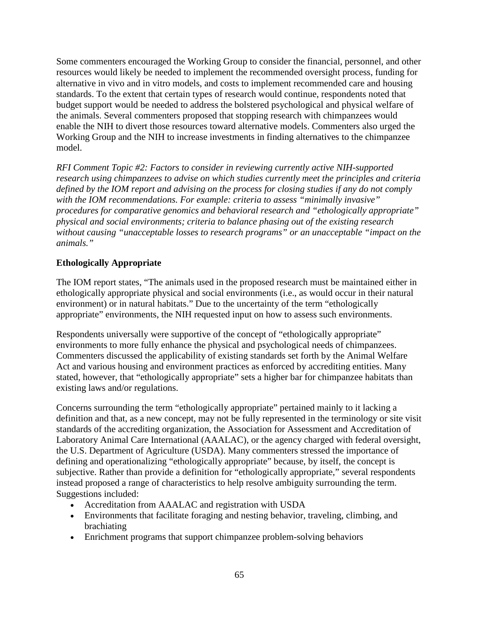Some commenters encouraged the Working Group to consider the financial, personnel, and other resources would likely be needed to implement the recommended oversight process, funding for alternative in vivo and in vitro models, and costs to implement recommended care and housing standards. To the extent that certain types of research would continue, respondents noted that budget support would be needed to address the bolstered psychological and physical welfare of the animals. Several commenters proposed that stopping research with chimpanzees would enable the NIH to divert those resources toward alternative models. Commenters also urged the Working Group and the NIH to increase investments in finding alternatives to the chimpanzee model.

*RFI Comment Topic #2: Factors to consider in reviewing currently active NIH-supported research using chimpanzees to advise on which studies currently meet the principles and criteria defined by the IOM report and advising on the process for closing studies if any do not comply with the IOM recommendations. For example: criteria to assess "minimally invasive" procedures for comparative genomics and behavioral research and "ethologically appropriate" physical and social environments; criteria to balance phasing out of the existing research without causing "unacceptable losses to research programs" or an unacceptable "impact on the animals."*

# **Ethologically Appropriate**

The IOM report states, "The animals used in the proposed research must be maintained either in ethologically appropriate physical and social environments (i.e., as would occur in their natural environment) or in natural habitats." Due to the uncertainty of the term "ethologically appropriate" environments, the NIH requested input on how to assess such environments.

Respondents universally were supportive of the concept of "ethologically appropriate" environments to more fully enhance the physical and psychological needs of chimpanzees. Commenters discussed the applicability of existing standards set forth by the Animal Welfare Act and various housing and environment practices as enforced by accrediting entities. Many stated, however, that "ethologically appropriate" sets a higher bar for chimpanzee habitats than existing laws and/or regulations.

Concerns surrounding the term "ethologically appropriate" pertained mainly to it lacking a definition and that, as a new concept, may not be fully represented in the terminology or site visit standards of the accrediting organization, the Association for Assessment and Accreditation of Laboratory Animal Care International (AAALAC), or the agency charged with federal oversight, the U.S. Department of Agriculture (USDA). Many commenters stressed the importance of defining and operationalizing "ethologically appropriate" because, by itself, the concept is subjective. Rather than provide a definition for "ethologically appropriate," several respondents instead proposed a range of characteristics to help resolve ambiguity surrounding the term. Suggestions included:

- Accreditation from AAALAC and registration with USDA
- Environments that facilitate foraging and nesting behavior, traveling, climbing, and brachiating
- Enrichment programs that support chimpanzee problem-solving behaviors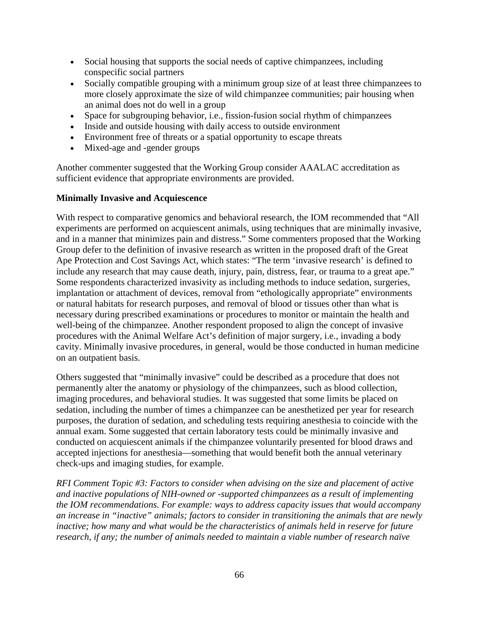- Social housing that supports the social needs of captive chimpanzees, including conspecific social partners
- Socially compatible grouping with a minimum group size of at least three chimpanzees to more closely approximate the size of wild chimpanzee communities; pair housing when an animal does not do well in a group
- Space for subgrouping behavior, i.e., fission-fusion social rhythm of chimpanzees
- Inside and outside housing with daily access to outside environment
- Environment free of threats or a spatial opportunity to escape threats
- Mixed-age and -gender groups

Another commenter suggested that the Working Group consider AAALAC accreditation as sufficient evidence that appropriate environments are provided.

### **Minimally Invasive and Acquiescence**

With respect to comparative genomics and behavioral research, the IOM recommended that "All experiments are performed on acquiescent animals, using techniques that are minimally invasive, and in a manner that minimizes pain and distress." Some commenters proposed that the Working Group defer to the definition of invasive research as written in the proposed draft of the Great Ape Protection and Cost Savings Act, which states: "The term 'invasive research' is defined to include any research that may cause death, injury, pain, distress, fear, or trauma to a great ape." Some respondents characterized invasivity as including methods to induce sedation, surgeries, implantation or attachment of devices, removal from "ethologically appropriate" environments or natural habitats for research purposes, and removal of blood or tissues other than what is necessary during prescribed examinations or procedures to monitor or maintain the health and well-being of the chimpanzee. Another respondent proposed to align the concept of invasive procedures with the Animal Welfare Act's definition of major surgery, i.e., invading a body cavity. Minimally invasive procedures, in general, would be those conducted in human medicine on an outpatient basis.

Others suggested that "minimally invasive" could be described as a procedure that does not permanently alter the anatomy or physiology of the chimpanzees, such as blood collection, imaging procedures, and behavioral studies. It was suggested that some limits be placed on sedation, including the number of times a chimpanzee can be anesthetized per year for research purposes, the duration of sedation, and scheduling tests requiring anesthesia to coincide with the annual exam. Some suggested that certain laboratory tests could be minimally invasive and conducted on acquiescent animals if the chimpanzee voluntarily presented for blood draws and accepted injections for anesthesia—something that would benefit both the annual veterinary check-ups and imaging studies, for example.

*RFI Comment Topic #3: Factors to consider when advising on the size and placement of active and inactive populations of NIH-owned or -supported chimpanzees as a result of implementing the IOM recommendations. For example: ways to address capacity issues that would accompany an increase in "inactive" animals; factors to consider in transitioning the animals that are newly inactive; how many and what would be the characteristics of animals held in reserve for future research, if any; the number of animals needed to maintain a viable number of research naïve*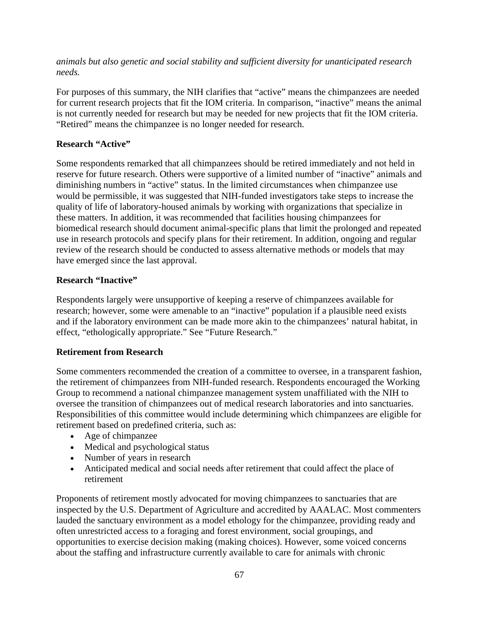*animals but also genetic and social stability and sufficient diversity for unanticipated research needs.*

For purposes of this summary, the NIH clarifies that "active" means the chimpanzees are needed for current research projects that fit the IOM criteria. In comparison, "inactive" means the animal is not currently needed for research but may be needed for new projects that fit the IOM criteria. "Retired" means the chimpanzee is no longer needed for research.

# **Research "Active"**

Some respondents remarked that all chimpanzees should be retired immediately and not held in reserve for future research. Others were supportive of a limited number of "inactive" animals and diminishing numbers in "active" status. In the limited circumstances when chimpanzee use would be permissible, it was suggested that NIH-funded investigators take steps to increase the quality of life of laboratory-housed animals by working with organizations that specialize in these matters. In addition, it was recommended that facilities housing chimpanzees for biomedical research should document animal-specific plans that limit the prolonged and repeated use in research protocols and specify plans for their retirement. In addition, ongoing and regular review of the research should be conducted to assess alternative methods or models that may have emerged since the last approval.

# **Research "Inactive"**

Respondents largely were unsupportive of keeping a reserve of chimpanzees available for research; however, some were amenable to an "inactive" population if a plausible need exists and if the laboratory environment can be made more akin to the chimpanzees' natural habitat, in effect, "ethologically appropriate." See "Future Research."

# **Retirement from Research**

Some commenters recommended the creation of a committee to oversee, in a transparent fashion, the retirement of chimpanzees from NIH-funded research. Respondents encouraged the Working Group to recommend a national chimpanzee management system unaffiliated with the NIH to oversee the transition of chimpanzees out of medical research laboratories and into sanctuaries. Responsibilities of this committee would include determining which chimpanzees are eligible for retirement based on predefined criteria, such as:

- Age of chimpanzee
- Medical and psychological status
- Number of years in research
- Anticipated medical and social needs after retirement that could affect the place of retirement

Proponents of retirement mostly advocated for moving chimpanzees to sanctuaries that are inspected by the U.S. Department of Agriculture and accredited by AAALAC. Most commenters lauded the sanctuary environment as a model ethology for the chimpanzee, providing ready and often unrestricted access to a foraging and forest environment, social groupings, and opportunities to exercise decision making (making choices). However, some voiced concerns about the staffing and infrastructure currently available to care for animals with chronic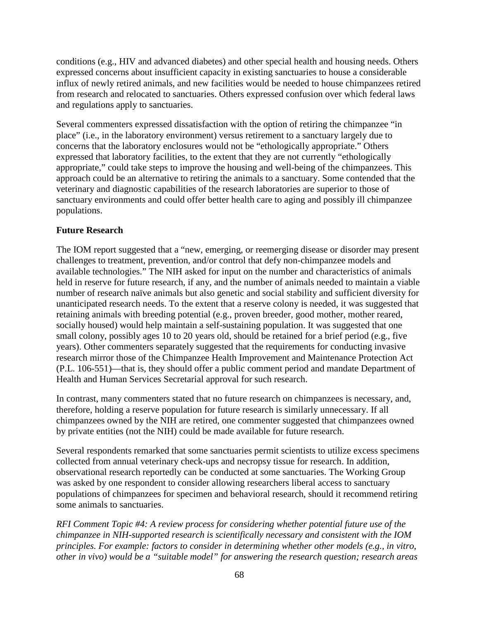conditions (e.g., HIV and advanced diabetes) and other special health and housing needs. Others expressed concerns about insufficient capacity in existing sanctuaries to house a considerable influx of newly retired animals, and new facilities would be needed to house chimpanzees retired from research and relocated to sanctuaries. Others expressed confusion over which federal laws and regulations apply to sanctuaries.

Several commenters expressed dissatisfaction with the option of retiring the chimpanzee "in place" (i.e., in the laboratory environment) versus retirement to a sanctuary largely due to concerns that the laboratory enclosures would not be "ethologically appropriate." Others expressed that laboratory facilities, to the extent that they are not currently "ethologically appropriate," could take steps to improve the housing and well-being of the chimpanzees. This approach could be an alternative to retiring the animals to a sanctuary. Some contended that the veterinary and diagnostic capabilities of the research laboratories are superior to those of sanctuary environments and could offer better health care to aging and possibly ill chimpanzee populations.

# **Future Research**

The IOM report suggested that a "new, emerging, or reemerging disease or disorder may present challenges to treatment, prevention, and/or control that defy non-chimpanzee models and available technologies." The NIH asked for input on the number and characteristics of animals held in reserve for future research, if any, and the number of animals needed to maintain a viable number of research naïve animals but also genetic and social stability and sufficient diversity for unanticipated research needs. To the extent that a reserve colony is needed, it was suggested that retaining animals with breeding potential (e.g., proven breeder, good mother, mother reared, socially housed) would help maintain a self-sustaining population. It was suggested that one small colony, possibly ages 10 to 20 years old, should be retained for a brief period (e.g., five years). Other commenters separately suggested that the requirements for conducting invasive research mirror those of the Chimpanzee Health Improvement and Maintenance Protection Act (P.L. 106-551)—that is, they should offer a public comment period and mandate Department of Health and Human Services Secretarial approval for such research.

In contrast, many commenters stated that no future research on chimpanzees is necessary, and, therefore, holding a reserve population for future research is similarly unnecessary. If all chimpanzees owned by the NIH are retired, one commenter suggested that chimpanzees owned by private entities (not the NIH) could be made available for future research.

Several respondents remarked that some sanctuaries permit scientists to utilize excess specimens collected from annual veterinary check-ups and necropsy tissue for research. In addition, observational research reportedly can be conducted at some sanctuaries. The Working Group was asked by one respondent to consider allowing researchers liberal access to sanctuary populations of chimpanzees for specimen and behavioral research, should it recommend retiring some animals to sanctuaries.

*RFI Comment Topic #4: A review process for considering whether potential future use of the chimpanzee in NIH-supported research is scientifically necessary and consistent with the IOM principles. For example: factors to consider in determining whether other models (e.g., in vitro, other in vivo) would be a "suitable model" for answering the research question; research areas*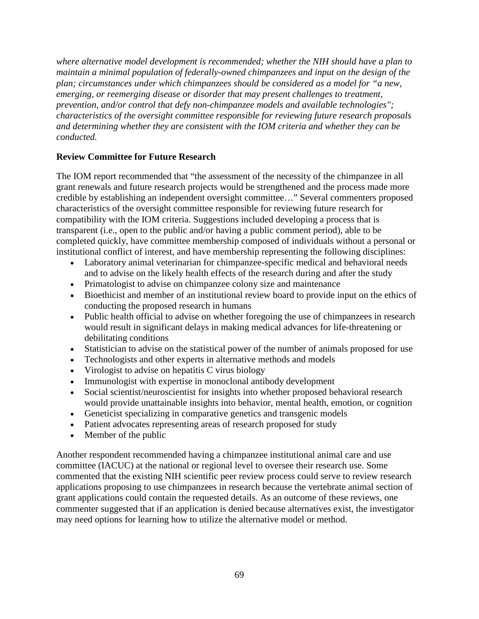*where alternative model development is recommended; whether the NIH should have a plan to maintain a minimal population of federally-owned chimpanzees and input on the design of the plan; circumstances under which chimpanzees should be considered as a model for "a new, emerging, or reemerging disease or disorder that may present challenges to treatment, prevention, and/or control that defy non-chimpanzee models and available technologies"; characteristics of the oversight committee responsible for reviewing future research proposals and determining whether they are consistent with the IOM criteria and whether they can be conducted.*

### **Review Committee for Future Research**

The IOM report recommended that "the assessment of the necessity of the chimpanzee in all grant renewals and future research projects would be strengthened and the process made more credible by establishing an independent oversight committee…" Several commenters proposed characteristics of the oversight committee responsible for reviewing future research for compatibility with the IOM criteria. Suggestions included developing a process that is transparent (i.e., open to the public and/or having a public comment period), able to be completed quickly, have committee membership composed of individuals without a personal or institutional conflict of interest, and have membership representing the following disciplines:

- Laboratory animal veterinarian for chimpanzee-specific medical and behavioral needs and to advise on the likely health effects of the research during and after the study
- Primatologist to advise on chimpanzee colony size and maintenance
- Bioethicist and member of an institutional review board to provide input on the ethics of conducting the proposed research in humans
- Public health official to advise on whether foregoing the use of chimpanzees in research would result in significant delays in making medical advances for life-threatening or debilitating conditions
- Statistician to advise on the statistical power of the number of animals proposed for use
- Technologists and other experts in alternative methods and models
- Virologist to advise on hepatitis C virus biology
- Immunologist with expertise in monoclonal antibody development
- Social scientist/neuroscientist for insights into whether proposed behavioral research would provide unattainable insights into behavior, mental health, emotion, or cognition
- Geneticist specializing in comparative genetics and transgenic models
- Patient advocates representing areas of research proposed for study
- Member of the public

Another respondent recommended having a chimpanzee institutional animal care and use committee (IACUC) at the national or regional level to oversee their research use. Some commented that the existing NIH scientific peer review process could serve to review research applications proposing to use chimpanzees in research because the vertebrate animal section of grant applications could contain the requested details. As an outcome of these reviews, one commenter suggested that if an application is denied because alternatives exist, the investigator may need options for learning how to utilize the alternative model or method.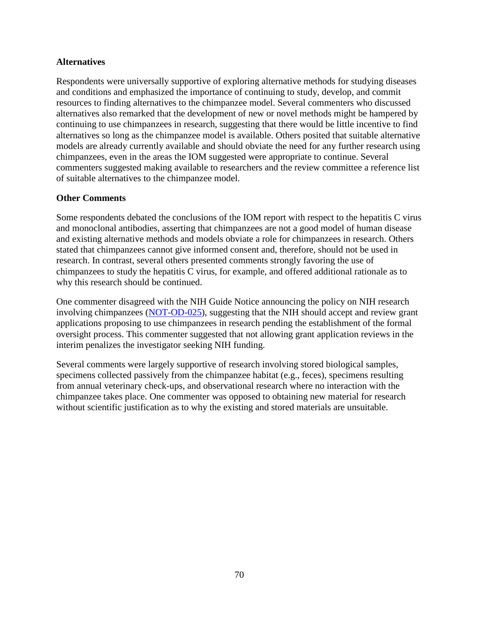### **Alternatives**

Respondents were universally supportive of exploring alternative methods for studying diseases and conditions and emphasized the importance of continuing to study, develop, and commit resources to finding alternatives to the chimpanzee model. Several commenters who discussed alternatives also remarked that the development of new or novel methods might be hampered by continuing to use chimpanzees in research, suggesting that there would be little incentive to find alternatives so long as the chimpanzee model is available. Others posited that suitable alternative models are already currently available and should obviate the need for any further research using chimpanzees, even in the areas the IOM suggested were appropriate to continue. Several commenters suggested making available to researchers and the review committee a reference list of suitable alternatives to the chimpanzee model.

### **Other Comments**

Some respondents debated the conclusions of the IOM report with respect to the hepatitis C virus and monoclonal antibodies, asserting that chimpanzees are not a good model of human disease and existing alternative methods and models obviate a role for chimpanzees in research. Others stated that chimpanzees cannot give informed consent and, therefore, should not be used in research. In contrast, several others presented comments strongly favoring the use of chimpanzees to study the hepatitis C virus, for example, and offered additional rationale as to why this research should be continued.

One commenter disagreed with the NIH Guide Notice announcing the policy on NIH research involving chimpanzees [\(NOT-OD-025\)](http://grants.nih.gov/grants/guide/notice-files/NOT-OD-12-025.html), suggesting that the NIH should accept and review grant applications proposing to use chimpanzees in research pending the establishment of the formal oversight process. This commenter suggested that not allowing grant application reviews in the interim penalizes the investigator seeking NIH funding.

Several comments were largely supportive of research involving stored biological samples, specimens collected passively from the chimpanzee habitat (e.g., feces), specimens resulting from annual veterinary check-ups, and observational research where no interaction with the chimpanzee takes place. One commenter was opposed to obtaining new material for research without scientific justification as to why the existing and stored materials are unsuitable.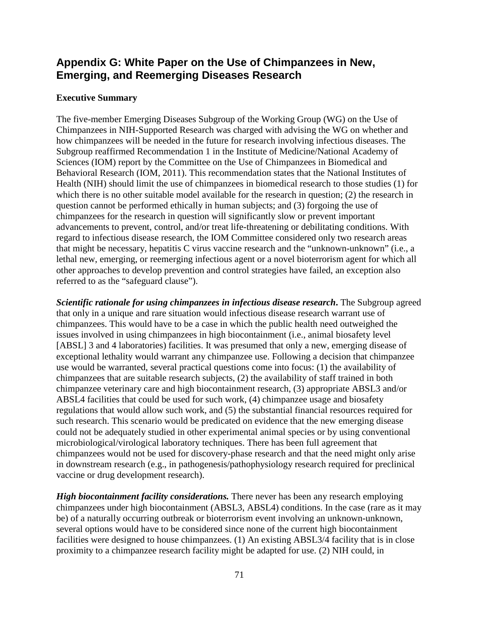# **Appendix G: White Paper on the Use of Chimpanzees in New, Emerging, and Reemerging Diseases Research**

## **Executive Summary**

The five-member Emerging Diseases Subgroup of the Working Group (WG) on the Use of Chimpanzees in NIH-Supported Research was charged with advising the WG on whether and how chimpanzees will be needed in the future for research involving infectious diseases. The Subgroup reaffirmed Recommendation 1 in the Institute of Medicine/National Academy of Sciences (IOM) report by the Committee on the Use of Chimpanzees in Biomedical and Behavioral Research (IOM, 2011). This recommendation states that the National Institutes of Health (NIH) should limit the use of chimpanzees in biomedical research to those studies (1) for which there is no other suitable model available for the research in question; (2) the research in question cannot be performed ethically in human subjects; and (3) forgoing the use of chimpanzees for the research in question will significantly slow or prevent important advancements to prevent, control, and/or treat life-threatening or debilitating conditions. With regard to infectious disease research, the IOM Committee considered only two research areas that might be necessary, hepatitis C virus vaccine research and the "unknown-unknown" (i.e., a lethal new, emerging, or reemerging infectious agent or a novel bioterrorism agent for which all other approaches to develop prevention and control strategies have failed, an exception also referred to as the "safeguard clause").

*Scientific rationale for using chimpanzees in infectious disease research***.** The Subgroup agreed that only in a unique and rare situation would infectious disease research warrant use of chimpanzees. This would have to be a case in which the public health need outweighed the issues involved in using chimpanzees in high biocontainment (i.e., animal biosafety level [ABSL] 3 and 4 laboratories) facilities. It was presumed that only a new, emerging disease of exceptional lethality would warrant any chimpanzee use. Following a decision that chimpanzee use would be warranted, several practical questions come into focus: (1) the availability of chimpanzees that are suitable research subjects, (2) the availability of staff trained in both chimpanzee veterinary care and high biocontainment research, (3) appropriate ABSL3 and/or ABSL4 facilities that could be used for such work, (4) chimpanzee usage and biosafety regulations that would allow such work, and (5) the substantial financial resources required for such research. This scenario would be predicated on evidence that the new emerging disease could not be adequately studied in other experimental animal species or by using conventional microbiological/virological laboratory techniques. There has been full agreement that chimpanzees would not be used for discovery-phase research and that the need might only arise in downstream research (e.g., in pathogenesis/pathophysiology research required for preclinical vaccine or drug development research).

*High biocontainment facility considerations.* There never has been any research employing chimpanzees under high biocontainment (ABSL3, ABSL4) conditions. In the case (rare as it may be) of a naturally occurring outbreak or bioterrorism event involving an unknown-unknown, several options would have to be considered since none of the current high biocontainment facilities were designed to house chimpanzees. (1) An existing ABSL3/4 facility that is in close proximity to a chimpanzee research facility might be adapted for use. (2) NIH could, in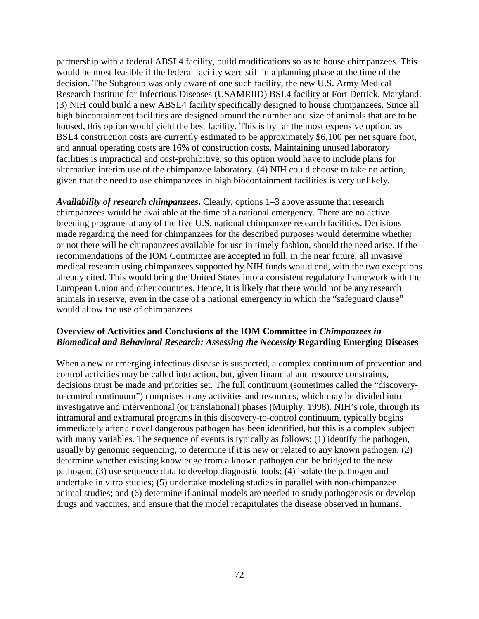partnership with a federal ABSL4 facility, build modifications so as to house chimpanzees. This would be most feasible if the federal facility were still in a planning phase at the time of the decision. The Subgroup was only aware of one such facility, the new U.S. Army Medical Research Institute for Infectious Diseases (USAMRIID) BSL4 facility at Fort Detrick, Maryland. (3) NIH could build a new ABSL4 facility specifically designed to house chimpanzees. Since all high biocontainment facilities are designed around the number and size of animals that are to be housed, this option would yield the best facility. This is by far the most expensive option, as BSL4 construction costs are currently estimated to be approximately \$6,100 per net square foot, and annual operating costs are 16% of construction costs. Maintaining unused laboratory facilities is impractical and cost-prohibitive, so this option would have to include plans for alternative interim use of the chimpanzee laboratory. (4) NIH could choose to take no action, given that the need to use chimpanzees in high biocontainment facilities is very unlikely.

*Availability of research chimpanzees***.** Clearly, options 1–3 above assume that research chimpanzees would be available at the time of a national emergency. There are no active breeding programs at any of the five U.S. national chimpanzee research facilities. Decisions made regarding the need for chimpanzees for the described purposes would determine whether or not there will be chimpanzees available for use in timely fashion, should the need arise. If the recommendations of the IOM Committee are accepted in full, in the near future, all invasive medical research using chimpanzees supported by NIH funds would end, with the two exceptions already cited. This would bring the United States into a consistent regulatory framework with the European Union and other countries. Hence, it is likely that there would not be any research animals in reserve, even in the case of a national emergency in which the "safeguard clause" would allow the use of chimpanzees

## **Overview of Activities and Conclusions of the IOM Committee in** *Chimpanzees in Biomedical and Behavioral Research: Assessing the Necessity* **Regarding Emerging Diseases**

When a new or emerging infectious disease is suspected, a complex continuum of prevention and control activities may be called into action, but, given financial and resource constraints, decisions must be made and priorities set. The full continuum (sometimes called the "discoveryto-control continuum") comprises many activities and resources, which may be divided into investigative and interventional (or translational) phases (Murphy, 1998)*.* NIH's role, through its intramural and extramural programs in this discovery-to-control continuum, typically begins immediately after a novel dangerous pathogen has been identified, but this is a complex subject with many variables. The sequence of events is typically as follows: (1) identify the pathogen, usually by genomic sequencing, to determine if it is new or related to any known pathogen; (2) determine whether existing knowledge from a known pathogen can be bridged to the new pathogen; (3) use sequence data to develop diagnostic tools; (4) isolate the pathogen and undertake in vitro studies; (5) undertake modeling studies in parallel with non-chimpanzee animal studies; and (6) determine if animal models are needed to study pathogenesis or develop drugs and vaccines, and ensure that the model recapitulates the disease observed in humans.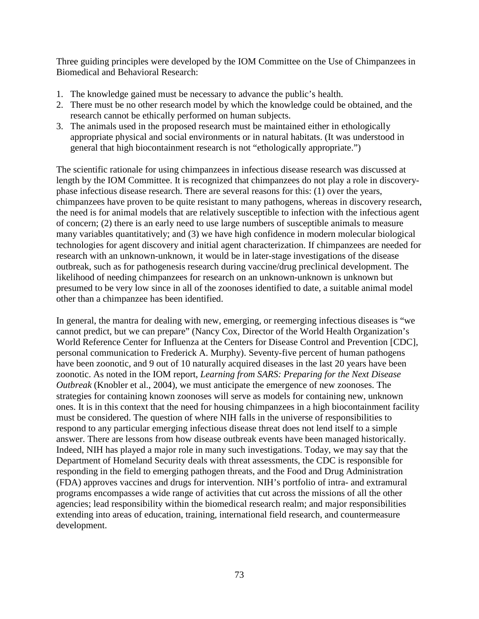Three guiding principles were developed by the IOM Committee on the Use of Chimpanzees in Biomedical and Behavioral Research:

- 1. The knowledge gained must be necessary to advance the public's health.
- 2. There must be no other research model by which the knowledge could be obtained, and the research cannot be ethically performed on human subjects.
- 3. The animals used in the proposed research must be maintained either in ethologically appropriate physical and social environments or in natural habitats. (It was understood in general that high biocontainment research is not "ethologically appropriate.")

The scientific rationale for using chimpanzees in infectious disease research was discussed at length by the IOM Committee. It is recognized that chimpanzees do not play a role in discoveryphase infectious disease research. There are several reasons for this: (1) over the years, chimpanzees have proven to be quite resistant to many pathogens, whereas in discovery research, the need is for animal models that are relatively susceptible to infection with the infectious agent of concern; (2) there is an early need to use large numbers of susceptible animals to measure many variables quantitatively; and (3) we have high confidence in modern molecular biological technologies for agent discovery and initial agent characterization. If chimpanzees are needed for research with an unknown-unknown, it would be in later-stage investigations of the disease outbreak, such as for pathogenesis research during vaccine/drug preclinical development. The likelihood of needing chimpanzees for research on an unknown-unknown is unknown but presumed to be very low since in all of the zoonoses identified to date, a suitable animal model other than a chimpanzee has been identified.

In general, the mantra for dealing with new, emerging, or reemerging infectious diseases is "we cannot predict, but we can prepare" (Nancy Cox, Director of the World Health Organization's World Reference Center for Influenza at the Centers for Disease Control and Prevention [CDC], personal communication to Frederick A. Murphy). Seventy-five percent of human pathogens have been zoonotic, and 9 out of 10 naturally acquired diseases in the last 20 years have been zoonotic. As noted in the IOM report, *Learning from SARS: Preparing for the Next Disease Outbreak* (Knobler et al., 2004), we must anticipate the emergence of new zoonoses. The strategies for containing known zoonoses will serve as models for containing new, unknown ones. It is in this context that the need for housing chimpanzees in a high biocontainment facility must be considered. The question of where NIH falls in the universe of responsibilities to respond to any particular emerging infectious disease threat does not lend itself to a simple answer. There are lessons from how disease outbreak events have been managed historically. Indeed, NIH has played a major role in many such investigations. Today, we may say that the Department of Homeland Security deals with threat assessments, the CDC is responsible for responding in the field to emerging pathogen threats, and the Food and Drug Administration (FDA) approves vaccines and drugs for intervention. NIH's portfolio of intra- and extramural programs encompasses a wide range of activities that cut across the missions of all the other agencies; lead responsibility within the biomedical research realm; and major responsibilities extending into areas of education, training, international field research, and countermeasure development.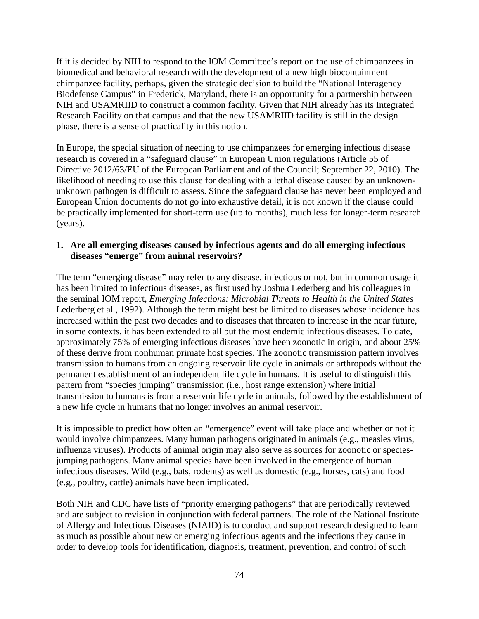If it is decided by NIH to respond to the IOM Committee's report on the use of chimpanzees in biomedical and behavioral research with the development of a new high biocontainment chimpanzee facility, perhaps, given the strategic decision to build the "National Interagency Biodefense Campus" in Frederick, Maryland, there is an opportunity for a partnership between NIH and USAMRIID to construct a common facility. Given that NIH already has its Integrated Research Facility on that campus and that the new USAMRIID facility is still in the design phase, there is a sense of practicality in this notion.

In Europe, the special situation of needing to use chimpanzees for emerging infectious disease research is covered in a "safeguard clause" in European Union regulations (Article 55 of Directive 2012/63/EU of the European Parliament and of the Council; September 22, 2010). The likelihood of needing to use this clause for dealing with a lethal disease caused by an unknownunknown pathogen is difficult to assess. Since the safeguard clause has never been employed and European Union documents do not go into exhaustive detail, it is not known if the clause could be practically implemented for short-term use (up to months), much less for longer-term research (years).

## **1. Are all emerging diseases caused by infectious agents and do all emerging infectious diseases "emerge" from animal reservoirs?**

The term "emerging disease" may refer to any disease, infectious or not, but in common usage it has been limited to infectious diseases, as first used by Joshua Lederberg and his colleagues in the seminal IOM report, *Emerging Infections: Microbial Threats to Health in the United States* Lederberg et al., 1992). Although the term might best be limited to diseases whose incidence has increased within the past two decades and to diseases that threaten to increase in the near future, in some contexts, it has been extended to all but the most endemic infectious diseases. To date, approximately 75% of emerging infectious diseases have been zoonotic in origin, and about 25% of these derive from nonhuman primate host species. The zoonotic transmission pattern involves transmission to humans from an ongoing reservoir life cycle in animals or arthropods without the permanent establishment of an independent life cycle in humans. It is useful to distinguish this pattern from "species jumping" transmission (i.e., host range extension) where initial transmission to humans is from a reservoir life cycle in animals, followed by the establishment of a new life cycle in humans that no longer involves an animal reservoir.

It is impossible to predict how often an "emergence" event will take place and whether or not it would involve chimpanzees. Many human pathogens originated in animals (e.g., measles virus, influenza viruses). Products of animal origin may also serve as sources for zoonotic or speciesjumping pathogens. Many animal species have been involved in the emergence of human infectious diseases. Wild (e.g., bats, rodents) as well as domestic (e.g., horses, cats) and food (e.g., poultry, cattle) animals have been implicated.

Both NIH and CDC have lists of "priority emerging pathogens" that are periodically reviewed and are subject to revision in conjunction with federal partners. The role of the National Institute of Allergy and Infectious Diseases (NIAID) is to conduct and support research designed to learn as much as possible about new or emerging infectious agents and the infections they cause in order to develop tools for identification, diagnosis, treatment, prevention, and control of such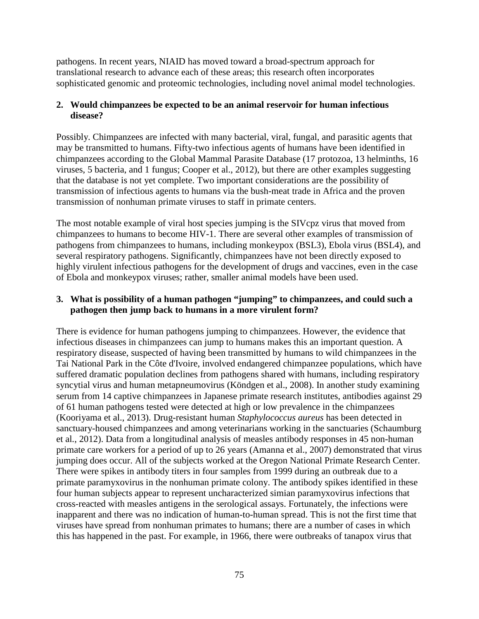pathogens. In recent years, NIAID has moved toward a broad-spectrum approach for translational research to advance each of these areas; this research often incorporates sophisticated genomic and proteomic technologies, including novel animal model technologies.

# **2. Would chimpanzees be expected to be an animal reservoir for human infectious disease?**

Possibly. Chimpanzees are infected with many bacterial, viral, fungal, and parasitic agents that may be transmitted to humans. Fifty-two infectious agents of humans have been identified in chimpanzees according to the Global Mammal Parasite Database (17 protozoa, 13 helminths, 16 viruses, 5 bacteria, and 1 fungus; Cooper et al., 2012), but there are other examples suggesting that the database is not yet complete. Two important considerations are the possibility of transmission of infectious agents to humans via the bush-meat trade in Africa and the proven transmission of nonhuman primate viruses to staff in primate centers.

The most notable example of viral host species jumping is the SIVcpz virus that moved from chimpanzees to humans to become HIV-1. There are several other examples of transmission of pathogens from chimpanzees to humans, including monkeypox (BSL3), Ebola virus (BSL4), and several respiratory pathogens. Significantly, chimpanzees have not been directly exposed to highly virulent infectious pathogens for the development of drugs and vaccines, even in the case of Ebola and monkeypox viruses; rather, smaller animal models have been used.

# **3. What is possibility of a human pathogen "jumping" to chimpanzees, and could such a pathogen then jump back to humans in a more virulent form?**

There is evidence for human pathogens jumping to chimpanzees. However, the evidence that infectious diseases in chimpanzees can jump to humans makes this an important question. A respiratory disease, suspected of having been transmitted by humans to wild chimpanzees in the Tai National Park in the Côte d'Ivoire, involved endangered chimpanzee populations, which have suffered dramatic population declines from pathogens shared with humans, including respiratory syncytial virus and human metapneumovirus (Köndgen et al., 2008). In another study examining serum from 14 captive chimpanzees in Japanese primate research institutes, antibodies against 29 of 61 human pathogens tested were detected at high or low prevalence in the chimpanzees (Kooriyama et al., 2013). Drug-resistant human *Staphylococcus aureus* has been detected in sanctuary-housed chimpanzees and among veterinarians working in the sanctuaries (Schaumburg et al*.*, 2012). Data from a longitudinal analysis of measles antibody responses in 45 non-human primate care workers for a period of up to 26 years (Amanna et al., 2007) demonstrated that virus jumping does occur. All of the subjects worked at the Oregon National Primate Research Center. There were spikes in antibody titers in four samples from 1999 during an outbreak due to a primate paramyxovirus in the nonhuman primate colony. The antibody spikes identified in these four human subjects appear to represent uncharacterized simian paramyxovirus infections that cross-reacted with measles antigens in the serological assays. Fortunately, the infections were inapparent and there was no indication of human-to-human spread. This is not the first time that viruses have spread from nonhuman primates to humans; there are a number of cases in which this has happened in the past. For example, in 1966, there were outbreaks of tanapox virus that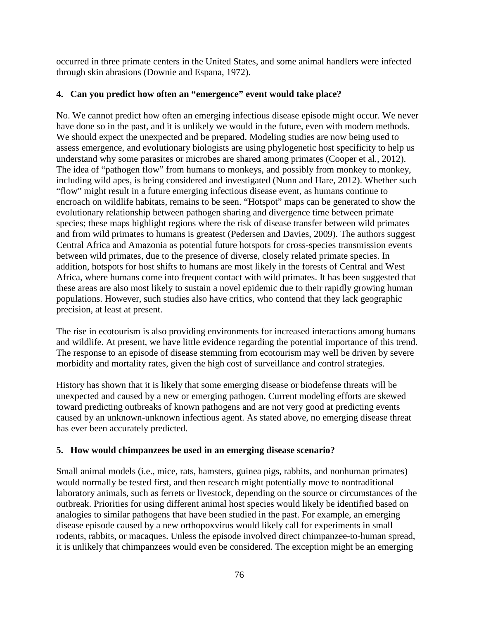occurred in three primate centers in the United States, and some animal handlers were infected through skin abrasions (Downie and Espana, 1972).

# **4. Can you predict how often an "emergence" event would take place?**

No. We cannot predict how often an emerging infectious disease episode might occur. We never have done so in the past, and it is unlikely we would in the future, even with modern methods. We should expect the unexpected and be prepared. Modeling studies are now being used to assess emergence, and evolutionary biologists are using phylogenetic host specificity to help us understand why some parasites or microbes are shared among primates (Cooper et al*.,* 2012). The idea of "pathogen flow" from humans to monkeys, and possibly from monkey to monkey, including wild apes, is being considered and investigated (Nunn and Hare, 2012). Whether such "flow" might result in a future emerging infectious disease event, as humans continue to encroach on wildlife habitats, remains to be seen. "Hotspot" maps can be generated to show the evolutionary relationship between pathogen sharing and divergence time between primate species; these maps highlight regions where the risk of disease transfer between wild primates and from wild primates to humans is greatest (Pedersen and Davies, 2009). The authors suggest Central Africa and Amazonia as potential future hotspots for cross-species transmission events between wild primates, due to the presence of diverse, closely related primate species. In addition, hotspots for host shifts to humans are most likely in the forests of Central and West Africa, where humans come into frequent contact with wild primates. It has been suggested that these areas are also most likely to sustain a novel epidemic due to their rapidly growing human populations. However, such studies also have critics, who contend that they lack geographic precision, at least at present.

The rise in ecotourism is also providing environments for increased interactions among humans and wildlife. At present, we have little evidence regarding the potential importance of this trend. The response to an episode of disease stemming from ecotourism may well be driven by severe morbidity and mortality rates, given the high cost of surveillance and control strategies.

History has shown that it is likely that some emerging disease or biodefense threats will be unexpected and caused by a new or emerging pathogen. Current modeling efforts are skewed toward predicting outbreaks of known pathogens and are not very good at predicting events caused by an unknown-unknown infectious agent. As stated above, no emerging disease threat has ever been accurately predicted.

# **5. How would chimpanzees be used in an emerging disease scenario?**

Small animal models (i.e., mice, rats, hamsters, guinea pigs, rabbits, and nonhuman primates) would normally be tested first, and then research might potentially move to nontraditional laboratory animals, such as ferrets or livestock, depending on the source or circumstances of the outbreak. Priorities for using different animal host species would likely be identified based on analogies to similar pathogens that have been studied in the past. For example, an emerging disease episode caused by a new orthopoxvirus would likely call for experiments in small rodents, rabbits, or macaques. Unless the episode involved direct chimpanzee-to-human spread, it is unlikely that chimpanzees would even be considered. The exception might be an emerging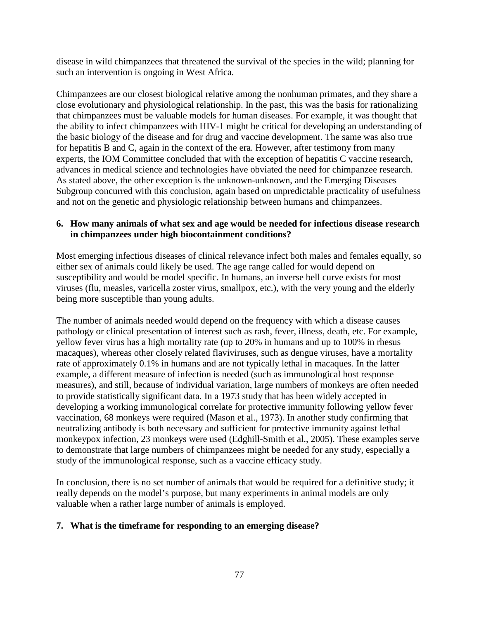disease in wild chimpanzees that threatened the survival of the species in the wild; planning for such an intervention is ongoing in West Africa.

Chimpanzees are our closest biological relative among the nonhuman primates, and they share a close evolutionary and physiological relationship. In the past, this was the basis for rationalizing that chimpanzees must be valuable models for human diseases. For example, it was thought that the ability to infect chimpanzees with HIV-1 might be critical for developing an understanding of the basic biology of the disease and for drug and vaccine development. The same was also true for hepatitis B and C, again in the context of the era. However, after testimony from many experts, the IOM Committee concluded that with the exception of hepatitis C vaccine research, advances in medical science and technologies have obviated the need for chimpanzee research. As stated above, the other exception is the unknown-unknown, and the Emerging Diseases Subgroup concurred with this conclusion, again based on unpredictable practicality of usefulness and not on the genetic and physiologic relationship between humans and chimpanzees.

## **6. How many animals of what sex and age would be needed for infectious disease research in chimpanzees under high biocontainment conditions?**

Most emerging infectious diseases of clinical relevance infect both males and females equally, so either sex of animals could likely be used. The age range called for would depend on susceptibility and would be model specific. In humans, an inverse bell curve exists for most viruses (flu, measles, varicella zoster virus, smallpox, etc.), with the very young and the elderly being more susceptible than young adults.

The number of animals needed would depend on the frequency with which a disease causes pathology or clinical presentation of interest such as rash, fever, illness, death, etc. For example, yellow fever virus has a high mortality rate (up to 20% in humans and up to 100% in rhesus macaques), whereas other closely related flaviviruses, such as dengue viruses, have a mortality rate of approximately 0.1% in humans and are not typically lethal in macaques. In the latter example, a different measure of infection is needed (such as immunological host response measures), and still, because of individual variation, large numbers of monkeys are often needed to provide statistically significant data. In a 1973 study that has been widely accepted in developing a working immunological correlate for protective immunity following yellow fever vaccination, 68 monkeys were required (Mason et al., 1973). In another study confirming that neutralizing antibody is both necessary and sufficient for protective immunity against lethal monkeypox infection, 23 monkeys were used (Edghill-Smith et al., 2005). These examples serve to demonstrate that large numbers of chimpanzees might be needed for any study, especially a study of the immunological response, such as a vaccine efficacy study.

In conclusion, there is no set number of animals that would be required for a definitive study; it really depends on the model's purpose, but many experiments in animal models are only valuable when a rather large number of animals is employed.

# **7. What is the timeframe for responding to an emerging disease?**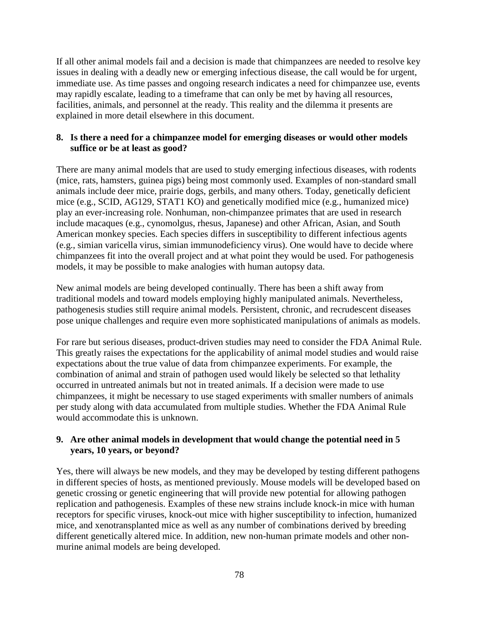If all other animal models fail and a decision is made that chimpanzees are needed to resolve key issues in dealing with a deadly new or emerging infectious disease, the call would be for urgent, immediate use. As time passes and ongoing research indicates a need for chimpanzee use, events may rapidly escalate, leading to a timeframe that can only be met by having all resources, facilities, animals, and personnel at the ready. This reality and the dilemma it presents are explained in more detail elsewhere in this document.

## **8. Is there a need for a chimpanzee model for emerging diseases or would other models suffice or be at least as good?**

There are many animal models that are used to study emerging infectious diseases, with rodents (mice, rats, hamsters, guinea pigs) being most commonly used. Examples of non-standard small animals include deer mice, prairie dogs, gerbils, and many others. Today, genetically deficient mice (e.g., SCID, AG129, STAT1 KO) and genetically modified mice (e.g., humanized mice) play an ever-increasing role. Nonhuman, non-chimpanzee primates that are used in research include macaques (e.g., cynomolgus, rhesus, Japanese) and other African, Asian, and South American monkey species. Each species differs in susceptibility to different infectious agents (e.g., simian varicella virus, simian immunodeficiency virus). One would have to decide where chimpanzees fit into the overall project and at what point they would be used. For pathogenesis models, it may be possible to make analogies with human autopsy data.

New animal models are being developed continually. There has been a shift away from traditional models and toward models employing highly manipulated animals. Nevertheless, pathogenesis studies still require animal models. Persistent, chronic, and recrudescent diseases pose unique challenges and require even more sophisticated manipulations of animals as models.

For rare but serious diseases, product-driven studies may need to consider the FDA Animal Rule. This greatly raises the expectations for the applicability of animal model studies and would raise expectations about the true value of data from chimpanzee experiments. For example, the combination of animal and strain of pathogen used would likely be selected so that lethality occurred in untreated animals but not in treated animals. If a decision were made to use chimpanzees, it might be necessary to use staged experiments with smaller numbers of animals per study along with data accumulated from multiple studies. Whether the FDA Animal Rule would accommodate this is unknown.

## **9. Are other animal models in development that would change the potential need in 5 years, 10 years, or beyond?**

Yes, there will always be new models, and they may be developed by testing different pathogens in different species of hosts, as mentioned previously. Mouse models will be developed based on genetic crossing or genetic engineering that will provide new potential for allowing pathogen replication and pathogenesis. Examples of these new strains include knock-in mice with human receptors for specific viruses, knock-out mice with higher susceptibility to infection, humanized mice, and xenotransplanted mice as well as any number of combinations derived by breeding different genetically altered mice. In addition, new non-human primate models and other nonmurine animal models are being developed.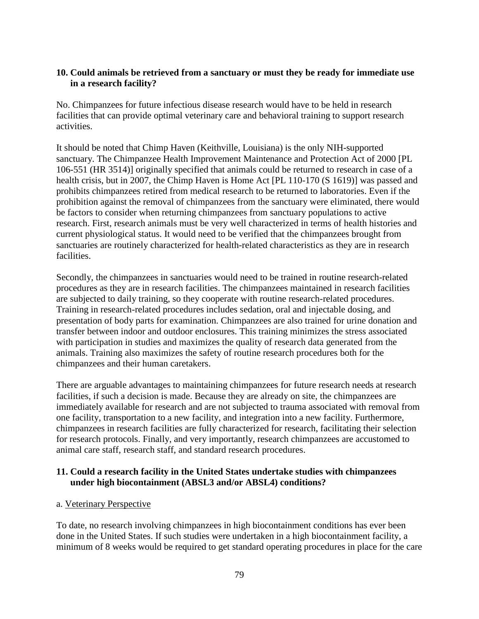# **10. Could animals be retrieved from a sanctuary or must they be ready for immediate use in a research facility?**

No. Chimpanzees for future infectious disease research would have to be held in research facilities that can provide optimal veterinary care and behavioral training to support research activities.

It should be noted that Chimp Haven (Keithville, Louisiana) is the only NIH-supported sanctuary. The Chimpanzee Health Improvement Maintenance and Protection Act of 2000 [PL 106-551 (HR 3514)] originally specified that animals could be returned to research in case of a health crisis, but in 2007, the Chimp Haven is Home Act [PL 110-170 (S 1619)] was passed and prohibits chimpanzees retired from medical research to be returned to laboratories. Even if the prohibition against the removal of chimpanzees from the sanctuary were eliminated, there would be factors to consider when returning chimpanzees from sanctuary populations to active research. First, research animals must be very well characterized in terms of health histories and current physiological status. It would need to be verified that the chimpanzees brought from sanctuaries are routinely characterized for health-related characteristics as they are in research facilities.

Secondly, the chimpanzees in sanctuaries would need to be trained in routine research-related procedures as they are in research facilities. The chimpanzees maintained in research facilities are subjected to daily training, so they cooperate with routine research-related procedures. Training in research-related procedures includes sedation, oral and injectable dosing, and presentation of body parts for examination. Chimpanzees are also trained for urine donation and transfer between indoor and outdoor enclosures. This training minimizes the stress associated with participation in studies and maximizes the quality of research data generated from the animals. Training also maximizes the safety of routine research procedures both for the chimpanzees and their human caretakers.

There are arguable advantages to maintaining chimpanzees for future research needs at research facilities, if such a decision is made. Because they are already on site, the chimpanzees are immediately available for research and are not subjected to trauma associated with removal from one facility, transportation to a new facility, and integration into a new facility. Furthermore, chimpanzees in research facilities are fully characterized for research, facilitating their selection for research protocols. Finally, and very importantly, research chimpanzees are accustomed to animal care staff, research staff, and standard research procedures.

# **11. Could a research facility in the United States undertake studies with chimpanzees under high biocontainment (ABSL3 and/or ABSL4) conditions?**

# a. Veterinary Perspective

To date, no research involving chimpanzees in high biocontainment conditions has ever been done in the United States. If such studies were undertaken in a high biocontainment facility, a minimum of 8 weeks would be required to get standard operating procedures in place for the care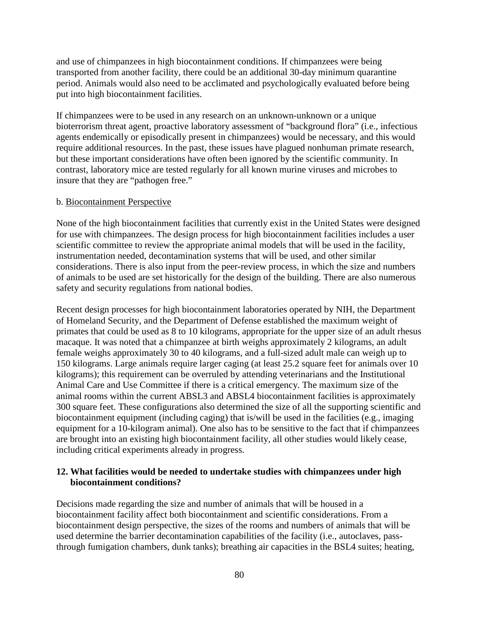and use of chimpanzees in high biocontainment conditions. If chimpanzees were being transported from another facility, there could be an additional 30-day minimum quarantine period. Animals would also need to be acclimated and psychologically evaluated before being put into high biocontainment facilities.

If chimpanzees were to be used in any research on an unknown-unknown or a unique bioterrorism threat agent, proactive laboratory assessment of "background flora" (i.e., infectious agents endemically or episodically present in chimpanzees) would be necessary, and this would require additional resources. In the past, these issues have plagued nonhuman primate research, but these important considerations have often been ignored by the scientific community. In contrast, laboratory mice are tested regularly for all known murine viruses and microbes to insure that they are "pathogen free."

#### b. Biocontainment Perspective

None of the high biocontainment facilities that currently exist in the United States were designed for use with chimpanzees. The design process for high biocontainment facilities includes a user scientific committee to review the appropriate animal models that will be used in the facility, instrumentation needed, decontamination systems that will be used, and other similar considerations. There is also input from the peer-review process, in which the size and numbers of animals to be used are set historically for the design of the building. There are also numerous safety and security regulations from national bodies.

Recent design processes for high biocontainment laboratories operated by NIH, the Department of Homeland Security, and the Department of Defense established the maximum weight of primates that could be used as 8 to 10 kilograms, appropriate for the upper size of an adult rhesus macaque. It was noted that a chimpanzee at birth weighs approximately 2 kilograms, an adult female weighs approximately 30 to 40 kilograms, and a full-sized adult male can weigh up to 150 kilograms. Large animals require larger caging (at least 25.2 square feet for animals over 10 kilograms); this requirement can be overruled by attending veterinarians and the Institutional Animal Care and Use Committee if there is a critical emergency. The maximum size of the animal rooms within the current ABSL3 and ABSL4 biocontainment facilities is approximately 300 square feet. These configurations also determined the size of all the supporting scientific and biocontainment equipment (including caging) that is/will be used in the facilities (e.g., imaging equipment for a 10-kilogram animal). One also has to be sensitive to the fact that if chimpanzees are brought into an existing high biocontainment facility, all other studies would likely cease, including critical experiments already in progress.

## **12. What facilities would be needed to undertake studies with chimpanzees under high biocontainment conditions?**

Decisions made regarding the size and number of animals that will be housed in a biocontainment facility affect both biocontainment and scientific considerations. From a biocontainment design perspective, the sizes of the rooms and numbers of animals that will be used determine the barrier decontamination capabilities of the facility (i.e., autoclaves, passthrough fumigation chambers, dunk tanks); breathing air capacities in the BSL4 suites; heating,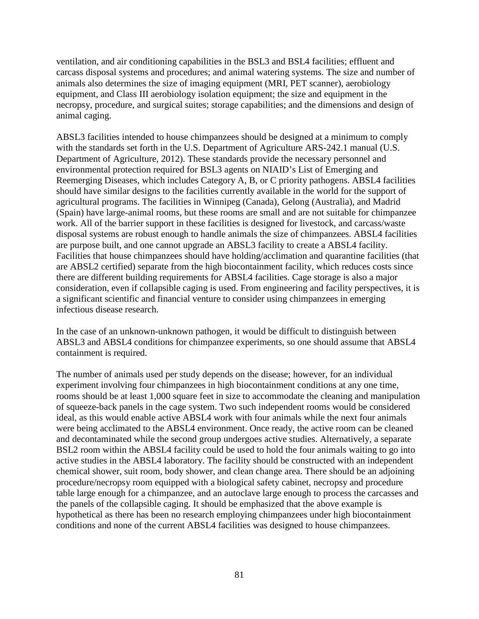ventilation, and air conditioning capabilities in the BSL3 and BSL4 facilities; effluent and carcass disposal systems and procedures; and animal watering systems. The size and number of animals also determines the size of imaging equipment (MRI, PET scanner), aerobiology equipment, and Class III aerobiology isolation equipment; the size and equipment in the necropsy, procedure, and surgical suites; storage capabilities; and the dimensions and design of animal caging.

ABSL3 facilities intended to house chimpanzees should be designed at a minimum to comply with the standards set forth in the U.S. Department of Agriculture ARS-242.1 manual (U.S. Department of Agriculture, 2012). These standards provide the necessary personnel and environmental protection required for BSL3 agents on NIAID's List of Emerging and Reemerging Diseases, which includes Category A, B, or C priority pathogens. ABSL4 facilities should have similar designs to the facilities currently available in the world for the support of agricultural programs. The facilities in Winnipeg (Canada), Gelong (Australia), and Madrid (Spain) have large-animal rooms, but these rooms are small and are not suitable for chimpanzee work. All of the barrier support in these facilities is designed for livestock, and carcass/waste disposal systems are robust enough to handle animals the size of chimpanzees. ABSL4 facilities are purpose built, and one cannot upgrade an ABSL3 facility to create a ABSL4 facility. Facilities that house chimpanzees should have holding/acclimation and quarantine facilities (that are ABSL2 certified) separate from the high biocontainment facility, which reduces costs since there are different building requirements for ABSL4 facilities. Cage storage is also a major consideration, even if collapsible caging is used. From engineering and facility perspectives, it is a significant scientific and financial venture to consider using chimpanzees in emerging infectious disease research.

In the case of an unknown-unknown pathogen, it would be difficult to distinguish between ABSL3 and ABSL4 conditions for chimpanzee experiments, so one should assume that ABSL4 containment is required.

The number of animals used per study depends on the disease; however, for an individual experiment involving four chimpanzees in high biocontainment conditions at any one time, rooms should be at least 1,000 square feet in size to accommodate the cleaning and manipulation of squeeze-back panels in the cage system. Two such independent rooms would be considered ideal, as this would enable active ABSL4 work with four animals while the next four animals were being acclimated to the ABSL4 environment. Once ready, the active room can be cleaned and decontaminated while the second group undergoes active studies. Alternatively, a separate BSL2 room within the ABSL4 facility could be used to hold the four animals waiting to go into active studies in the ABSL4 laboratory. The facility should be constructed with an independent chemical shower, suit room, body shower, and clean change area. There should be an adjoining procedure/necropsy room equipped with a biological safety cabinet, necropsy and procedure table large enough for a chimpanzee, and an autoclave large enough to process the carcasses and the panels of the collapsible caging. It should be emphasized that the above example is hypothetical as there has been no research employing chimpanzees under high biocontainment conditions and none of the current ABSL4 facilities was designed to house chimpanzees.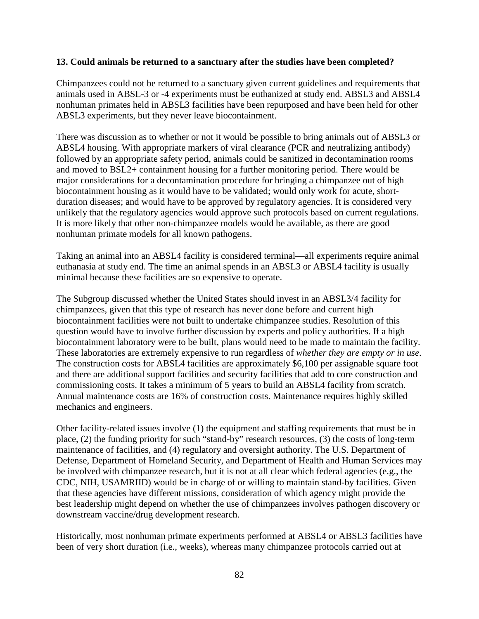## **13. Could animals be returned to a sanctuary after the studies have been completed?**

Chimpanzees could not be returned to a sanctuary given current guidelines and requirements that animals used in ABSL-3 or -4 experiments must be euthanized at study end. ABSL3 and ABSL4 nonhuman primates held in ABSL3 facilities have been repurposed and have been held for other ABSL3 experiments, but they never leave biocontainment.

There was discussion as to whether or not it would be possible to bring animals out of ABSL3 or ABSL4 housing. With appropriate markers of viral clearance (PCR and neutralizing antibody) followed by an appropriate safety period, animals could be sanitized in decontamination rooms and moved to BSL2+ containment housing for a further monitoring period. There would be major considerations for a decontamination procedure for bringing a chimpanzee out of high biocontainment housing as it would have to be validated; would only work for acute, shortduration diseases; and would have to be approved by regulatory agencies. It is considered very unlikely that the regulatory agencies would approve such protocols based on current regulations. It is more likely that other non-chimpanzee models would be available, as there are good nonhuman primate models for all known pathogens.

Taking an animal into an ABSL4 facility is considered terminal—all experiments require animal euthanasia at study end. The time an animal spends in an ABSL3 or ABSL4 facility is usually minimal because these facilities are so expensive to operate.

The Subgroup discussed whether the United States should invest in an ABSL3/4 facility for chimpanzees, given that this type of research has never done before and current high biocontainment facilities were not built to undertake chimpanzee studies. Resolution of this question would have to involve further discussion by experts and policy authorities. If a high biocontainment laboratory were to be built, plans would need to be made to maintain the facility. These laboratories are extremely expensive to run regardless of *whether they are empty or in use*. The construction costs for ABSL4 facilities are approximately \$6,100 per assignable square foot and there are additional support facilities and security facilities that add to core construction and commissioning costs. It takes a minimum of 5 years to build an ABSL4 facility from scratch. Annual maintenance costs are 16% of construction costs. Maintenance requires highly skilled mechanics and engineers.

Other facility-related issues involve (1) the equipment and staffing requirements that must be in place, (2) the funding priority for such "stand-by" research resources, (3) the costs of long-term maintenance of facilities, and (4) regulatory and oversight authority. The U.S. Department of Defense, Department of Homeland Security, and Department of Health and Human Services may be involved with chimpanzee research, but it is not at all clear which federal agencies (e.g., the CDC, NIH, USAMRIID) would be in charge of or willing to maintain stand-by facilities. Given that these agencies have different missions, consideration of which agency might provide the best leadership might depend on whether the use of chimpanzees involves pathogen discovery or downstream vaccine/drug development research.

Historically, most nonhuman primate experiments performed at ABSL4 or ABSL3 facilities have been of very short duration (i.e., weeks), whereas many chimpanzee protocols carried out at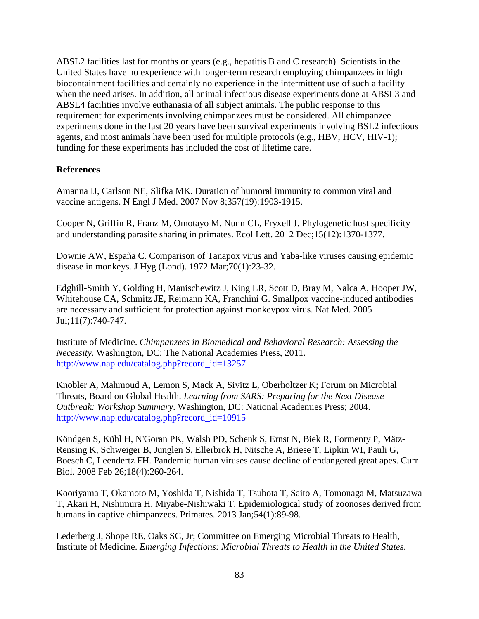ABSL2 facilities last for months or years (e.g., hepatitis B and C research). Scientists in the United States have no experience with longer-term research employing chimpanzees in high biocontainment facilities and certainly no experience in the intermittent use of such a facility when the need arises. In addition, all animal infectious disease experiments done at ABSL3 and ABSL4 facilities involve euthanasia of all subject animals. The public response to this requirement for experiments involving chimpanzees must be considered. All chimpanzee experiments done in the last 20 years have been survival experiments involving BSL2 infectious agents, and most animals have been used for multiple protocols (e.g., HBV, HCV, HIV-1); funding for these experiments has included the cost of lifetime care.

# **References**

Amanna IJ, Carlson NE, Slifka MK. Duration of humoral immunity to common viral and vaccine antigens. N Engl J Med. 2007 Nov 8;357(19):1903-1915.

Cooper N, Griffin R, Franz M, Omotayo M, Nunn CL, Fryxell J. Phylogenetic host specificity and understanding parasite sharing in primates. Ecol Lett. 2012 Dec;15(12):1370-1377.

Downie AW, España C. Comparison of Tanapox virus and Yaba-like viruses causing epidemic disease in monkeys. J Hyg (Lond). 1972 Mar;70(1):23-32.

Edghill-Smith Y, Golding H, Manischewitz J, King LR, Scott D, Bray M, Nalca A, Hooper JW, Whitehouse CA, Schmitz JE, Reimann KA, Franchini G. Smallpox vaccine-induced antibodies are necessary and sufficient for protection against monkeypox virus. Nat Med. 2005 Jul;11(7):740-747.

Institute of Medicine. *Chimpanzees in Biomedical and Behavioral Research: Assessing the Necessity.* Washington, DC: The National Academies Press, 2011. [http://www.nap.edu/catalog.php?record\\_id=13257](http://www.nap.edu/catalog.php?record_id=13257)

Knobler A, Mahmoud A, Lemon S, Mack A, Sivitz L, Oberholtzer K; Forum on Microbial Threats, Board on Global Health. *Learning from SARS: Preparing for the Next Disease Outbreak: Workshop Summary*. Washington, DC: National Academies Press; 2004. [http://www.nap.edu/catalog.php?record\\_id=10915](http://www.nap.edu/catalog.php?record_id=10915)

Köndgen S, Kühl H, N'Goran PK, Walsh PD, Schenk S, Ernst N, Biek R, Formenty P, Mätz-Rensing K, Schweiger B, Junglen S, Ellerbrok H, Nitsche A, Briese T, Lipkin WI, Pauli G, Boesch C, Leendertz FH. Pandemic human viruses cause decline of endangered great apes. Curr Biol. 2008 Feb 26;18(4):260-264.

Kooriyama T, Okamoto M, Yoshida T, Nishida T, Tsubota T, Saito A, Tomonaga M, Matsuzawa T, Akari H, Nishimura H, Miyabe-Nishiwaki T. Epidemiological study of zoonoses derived from humans in captive chimpanzees. Primates. 2013 Jan;54(1):89-98.

Lederberg J, Shope RE, Oaks SC, Jr; Committee on Emerging Microbial Threats to Health, Institute of Medicine. *Emerging Infections: Microbial Threats to Health in the United States*.